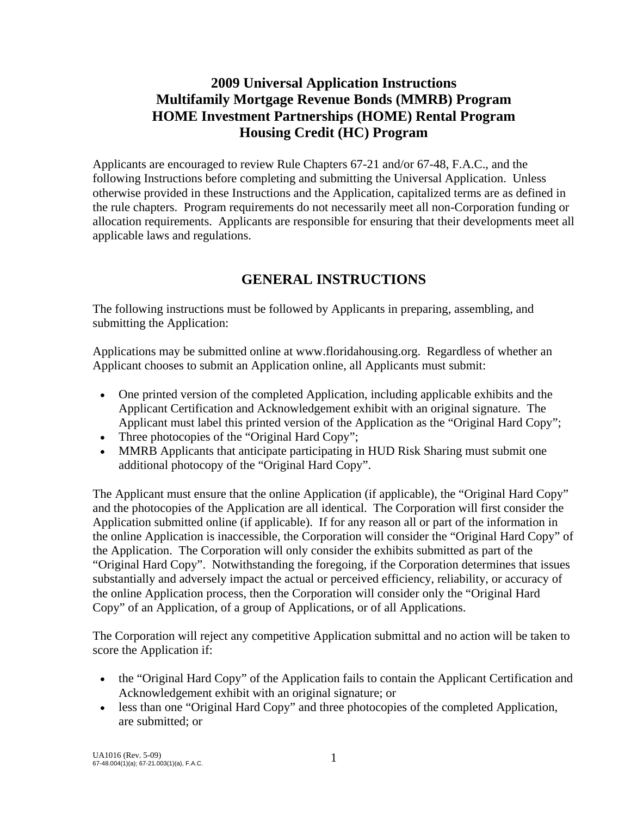# **2009 Universal Application Instructions Multifamily Mortgage Revenue Bonds (MMRB) Program HOME Investment Partnerships (HOME) Rental Program Housing Credit (HC) Program**

Applicants are encouraged to review Rule Chapters 67-21 and/or 67-48, F.A.C., and the following Instructions before completing and submitting the Universal Application. Unless otherwise provided in these Instructions and the Application, capitalized terms are as defined in the rule chapters. Program requirements do not necessarily meet all non-Corporation funding or allocation requirements. Applicants are responsible for ensuring that their developments meet all applicable laws and regulations.

# **GENERAL INSTRUCTIONS**

The following instructions must be followed by Applicants in preparing, assembling, and submitting the Application:

Applications may be submitted online at www.floridahousing.org. Regardless of whether an Applicant chooses to submit an Application online, all Applicants must submit:

- One printed version of the completed Application, including applicable exhibits and the Applicant Certification and Acknowledgement exhibit with an original signature. The Applicant must label this printed version of the Application as the "Original Hard Copy";
- Three photocopies of the "Original Hard Copy";
- MMRB Applicants that anticipate participating in HUD Risk Sharing must submit one additional photocopy of the "Original Hard Copy".

The Applicant must ensure that the online Application (if applicable), the "Original Hard Copy" and the photocopies of the Application are all identical. The Corporation will first consider the Application submitted online (if applicable). If for any reason all or part of the information in the online Application is inaccessible, the Corporation will consider the "Original Hard Copy" of the Application. The Corporation will only consider the exhibits submitted as part of the "Original Hard Copy". Notwithstanding the foregoing, if the Corporation determines that issues substantially and adversely impact the actual or perceived efficiency, reliability, or accuracy of the online Application process, then the Corporation will consider only the "Original Hard Copy" of an Application, of a group of Applications, or of all Applications.

The Corporation will reject any competitive Application submittal and no action will be taken to score the Application if:

- the "Original Hard Copy" of the Application fails to contain the Applicant Certification and Acknowledgement exhibit with an original signature; or
- less than one "Original Hard Copy" and three photocopies of the completed Application, are submitted; or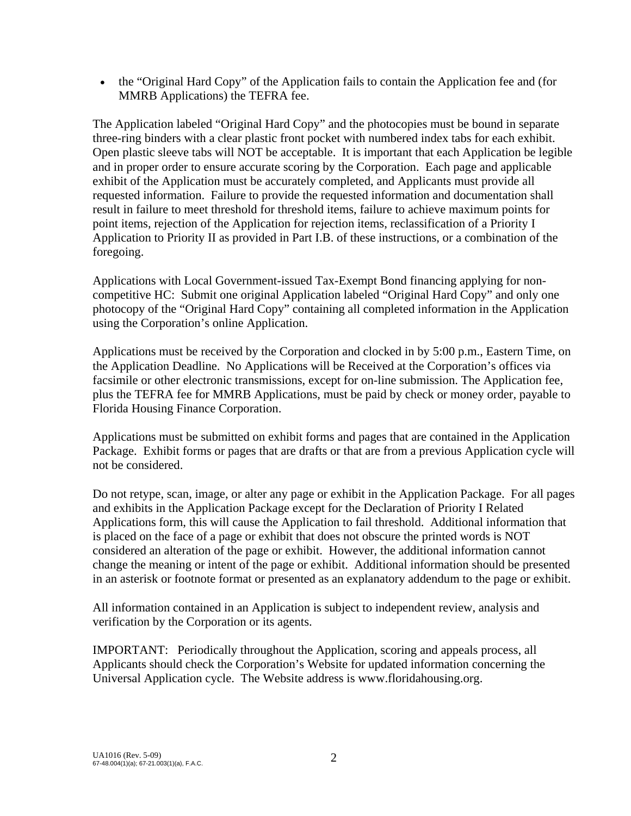• the "Original Hard Copy" of the Application fails to contain the Application fee and (for MMRB Applications) the TEFRA fee.

The Application labeled "Original Hard Copy" and the photocopies must be bound in separate three-ring binders with a clear plastic front pocket with numbered index tabs for each exhibit. Open plastic sleeve tabs will NOT be acceptable. It is important that each Application be legible and in proper order to ensure accurate scoring by the Corporation. Each page and applicable exhibit of the Application must be accurately completed, and Applicants must provide all requested information. Failure to provide the requested information and documentation shall result in failure to meet threshold for threshold items, failure to achieve maximum points for point items, rejection of the Application for rejection items, reclassification of a Priority I Application to Priority II as provided in Part I.B. of these instructions, or a combination of the foregoing.

Applications with Local Government-issued Tax-Exempt Bond financing applying for noncompetitive HC: Submit one original Application labeled "Original Hard Copy" and only one photocopy of the "Original Hard Copy" containing all completed information in the Application using the Corporation's online Application.

Applications must be received by the Corporation and clocked in by 5:00 p.m., Eastern Time, on the Application Deadline. No Applications will be Received at the Corporation's offices via facsimile or other electronic transmissions, except for on-line submission. The Application fee, plus the TEFRA fee for MMRB Applications, must be paid by check or money order, payable to Florida Housing Finance Corporation.

Applications must be submitted on exhibit forms and pages that are contained in the Application Package. Exhibit forms or pages that are drafts or that are from a previous Application cycle will not be considered.

Do not retype, scan, image, or alter any page or exhibit in the Application Package. For all pages and exhibits in the Application Package except for the Declaration of Priority I Related Applications form, this will cause the Application to fail threshold. Additional information that is placed on the face of a page or exhibit that does not obscure the printed words is NOT considered an alteration of the page or exhibit. However, the additional information cannot change the meaning or intent of the page or exhibit. Additional information should be presented in an asterisk or footnote format or presented as an explanatory addendum to the page or exhibit.

All information contained in an Application is subject to independent review, analysis and verification by the Corporation or its agents.

IMPORTANT: Periodically throughout the Application, scoring and appeals process, all Applicants should check the Corporation's Website for updated information concerning the Universal Application cycle. The Website address is www.floridahousing.org.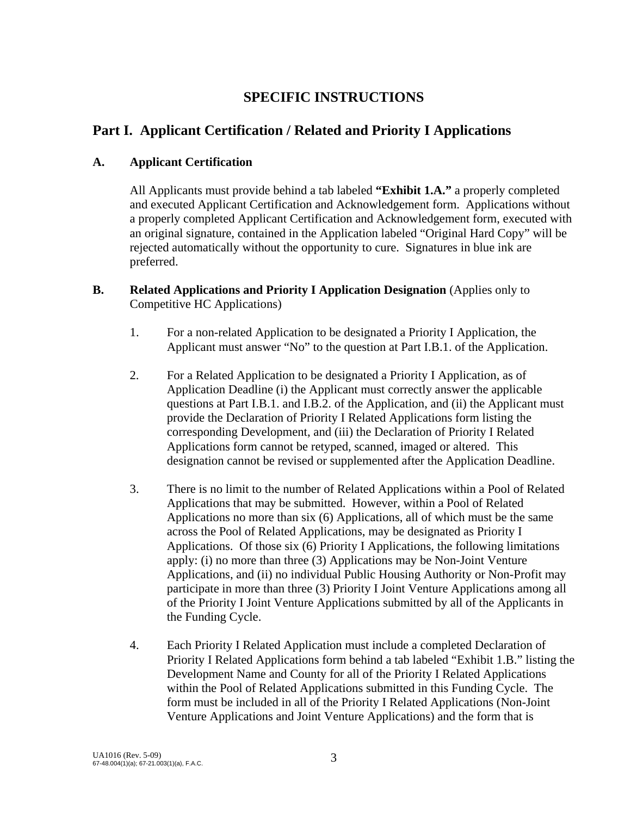# **SPECIFIC INSTRUCTIONS**

## **Part I. Applicant Certification / Related and Priority I Applications**

#### **A. Applicant Certification**

All Applicants must provide behind a tab labeled **"Exhibit 1.A."** a properly completed and executed Applicant Certification and Acknowledgement form. Applications without a properly completed Applicant Certification and Acknowledgement form, executed with an original signature, contained in the Application labeled "Original Hard Copy" will be rejected automatically without the opportunity to cure. Signatures in blue ink are preferred.

- **B. Related Applications and Priority I Application Designation** (Applies only to Competitive HC Applications)
	- 1. For a non-related Application to be designated a Priority I Application, the Applicant must answer "No" to the question at Part I.B.1. of the Application.
	- 2. For a Related Application to be designated a Priority I Application, as of Application Deadline (i) the Applicant must correctly answer the applicable questions at Part I.B.1. and I.B.2. of the Application, and (ii) the Applicant must provide the Declaration of Priority I Related Applications form listing the corresponding Development, and (iii) the Declaration of Priority I Related Applications form cannot be retyped, scanned, imaged or altered. This designation cannot be revised or supplemented after the Application Deadline.
	- 3. There is no limit to the number of Related Applications within a Pool of Related Applications that may be submitted. However, within a Pool of Related Applications no more than six (6) Applications, all of which must be the same across the Pool of Related Applications, may be designated as Priority I Applications. Of those six (6) Priority I Applications, the following limitations apply: (i) no more than three (3) Applications may be Non-Joint Venture Applications, and (ii) no individual Public Housing Authority or Non-Profit may participate in more than three (3) Priority I Joint Venture Applications among all of the Priority I Joint Venture Applications submitted by all of the Applicants in the Funding Cycle.
	- 4. Each Priority I Related Application must include a completed Declaration of Priority I Related Applications form behind a tab labeled "Exhibit 1.B." listing the Development Name and County for all of the Priority I Related Applications within the Pool of Related Applications submitted in this Funding Cycle. The form must be included in all of the Priority I Related Applications (Non-Joint Venture Applications and Joint Venture Applications) and the form that is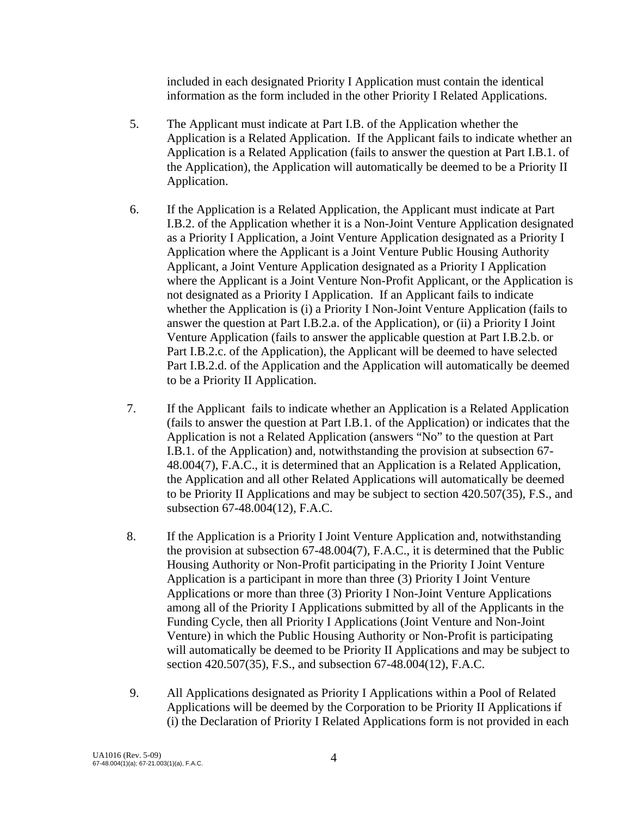included in each designated Priority I Application must contain the identical information as the form included in the other Priority I Related Applications.

- 5. The Applicant must indicate at Part I.B. of the Application whether the Application is a Related Application. If the Applicant fails to indicate whether an Application is a Related Application (fails to answer the question at Part I.B.1. of the Application), the Application will automatically be deemed to be a Priority II Application.
- 6. If the Application is a Related Application, the Applicant must indicate at Part I.B.2. of the Application whether it is a Non-Joint Venture Application designated as a Priority I Application, a Joint Venture Application designated as a Priority I Application where the Applicant is a Joint Venture Public Housing Authority Applicant, a Joint Venture Application designated as a Priority I Application where the Applicant is a Joint Venture Non-Profit Applicant, or the Application is not designated as a Priority I Application. If an Applicant fails to indicate whether the Application is (i) a Priority I Non-Joint Venture Application (fails to answer the question at Part I.B.2.a. of the Application), or (ii) a Priority I Joint Venture Application (fails to answer the applicable question at Part I.B.2.b. or Part I.B.2.c. of the Application), the Applicant will be deemed to have selected Part I.B.2.d. of the Application and the Application will automatically be deemed to be a Priority II Application.
- 7. If the Applicant fails to indicate whether an Application is a Related Application (fails to answer the question at Part I.B.1. of the Application) or indicates that the Application is not a Related Application (answers "No" to the question at Part I.B.1. of the Application) and, notwithstanding the provision at subsection 67- 48.004(7), F.A.C., it is determined that an Application is a Related Application, the Application and all other Related Applications will automatically be deemed to be Priority II Applications and may be subject to section 420.507(35), F.S., and subsection 67-48.004(12), F.A.C.
- 8. If the Application is a Priority I Joint Venture Application and, notwithstanding the provision at subsection 67-48.004(7), F.A.C., it is determined that the Public Housing Authority or Non-Profit participating in the Priority I Joint Venture Application is a participant in more than three (3) Priority I Joint Venture Applications or more than three (3) Priority I Non-Joint Venture Applications among all of the Priority I Applications submitted by all of the Applicants in the Funding Cycle, then all Priority I Applications (Joint Venture and Non-Joint Venture) in which the Public Housing Authority or Non-Profit is participating will automatically be deemed to be Priority II Applications and may be subject to section 420.507(35), F.S., and subsection 67-48.004(12), F.A.C.
- 9. All Applications designated as Priority I Applications within a Pool of Related Applications will be deemed by the Corporation to be Priority II Applications if (i) the Declaration of Priority I Related Applications form is not provided in each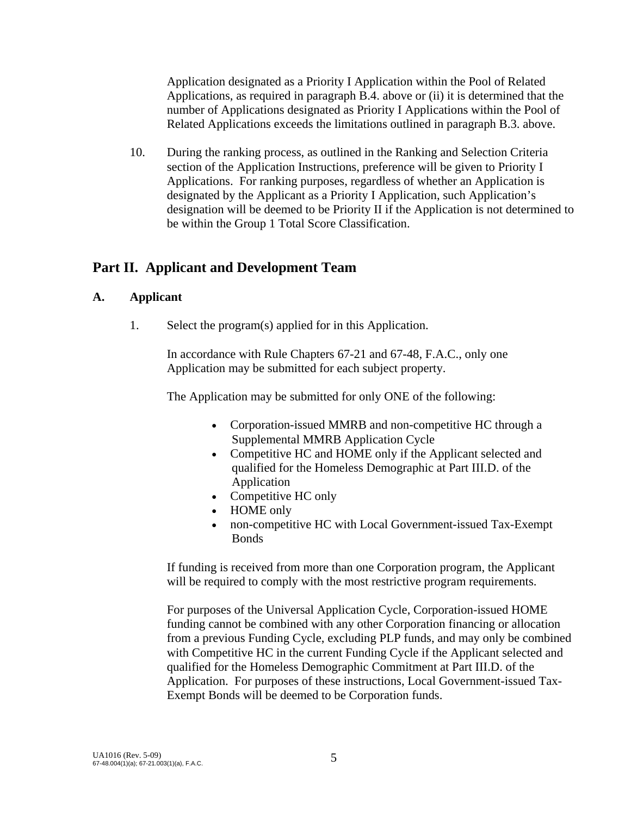Application designated as a Priority I Application within the Pool of Related Applications, as required in paragraph B.4. above or (ii) it is determined that the number of Applications designated as Priority I Applications within the Pool of Related Applications exceeds the limitations outlined in paragraph B.3. above.

10. During the ranking process, as outlined in the Ranking and Selection Criteria section of the Application Instructions, preference will be given to Priority I Applications. For ranking purposes, regardless of whether an Application is designated by the Applicant as a Priority I Application, such Application's designation will be deemed to be Priority II if the Application is not determined to be within the Group 1 Total Score Classification.

## **Part II. Applicant and Development Team**

### **A. Applicant**

1. Select the program(s) applied for in this Application.

 In accordance with Rule Chapters 67-21 and 67-48, F.A.C., only one Application may be submitted for each subject property.

The Application may be submitted for only ONE of the following:

- Corporation-issued MMRB and non-competitive HC through a Supplemental MMRB Application Cycle
- Competitive HC and HOME only if the Applicant selected and qualified for the Homeless Demographic at Part III.D. of the Application
- Competitive HC only
- HOME only
- non-competitive HC with Local Government-issued Tax-Exempt Bonds

 If funding is received from more than one Corporation program, the Applicant will be required to comply with the most restrictive program requirements.

 For purposes of the Universal Application Cycle, Corporation-issued HOME funding cannot be combined with any other Corporation financing or allocation from a previous Funding Cycle, excluding PLP funds, and may only be combined with Competitive HC in the current Funding Cycle if the Applicant selected and qualified for the Homeless Demographic Commitment at Part III.D. of the Application. For purposes of these instructions, Local Government-issued Tax-Exempt Bonds will be deemed to be Corporation funds.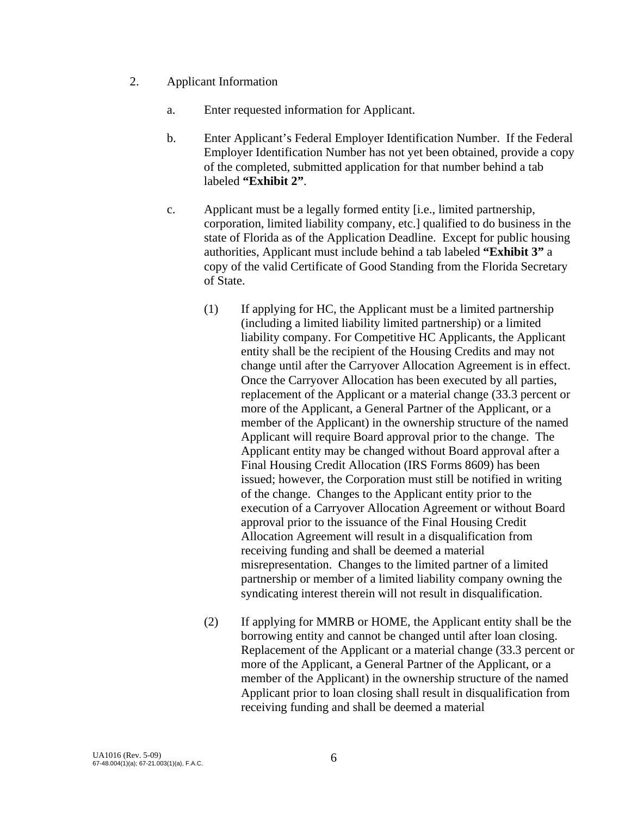- 2. Applicant Information
	- a. Enter requested information for Applicant.
	- b. Enter Applicant's Federal Employer Identification Number. If the Federal Employer Identification Number has not yet been obtained, provide a copy of the completed, submitted application for that number behind a tab labeled **"Exhibit 2"**.
	- c. Applicant must be a legally formed entity [i.e., limited partnership, corporation, limited liability company, etc.] qualified to do business in the state of Florida as of the Application Deadline. Except for public housing authorities, Applicant must include behind a tab labeled **"Exhibit 3"** a copy of the valid Certificate of Good Standing from the Florida Secretary of State.
		- (1) If applying for HC, the Applicant must be a limited partnership (including a limited liability limited partnership) or a limited liability company. For Competitive HC Applicants, the Applicant entity shall be the recipient of the Housing Credits and may not change until after the Carryover Allocation Agreement is in effect. Once the Carryover Allocation has been executed by all parties, replacement of the Applicant or a material change (33.3 percent or more of the Applicant, a General Partner of the Applicant, or a member of the Applicant) in the ownership structure of the named Applicant will require Board approval prior to the change. The Applicant entity may be changed without Board approval after a Final Housing Credit Allocation (IRS Forms 8609) has been issued; however, the Corporation must still be notified in writing of the change. Changes to the Applicant entity prior to the execution of a Carryover Allocation Agreement or without Board approval prior to the issuance of the Final Housing Credit Allocation Agreement will result in a disqualification from receiving funding and shall be deemed a material misrepresentation. Changes to the limited partner of a limited partnership or member of a limited liability company owning the syndicating interest therein will not result in disqualification.
		- (2) If applying for MMRB or HOME, the Applicant entity shall be the borrowing entity and cannot be changed until after loan closing. Replacement of the Applicant or a material change (33.3 percent or more of the Applicant, a General Partner of the Applicant, or a member of the Applicant) in the ownership structure of the named Applicant prior to loan closing shall result in disqualification from receiving funding and shall be deemed a material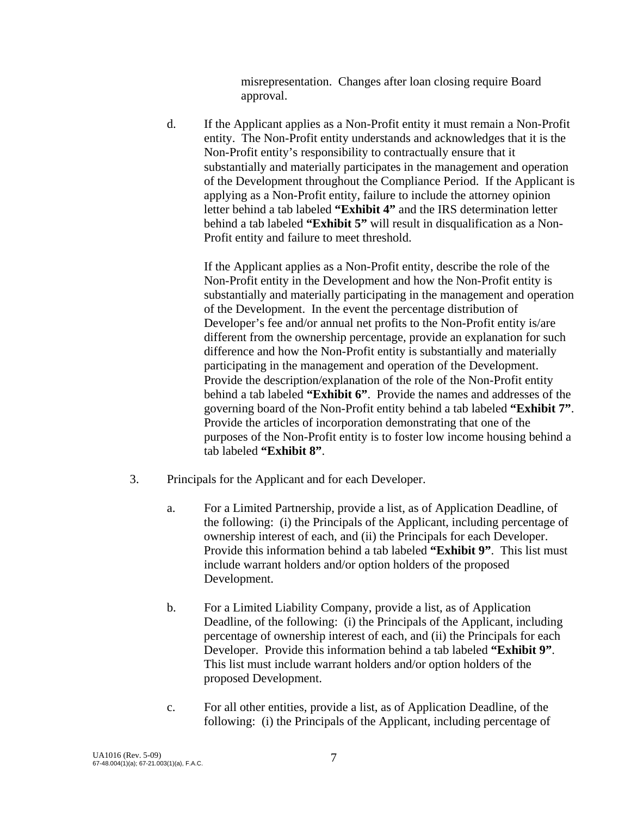misrepresentation. Changes after loan closing require Board approval.

 d. If the Applicant applies as a Non-Profit entity it must remain a Non-Profit entity. The Non-Profit entity understands and acknowledges that it is the Non-Profit entity's responsibility to contractually ensure that it substantially and materially participates in the management and operation of the Development throughout the Compliance Period. If the Applicant is applying as a Non-Profit entity, failure to include the attorney opinion letter behind a tab labeled **"Exhibit 4"** and the IRS determination letter behind a tab labeled **"Exhibit 5"** will result in disqualification as a Non-Profit entity and failure to meet threshold.

 If the Applicant applies as a Non-Profit entity, describe the role of the Non-Profit entity in the Development and how the Non-Profit entity is substantially and materially participating in the management and operation of the Development. In the event the percentage distribution of Developer's fee and/or annual net profits to the Non-Profit entity is/are different from the ownership percentage, provide an explanation for such difference and how the Non-Profit entity is substantially and materially participating in the management and operation of the Development. Provide the description/explanation of the role of the Non-Profit entity behind a tab labeled **"Exhibit 6"**. Provide the names and addresses of the governing board of the Non-Profit entity behind a tab labeled **"Exhibit 7"**. Provide the articles of incorporation demonstrating that one of the purposes of the Non-Profit entity is to foster low income housing behind a tab labeled **"Exhibit 8"**.

- 3. Principals for the Applicant and for each Developer.
	- a. For a Limited Partnership, provide a list, as of Application Deadline, of the following: (i) the Principals of the Applicant, including percentage of ownership interest of each, and (ii) the Principals for each Developer. Provide this information behind a tab labeled **"Exhibit 9"**. This list must include warrant holders and/or option holders of the proposed Development.
	- b. For a Limited Liability Company, provide a list, as of Application Deadline, of the following: (i) the Principals of the Applicant, including percentage of ownership interest of each, and (ii) the Principals for each Developer. Provide this information behind a tab labeled **"Exhibit 9"**. This list must include warrant holders and/or option holders of the proposed Development.
	- c. For all other entities, provide a list, as of Application Deadline, of the following: (i) the Principals of the Applicant, including percentage of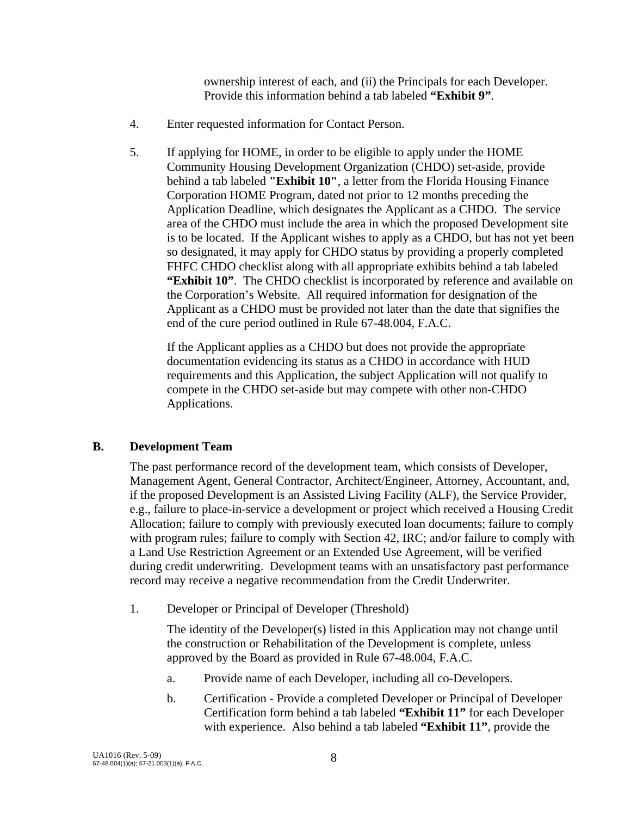ownership interest of each, and (ii) the Principals for each Developer. Provide this information behind a tab labeled **"Exhibit 9"**.

- 4. Enter requested information for Contact Person.
- 5. If applying for HOME, in order to be eligible to apply under the HOME Community Housing Development Organization (CHDO) set-aside, provide behind a tab labeled **"Exhibit 10"**, a letter from the Florida Housing Finance Corporation HOME Program, dated not prior to 12 months preceding the Application Deadline, which designates the Applicant as a CHDO. The service area of the CHDO must include the area in which the proposed Development site is to be located. If the Applicant wishes to apply as a CHDO, but has not yet been so designated, it may apply for CHDO status by providing a properly completed FHFC CHDO checklist along with all appropriate exhibits behind a tab labeled **"Exhibit 10"**. The CHDO checklist is incorporated by reference and available on the Corporation's Website. All required information for designation of the Applicant as a CHDO must be provided not later than the date that signifies the end of the cure period outlined in Rule 67-48.004, F.A.C.

 If the Applicant applies as a CHDO but does not provide the appropriate documentation evidencing its status as a CHDO in accordance with HUD requirements and this Application, the subject Application will not qualify to compete in the CHDO set-aside but may compete with other non-CHDO Applications.

#### **B. Development Team**

 The past performance record of the development team, which consists of Developer, Management Agent, General Contractor, Architect/Engineer, Attorney, Accountant, and, if the proposed Development is an Assisted Living Facility (ALF), the Service Provider, e.g., failure to place-in-service a development or project which received a Housing Credit Allocation; failure to comply with previously executed loan documents; failure to comply with program rules; failure to comply with Section 42, IRC; and/or failure to comply with a Land Use Restriction Agreement or an Extended Use Agreement, will be verified during credit underwriting. Development teams with an unsatisfactory past performance record may receive a negative recommendation from the Credit Underwriter.

1. Developer or Principal of Developer (Threshold)

 The identity of the Developer(s) listed in this Application may not change until the construction or Rehabilitation of the Development is complete, unless approved by the Board as provided in Rule 67-48.004, F.A.C.

- a. Provide name of each Developer, including all co-Developers.
- b. Certification Provide a completed Developer or Principal of Developer Certification form behind a tab labeled **"Exhibit 11"** for each Developer with experience. Also behind a tab labeled **"Exhibit 11"**, provide the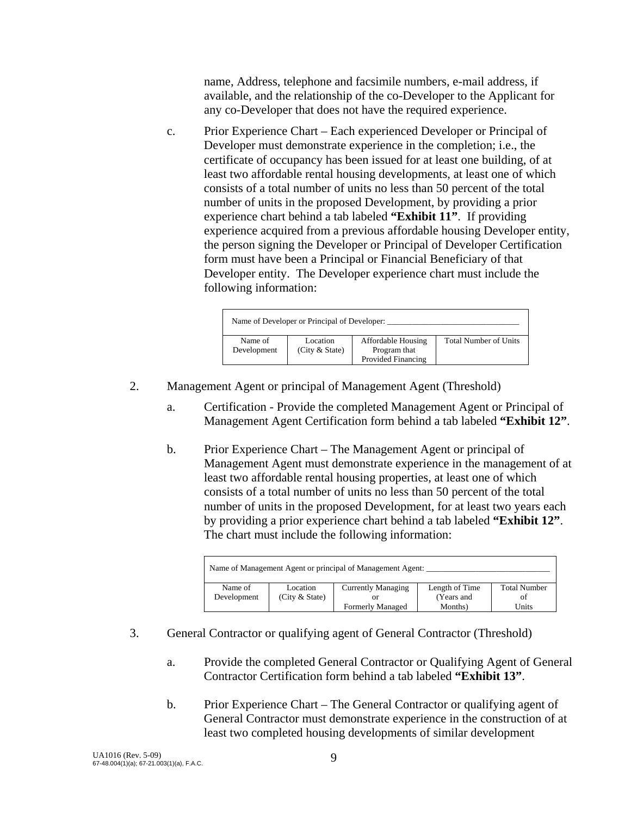name, Address, telephone and facsimile numbers, e-mail address, if available, and the relationship of the co-Developer to the Applicant for any co-Developer that does not have the required experience.

 c. Prior Experience Chart – Each experienced Developer or Principal of Developer must demonstrate experience in the completion; i.e., the certificate of occupancy has been issued for at least one building, of at least two affordable rental housing developments, at least one of which consists of a total number of units no less than 50 percent of the total number of units in the proposed Development, by providing a prior experience chart behind a tab labeled **"Exhibit 11"**. If providing experience acquired from a previous affordable housing Developer entity, the person signing the Developer or Principal of Developer Certification form must have been a Principal or Financial Beneficiary of that Developer entity. The Developer experience chart must include the following information:

| Name of Developer or Principal of Developer: |                            |                                                          |                              |  |
|----------------------------------------------|----------------------------|----------------------------------------------------------|------------------------------|--|
| Name of<br>Development                       | Location<br>(City & State) | Affordable Housing<br>Program that<br>Provided Financing | <b>Total Number of Units</b> |  |

- 2. Management Agent or principal of Management Agent (Threshold)
	- a. Certification Provide the completed Management Agent or Principal of Management Agent Certification form behind a tab labeled **"Exhibit 12"**.
	- b. Prior Experience Chart The Management Agent or principal of Management Agent must demonstrate experience in the management of at least two affordable rental housing properties, at least one of which consists of a total number of units no less than 50 percent of the total number of units in the proposed Development, for at least two years each by providing a prior experience chart behind a tab labeled **"Exhibit 12"**. The chart must include the following information:

| Name of Management Agent or principal of Management Agent: |                  |                           |                |                     |  |
|------------------------------------------------------------|------------------|---------------------------|----------------|---------------------|--|
| Name of                                                    | Location         | <b>Currently Managing</b> | Length of Time | <b>Total Number</b> |  |
| Development                                                | (City $&$ State) |                           | (Years and     | ΩŤ                  |  |
|                                                            |                  | <b>Formerly Managed</b>   | Months)        | Units               |  |

- 3. General Contractor or qualifying agent of General Contractor (Threshold)
	- a. Provide the completed General Contractor or Qualifying Agent of General Contractor Certification form behind a tab labeled **"Exhibit 13"**.
	- b. Prior Experience Chart The General Contractor or qualifying agent of General Contractor must demonstrate experience in the construction of at least two completed housing developments of similar development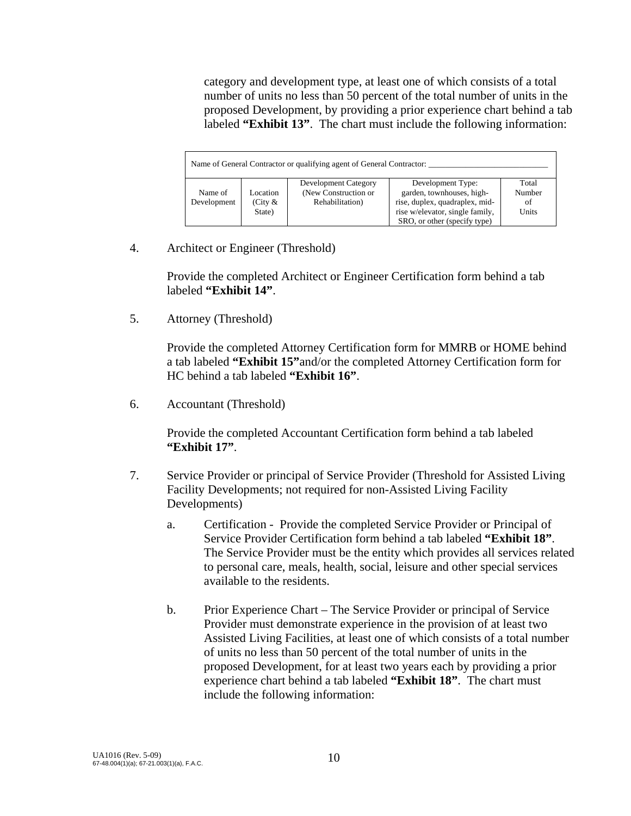category and development type, at least one of which consists of a total number of units no less than 50 percent of the total number of units in the proposed Development, by providing a prior experience chart behind a tab labeled **"Exhibit 13"**. The chart must include the following information:

|                        |                                  | Name of General Contractor or qualifying agent of General Contractor: |                                                                                                                                                     |                                |
|------------------------|----------------------------------|-----------------------------------------------------------------------|-----------------------------------------------------------------------------------------------------------------------------------------------------|--------------------------------|
| Name of<br>Development | Location<br>(City $\&$<br>State) | Development Category<br>(New Construction or<br>Rehabilitation)       | Development Type:<br>garden, townhouses, high-<br>rise, duplex, quadraplex, mid-<br>rise w/elevator, single family,<br>SRO, or other (specify type) | Total<br>Number<br>of<br>Units |

4. Architect or Engineer (Threshold)

Provide the completed Architect or Engineer Certification form behind a tab labeled **"Exhibit 14"**.

5. Attorney (Threshold)

 Provide the completed Attorney Certification form for MMRB or HOME behind a tab labeled **"Exhibit 15"**and/or the completed Attorney Certification form for HC behind a tab labeled **"Exhibit 16"**.

6. Accountant (Threshold)

 Provide the completed Accountant Certification form behind a tab labeled **"Exhibit 17"**.

- 7. Service Provider or principal of Service Provider (Threshold for Assisted Living Facility Developments; not required for non-Assisted Living Facility Developments)
	- a. Certification Provide the completed Service Provider or Principal of Service Provider Certification form behind a tab labeled **"Exhibit 18"**. The Service Provider must be the entity which provides all services related to personal care, meals, health, social, leisure and other special services available to the residents.
	- b. Prior Experience Chart The Service Provider or principal of Service Provider must demonstrate experience in the provision of at least two Assisted Living Facilities, at least one of which consists of a total number of units no less than 50 percent of the total number of units in the proposed Development, for at least two years each by providing a prior experience chart behind a tab labeled **"Exhibit 18"**. The chart must include the following information: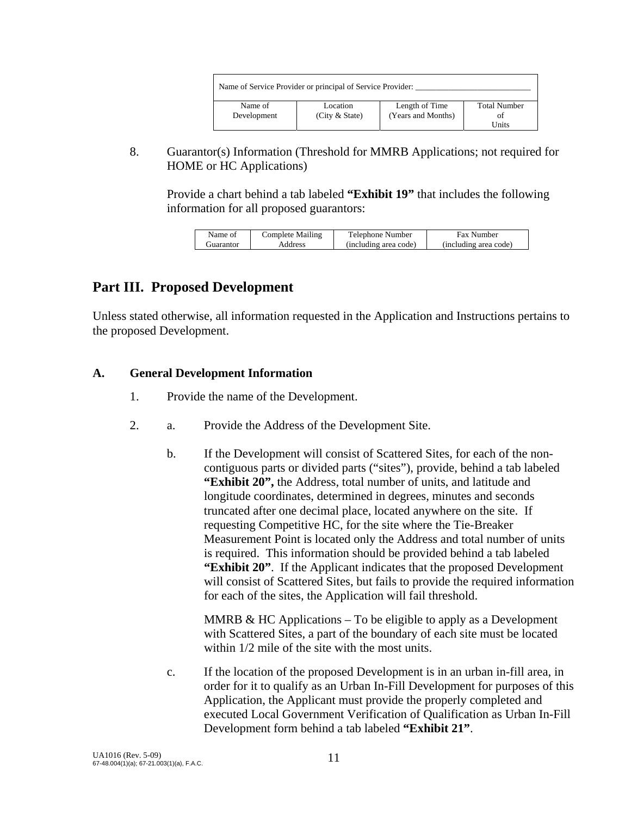| Name of Service Provider or principal of Service Provider: |                |                    |                     |  |
|------------------------------------------------------------|----------------|--------------------|---------------------|--|
| Name of                                                    | Location       | Length of Time     | <b>Total Number</b> |  |
| Development                                                | (City & State) | (Years and Months) | ΩŤ                  |  |
|                                                            |                |                    | Units               |  |

 8. Guarantor(s) Information (Threshold for MMRB Applications; not required for HOME or HC Applications)

Provide a chart behind a tab labeled **"Exhibit 19"** that includes the following information for all proposed guarantors:

| Name of     | Complete Mailing | Telephone Number      | <b>Fax Number</b>     |
|-------------|------------------|-----------------------|-----------------------|
| . juarantor | Address          | (including area code) | (including area code) |

## **Part III. Proposed Development**

Unless stated otherwise, all information requested in the Application and Instructions pertains to the proposed Development.

### **A. General Development Information**

- 1. Provide the name of the Development.
- 2. a. Provide the Address of the Development Site.
	- b. If the Development will consist of Scattered Sites, for each of the noncontiguous parts or divided parts ("sites"), provide, behind a tab labeled **"Exhibit 20",** the Address, total number of units, and latitude and longitude coordinates, determined in degrees, minutes and seconds truncated after one decimal place, located anywhere on the site. If requesting Competitive HC, for the site where the Tie-Breaker Measurement Point is located only the Address and total number of units is required. This information should be provided behind a tab labeled **"Exhibit 20"**. If the Applicant indicates that the proposed Development will consist of Scattered Sites, but fails to provide the required information for each of the sites, the Application will fail threshold.

MMRB  $&$  HC Applications – To be eligible to apply as a Development with Scattered Sites, a part of the boundary of each site must be located within  $1/2$  mile of the site with the most units.

 c. If the location of the proposed Development is in an urban in-fill area, in order for it to qualify as an Urban In-Fill Development for purposes of this Application, the Applicant must provide the properly completed and executed Local Government Verification of Qualification as Urban In-Fill Development form behind a tab labeled **"Exhibit 21"**.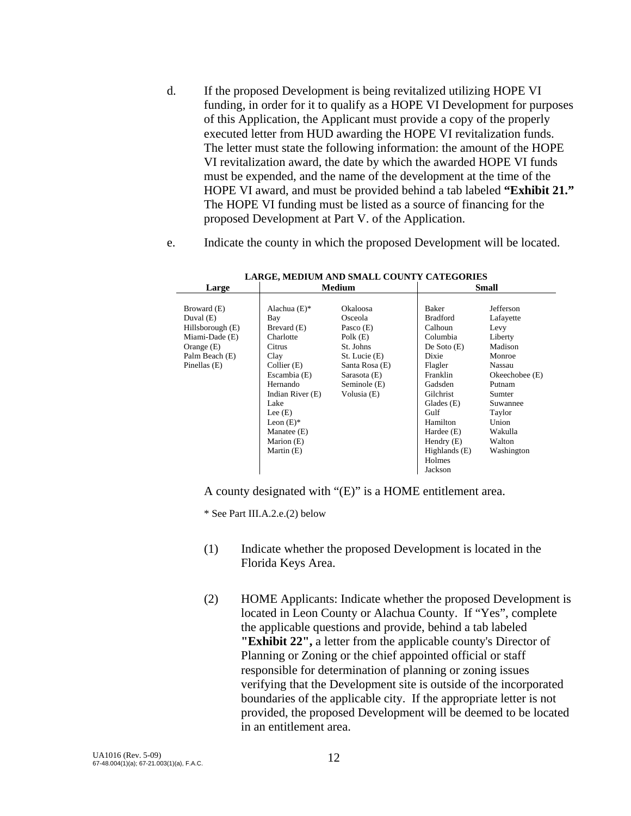- d. If the proposed Development is being revitalized utilizing HOPE VI funding, in order for it to qualify as a HOPE VI Development for purposes of this Application, the Applicant must provide a copy of the properly executed letter from HUD awarding the HOPE VI revitalization funds. The letter must state the following information: the amount of the HOPE VI revitalization award, the date by which the awarded HOPE VI funds must be expended, and the name of the development at the time of the HOPE VI award, and must be provided behind a tab labeled **"Exhibit 21."** The HOPE VI funding must be listed as a source of financing for the proposed Development at Part V. of the Application.
- e.Indicate the county in which the proposed Development will be located.

| Large            | Medium           |                 |                 | <b>Small</b>     |
|------------------|------------------|-----------------|-----------------|------------------|
|                  |                  |                 |                 |                  |
| Broward (E)      | Alachua $(E)$ *  | <b>Okaloosa</b> | Baker           | Jefferson        |
| Duval $(E)$      | Bay              | Osceola         | <b>Bradford</b> | Lafayette        |
| Hillsborough (E) | Brevard (E)      | Pasco $(E)$     | Calhoun         | Levy             |
| Miami-Dade (E)   | Charlotte        | Polk $(E)$      | Columbia        | Liberty          |
| Orange $(E)$     | Citrus           | St. Johns       | De Soto $(E)$   | Madison          |
| Palm Beach (E)   | Clay             | St. Lucie (E)   | Dixie           | Monroe           |
| Pinellas (E)     | Collier (E)      | Santa Rosa (E)  | Flagler         | Nassau           |
|                  | Escambia (E)     | Sarasota (E)    | Franklin        | Okeechobee $(E)$ |
|                  | Hernando         | Seminole (E)    | Gadsden         | Putnam           |
|                  | Indian River (E) | Volusia (E)     | Gilchrist       | Sumter           |
|                  | Lake             |                 | Glades $(E)$    | Suwannee         |
|                  | Lee $(E)$        |                 | Gulf            | Taylor           |
|                  | Leon $(E)$ *     |                 | Hamilton        | Union            |
|                  | Manatee (E)      |                 | Hardee $(E)$    | Wakulla          |
|                  | Marion (E)       |                 | Hendry $(E)$    | Walton           |
|                  | Martin (E)       |                 | Highlands $(E)$ | Washington       |
|                  |                  |                 | Holmes          |                  |
|                  |                  |                 | Jackson         |                  |

**LARGE, MEDIUM AND SMALL COUNTY CATEGORIES** 

A county designated with "(E)" is a HOME entitlement area.

\* See Part III.A.2.e.(2) below

- (1) Indicate whether the proposed Development is located in the Florida Keys Area.
- (2) HOME Applicants: Indicate whether the proposed Development is located in Leon County or Alachua County. If "Yes", complete the applicable questions and provide, behind a tab labeled **"Exhibit 22",** a letter from the applicable county's Director of Planning or Zoning or the chief appointed official or staff responsible for determination of planning or zoning issues verifying that the Development site is outside of the incorporated boundaries of the applicable city. If the appropriate letter is not provided, the proposed Development will be deemed to be located in an entitlement area.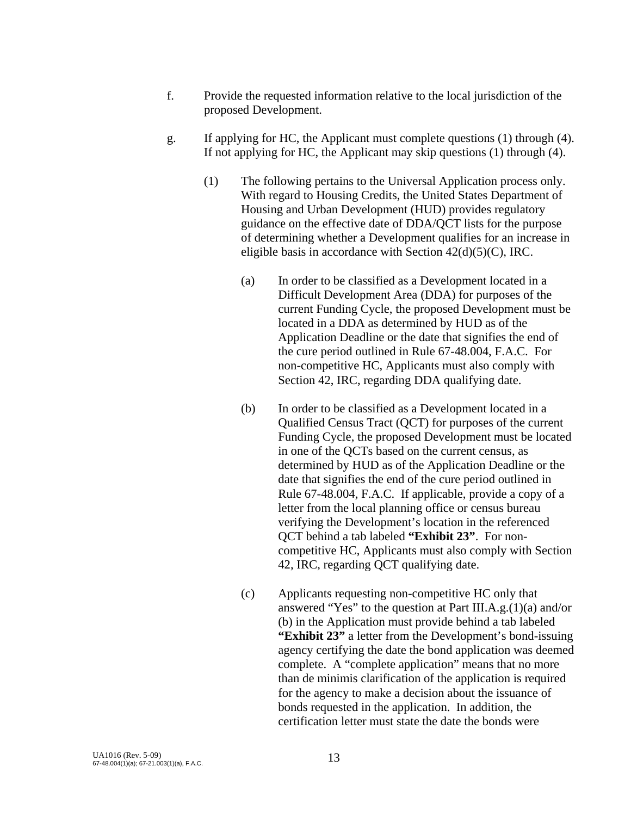- f. Provide the requested information relative to the local jurisdiction of the proposed Development.
- g. If applying for HC, the Applicant must complete questions (1) through (4). If not applying for HC, the Applicant may skip questions (1) through (4).
	- (1) The following pertains to the Universal Application process only. With regard to Housing Credits, the United States Department of Housing and Urban Development (HUD) provides regulatory guidance on the effective date of DDA/QCT lists for the purpose of determining whether a Development qualifies for an increase in eligible basis in accordance with Section  $42(d)(5)(C)$ , IRC.
		- (a) In order to be classified as a Development located in a Difficult Development Area (DDA) for purposes of the current Funding Cycle, the proposed Development must be located in a DDA as determined by HUD as of the Application Deadline or the date that signifies the end of the cure period outlined in Rule 67-48.004, F.A.C. For non-competitive HC, Applicants must also comply with Section 42, IRC, regarding DDA qualifying date.
		- (b) In order to be classified as a Development located in a Qualified Census Tract (QCT) for purposes of the current Funding Cycle, the proposed Development must be located in one of the QCTs based on the current census, as determined by HUD as of the Application Deadline or the date that signifies the end of the cure period outlined in Rule 67-48.004, F.A.C. If applicable, provide a copy of a letter from the local planning office or census bureau verifying the Development's location in the referenced QCT behind a tab labeled **"Exhibit 23"**. For noncompetitive HC, Applicants must also comply with Section 42, IRC, regarding QCT qualifying date.
		- (c) Applicants requesting non-competitive HC only that answered "Yes" to the question at Part III.A.g.(1)(a) and/or (b) in the Application must provide behind a tab labeled **"Exhibit 23"** a letter from the Development's bond-issuing agency certifying the date the bond application was deemed complete. A "complete application" means that no more than de minimis clarification of the application is required for the agency to make a decision about the issuance of bonds requested in the application. In addition, the certification letter must state the date the bonds were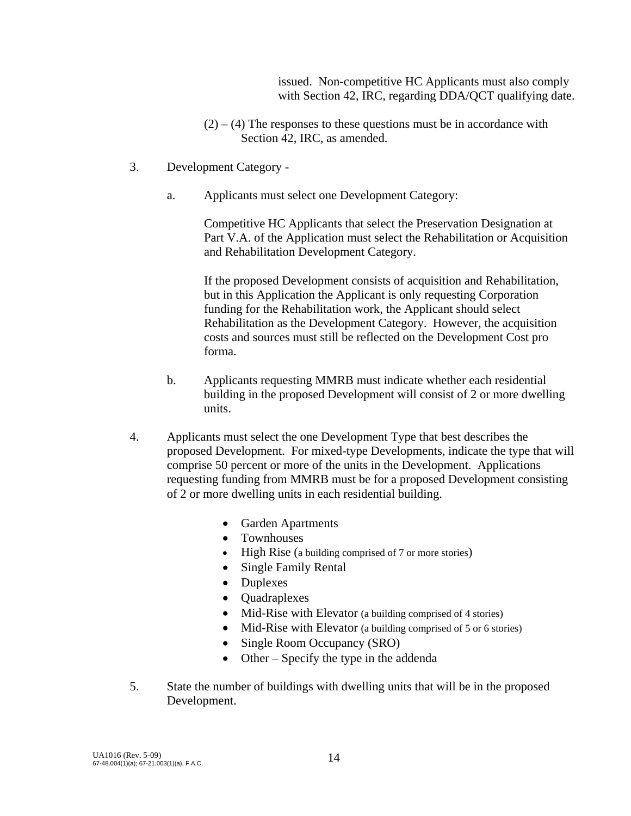issued. Non-competitive HC Applicants must also comply with Section 42, IRC, regarding DDA/QCT qualifying date.

- $(2) (4)$  The responses to these questions must be in accordance with Section 42, IRC, as amended.
- 3. Development Category
	- a. Applicants must select one Development Category:

 Competitive HC Applicants that select the Preservation Designation at Part V.A. of the Application must select the Rehabilitation or Acquisition and Rehabilitation Development Category.

If the proposed Development consists of acquisition and Rehabilitation, but in this Application the Applicant is only requesting Corporation funding for the Rehabilitation work, the Applicant should select Rehabilitation as the Development Category. However, the acquisition costs and sources must still be reflected on the Development Cost pro forma.

- b. Applicants requesting MMRB must indicate whether each residential building in the proposed Development will consist of 2 or more dwelling units.
- 4. Applicants must select the one Development Type that best describes the proposed Development. For mixed-type Developments, indicate the type that will comprise 50 percent or more of the units in the Development. Applications requesting funding from MMRB must be for a proposed Development consisting of 2 or more dwelling units in each residential building.
	- Garden Apartments
	- Townhouses
	- High Rise (a building comprised of 7 or more stories)
	- Single Family Rental
	- Duplexes
	- Quadraplexes
	- Mid-Rise with Elevator (a building comprised of 4 stories)
	- Mid-Rise with Elevator (a building comprised of 5 or 6 stories)
	- Single Room Occupancy (SRO)
	- Other Specify the type in the addenda
- 5. State the number of buildings with dwelling units that will be in the proposed Development.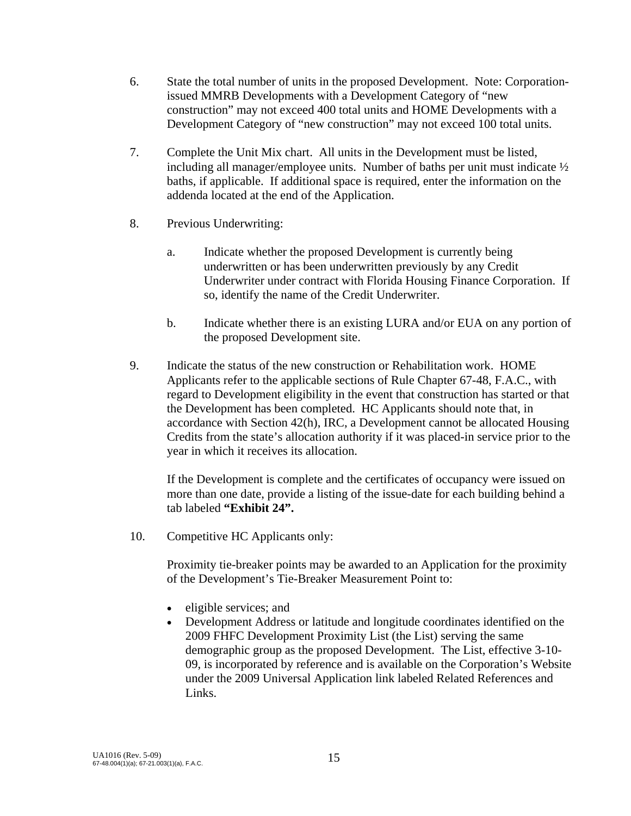- 6. State the total number of units in the proposed Development. Note: Corporationissued MMRB Developments with a Development Category of "new construction" may not exceed 400 total units and HOME Developments with a Development Category of "new construction" may not exceed 100 total units.
- 7. Complete the Unit Mix chart. All units in the Development must be listed, including all manager/employee units. Number of baths per unit must indicate  $\frac{1}{2}$ baths, if applicable. If additional space is required, enter the information on the addenda located at the end of the Application.
- 8. Previous Underwriting:
	- a. Indicate whether the proposed Development is currently being underwritten or has been underwritten previously by any Credit Underwriter under contract with Florida Housing Finance Corporation. If so, identify the name of the Credit Underwriter.
	- b. Indicate whether there is an existing LURA and/or EUA on any portion of the proposed Development site.
- 9. Indicate the status of the new construction or Rehabilitation work. HOME Applicants refer to the applicable sections of Rule Chapter 67-48, F.A.C., with regard to Development eligibility in the event that construction has started or that the Development has been completed. HC Applicants should note that, in accordance with Section 42(h), IRC, a Development cannot be allocated Housing Credits from the state's allocation authority if it was placed-in service prior to the year in which it receives its allocation.

 If the Development is complete and the certificates of occupancy were issued on more than one date, provide a listing of the issue-date for each building behind a tab labeled **"Exhibit 24".** 

10. Competitive HC Applicants only:

 Proximity tie-breaker points may be awarded to an Application for the proximity of the Development's Tie-Breaker Measurement Point to:

- eligible services; and
- Development Address or latitude and longitude coordinates identified on the 2009 FHFC Development Proximity List (the List) serving the same demographic group as the proposed Development. The List, effective 3-10- 09, is incorporated by reference and is available on the Corporation's Website under the 2009 Universal Application link labeled Related References and Links.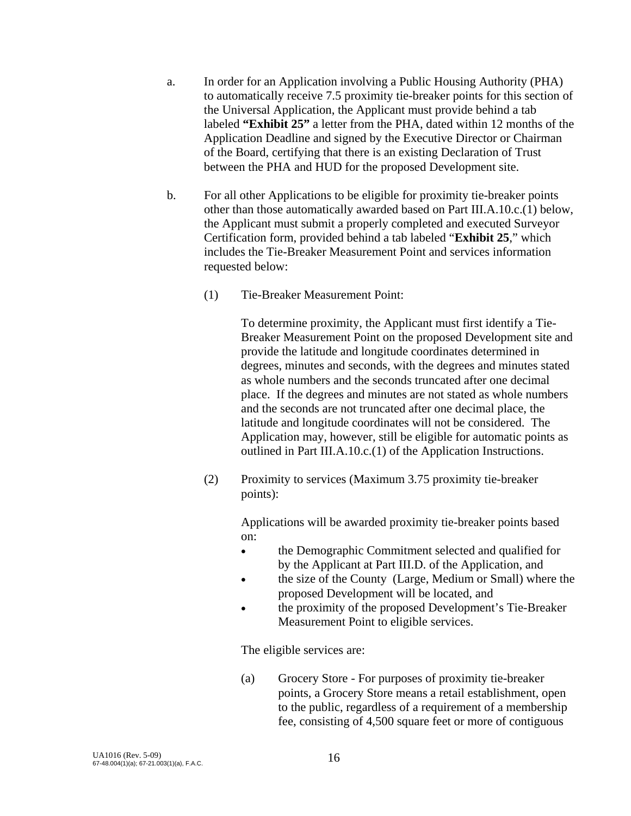- a. In order for an Application involving a Public Housing Authority (PHA) to automatically receive 7.5 proximity tie-breaker points for this section of the Universal Application, the Applicant must provide behind a tab labeled **"Exhibit 25"** a letter from the PHA, dated within 12 months of the Application Deadline and signed by the Executive Director or Chairman of the Board, certifying that there is an existing Declaration of Trust between the PHA and HUD for the proposed Development site.
- b. For all other Applications to be eligible for proximity tie-breaker points other than those automatically awarded based on Part III.A.10.c.(1) below, the Applicant must submit a properly completed and executed Surveyor Certification form, provided behind a tab labeled "**Exhibit 25**," which includes the Tie-Breaker Measurement Point and services information requested below:
	- (1) Tie-Breaker Measurement Point:

 To determine proximity, the Applicant must first identify a Tie-Breaker Measurement Point on the proposed Development site and provide the latitude and longitude coordinates determined in degrees, minutes and seconds, with the degrees and minutes stated as whole numbers and the seconds truncated after one decimal place. If the degrees and minutes are not stated as whole numbers and the seconds are not truncated after one decimal place, the latitude and longitude coordinates will not be considered. The Application may, however, still be eligible for automatic points as outlined in Part III.A.10.c.(1) of the Application Instructions.

 (2) Proximity to services (Maximum 3.75 proximity tie-breaker points):

> Applications will be awarded proximity tie-breaker points based on:

- the Demographic Commitment selected and qualified for by the Applicant at Part III.D. of the Application, and
- the size of the County (Large, Medium or Small) where the proposed Development will be located, and
- the proximity of the proposed Development's Tie-Breaker Measurement Point to eligible services.

The eligible services are:

 (a) Grocery Store - For purposes of proximity tie-breaker points, a Grocery Store means a retail establishment, open to the public, regardless of a requirement of a membership fee, consisting of 4,500 square feet or more of contiguous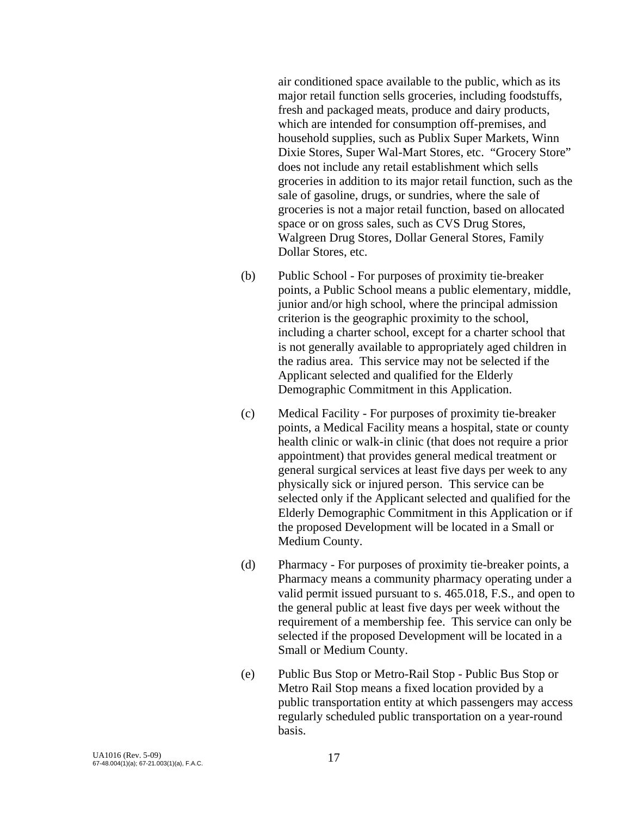air conditioned space available to the public, which as its major retail function sells groceries, including foodstuffs, fresh and packaged meats, produce and dairy products, which are intended for consumption off-premises, and household supplies, such as Publix Super Markets, Winn Dixie Stores, Super Wal-Mart Stores, etc. "Grocery Store" does not include any retail establishment which sells groceries in addition to its major retail function, such as the sale of gasoline, drugs, or sundries, where the sale of groceries is not a major retail function, based on allocated space or on gross sales, such as CVS Drug Stores, Walgreen Drug Stores, Dollar General Stores, Family Dollar Stores, etc.

- (b) Public School For purposes of proximity tie-breaker points, a Public School means a public elementary, middle, junior and/or high school, where the principal admission criterion is the geographic proximity to the school, including a charter school, except for a charter school that is not generally available to appropriately aged children in the radius area. This service may not be selected if the Applicant selected and qualified for the Elderly Demographic Commitment in this Application.
- (c) Medical Facility For purposes of proximity tie-breaker points, a Medical Facility means a hospital, state or county health clinic or walk-in clinic (that does not require a prior appointment) that provides general medical treatment or general surgical services at least five days per week to any physically sick or injured person. This service can be selected only if the Applicant selected and qualified for the Elderly Demographic Commitment in this Application or if the proposed Development will be located in a Small or Medium County.
- (d) Pharmacy For purposes of proximity tie-breaker points, a Pharmacy means a community pharmacy operating under a valid permit issued pursuant to s. 465.018, F.S., and open to the general public at least five days per week without the requirement of a membership fee. This service can only be selected if the proposed Development will be located in a Small or Medium County.
- (e) Public Bus Stop or Metro-Rail Stop Public Bus Stop or Metro Rail Stop means a fixed location provided by a public transportation entity at which passengers may access regularly scheduled public transportation on a year-round basis.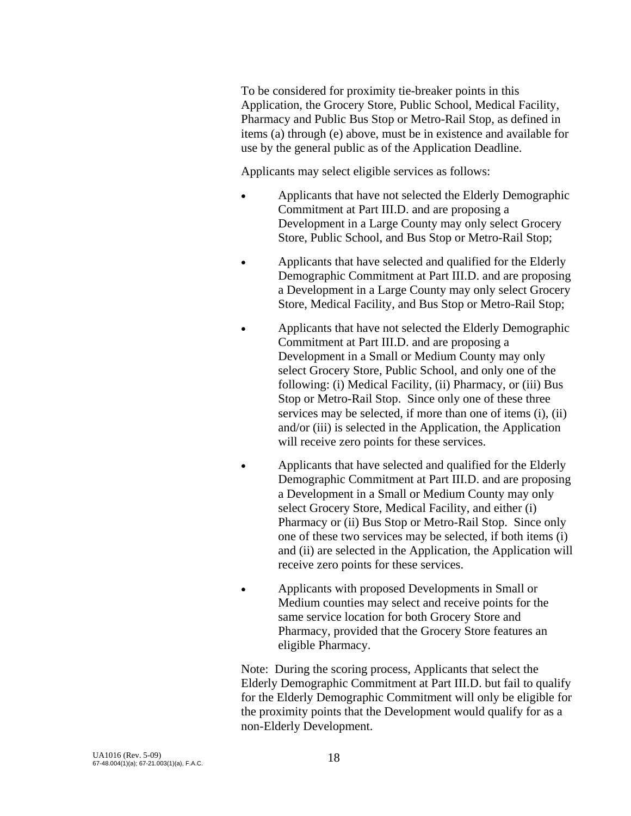To be considered for proximity tie-breaker points in this Application, the Grocery Store, Public School, Medical Facility, Pharmacy and Public Bus Stop or Metro-Rail Stop, as defined in items (a) through (e) above, must be in existence and available for use by the general public as of the Application Deadline.

Applicants may select eligible services as follows:

- Applicants that have not selected the Elderly Demographic Commitment at Part III.D. and are proposing a Development in a Large County may only select Grocery Store, Public School, and Bus Stop or Metro-Rail Stop;
- Applicants that have selected and qualified for the Elderly Demographic Commitment at Part III.D. and are proposing a Development in a Large County may only select Grocery Store, Medical Facility, and Bus Stop or Metro-Rail Stop;
- Applicants that have not selected the Elderly Demographic Commitment at Part III.D. and are proposing a Development in a Small or Medium County may only select Grocery Store, Public School, and only one of the following: (i) Medical Facility, (ii) Pharmacy, or (iii) Bus Stop or Metro-Rail Stop. Since only one of these three services may be selected, if more than one of items (i), (ii) and/or (iii) is selected in the Application, the Application will receive zero points for these services.
- Applicants that have selected and qualified for the Elderly Demographic Commitment at Part III.D. and are proposing a Development in a Small or Medium County may only select Grocery Store, Medical Facility, and either (i) Pharmacy or (ii) Bus Stop or Metro-Rail Stop. Since only one of these two services may be selected, if both items (i) and (ii) are selected in the Application, the Application will receive zero points for these services.
- Applicants with proposed Developments in Small or Medium counties may select and receive points for the same service location for both Grocery Store and Pharmacy, provided that the Grocery Store features an eligible Pharmacy.

Note: During the scoring process, Applicants that select the Elderly Demographic Commitment at Part III.D. but fail to qualify for the Elderly Demographic Commitment will only be eligible for the proximity points that the Development would qualify for as a non-Elderly Development.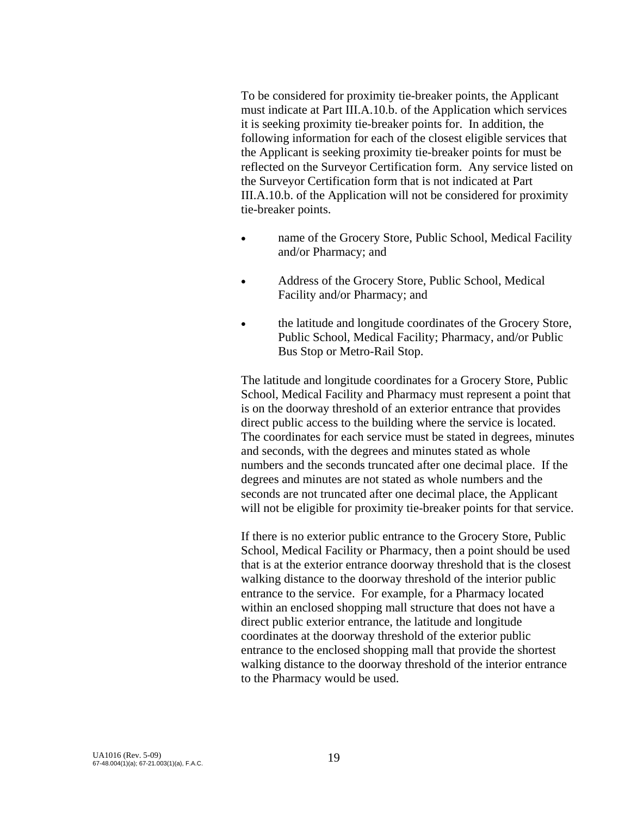To be considered for proximity tie-breaker points, the Applicant must indicate at Part III.A.10.b. of the Application which services it is seeking proximity tie-breaker points for. In addition, the following information for each of the closest eligible services that the Applicant is seeking proximity tie-breaker points for must be reflected on the Surveyor Certification form. Any service listed on the Surveyor Certification form that is not indicated at Part III.A.10.b. of the Application will not be considered for proximity tie-breaker points.

- name of the Grocery Store, Public School, Medical Facility and/or Pharmacy; and
- Address of the Grocery Store, Public School, Medical Facility and/or Pharmacy; and
- the latitude and longitude coordinates of the Grocery Store, Public School, Medical Facility; Pharmacy, and/or Public Bus Stop or Metro-Rail Stop.

 The latitude and longitude coordinates for a Grocery Store, Public School, Medical Facility and Pharmacy must represent a point that is on the doorway threshold of an exterior entrance that provides direct public access to the building where the service is located. The coordinates for each service must be stated in degrees, minutes and seconds, with the degrees and minutes stated as whole numbers and the seconds truncated after one decimal place. If the degrees and minutes are not stated as whole numbers and the seconds are not truncated after one decimal place, the Applicant will not be eligible for proximity tie-breaker points for that service.

 If there is no exterior public entrance to the Grocery Store, Public School, Medical Facility or Pharmacy, then a point should be used that is at the exterior entrance doorway threshold that is the closest walking distance to the doorway threshold of the interior public entrance to the service. For example, for a Pharmacy located within an enclosed shopping mall structure that does not have a direct public exterior entrance, the latitude and longitude coordinates at the doorway threshold of the exterior public entrance to the enclosed shopping mall that provide the shortest walking distance to the doorway threshold of the interior entrance to the Pharmacy would be used.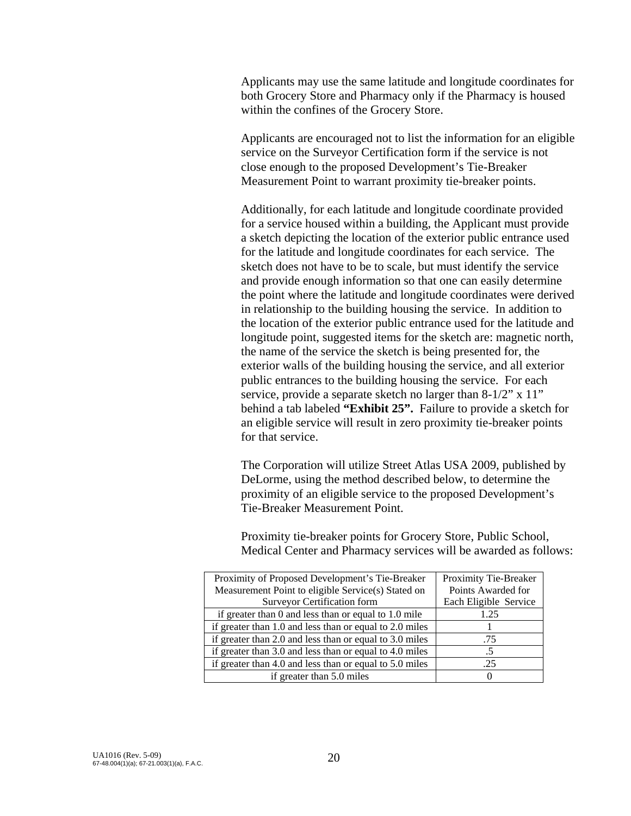Applicants may use the same latitude and longitude coordinates for both Grocery Store and Pharmacy only if the Pharmacy is housed within the confines of the Grocery Store.

Applicants are encouraged not to list the information for an eligible service on the Surveyor Certification form if the service is not close enough to the proposed Development's Tie-Breaker Measurement Point to warrant proximity tie-breaker points.

Additionally, for each latitude and longitude coordinate provided for a service housed within a building, the Applicant must provide a sketch depicting the location of the exterior public entrance used for the latitude and longitude coordinates for each service. The sketch does not have to be to scale, but must identify the service and provide enough information so that one can easily determine the point where the latitude and longitude coordinates were derived in relationship to the building housing the service. In addition to the location of the exterior public entrance used for the latitude and longitude point, suggested items for the sketch are: magnetic north, the name of the service the sketch is being presented for, the exterior walls of the building housing the service, and all exterior public entrances to the building housing the service. For each service, provide a separate sketch no larger than 8-1/2" x 11" behind a tab labeled **"Exhibit 25".** Failure to provide a sketch for an eligible service will result in zero proximity tie-breaker points for that service.

 The Corporation will utilize Street Atlas USA 2009, published by DeLorme, using the method described below, to determine the proximity of an eligible service to the proposed Development's Tie-Breaker Measurement Point.

 Proximity tie-breaker points for Grocery Store, Public School, Medical Center and Pharmacy services will be awarded as follows:

| Proximity of Proposed Development's Tie-Breaker         | Proximity Tie-Breaker |
|---------------------------------------------------------|-----------------------|
| Measurement Point to eligible Service(s) Stated on      | Points Awarded for    |
| <b>Surveyor Certification form</b>                      | Each Eligible Service |
| if greater than 0 and less than or equal to 1.0 mile    | 1.25                  |
| if greater than 1.0 and less than or equal to 2.0 miles |                       |
| if greater than 2.0 and less than or equal to 3.0 miles | .75                   |
| if greater than 3.0 and less than or equal to 4.0 miles |                       |
| if greater than 4.0 and less than or equal to 5.0 miles | .25                   |
| if greater than 5.0 miles                               |                       |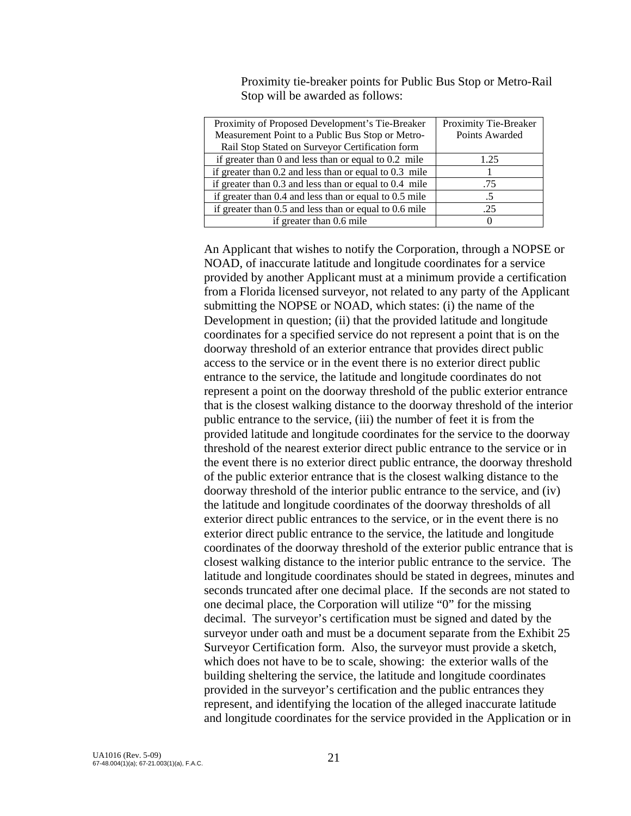Proximity tie-breaker points for Public Bus Stop or Metro-Rail Stop will be awarded as follows:

| Proximity of Proposed Development's Tie-Breaker            | Proximity Tie-Breaker |
|------------------------------------------------------------|-----------------------|
| Measurement Point to a Public Bus Stop or Metro-           | Points Awarded        |
| Rail Stop Stated on Surveyor Certification form            |                       |
| if greater than $0$ and less than or equal to $0.2$ mile   | 1.25                  |
| if greater than $0.2$ and less than or equal to $0.3$ mile |                       |
| if greater than $0.3$ and less than or equal to $0.4$ mile | .75                   |
| if greater than $0.4$ and less than or equal to $0.5$ mile |                       |
| if greater than $0.5$ and less than or equal to $0.6$ mile | .25                   |
| if greater than 0.6 mile                                   |                       |
|                                                            |                       |

 An Applicant that wishes to notify the Corporation, through a NOPSE or NOAD, of inaccurate latitude and longitude coordinates for a service provided by another Applicant must at a minimum provide a certification from a Florida licensed surveyor, not related to any party of the Applicant submitting the NOPSE or NOAD, which states: (i) the name of the Development in question; (ii) that the provided latitude and longitude coordinates for a specified service do not represent a point that is on the doorway threshold of an exterior entrance that provides direct public access to the service or in the event there is no exterior direct public entrance to the service, the latitude and longitude coordinates do not represent a point on the doorway threshold of the public exterior entrance that is the closest walking distance to the doorway threshold of the interior public entrance to the service, (iii) the number of feet it is from the provided latitude and longitude coordinates for the service to the doorway threshold of the nearest exterior direct public entrance to the service or in the event there is no exterior direct public entrance, the doorway threshold of the public exterior entrance that is the closest walking distance to the doorway threshold of the interior public entrance to the service, and (iv) the latitude and longitude coordinates of the doorway thresholds of all exterior direct public entrances to the service, or in the event there is no exterior direct public entrance to the service, the latitude and longitude coordinates of the doorway threshold of the exterior public entrance that is closest walking distance to the interior public entrance to the service. The latitude and longitude coordinates should be stated in degrees, minutes and seconds truncated after one decimal place. If the seconds are not stated to one decimal place, the Corporation will utilize "0" for the missing decimal. The surveyor's certification must be signed and dated by the surveyor under oath and must be a document separate from the Exhibit 25 Surveyor Certification form. Also, the surveyor must provide a sketch, which does not have to be to scale, showing: the exterior walls of the building sheltering the service, the latitude and longitude coordinates provided in the surveyor's certification and the public entrances they represent, and identifying the location of the alleged inaccurate latitude and longitude coordinates for the service provided in the Application or in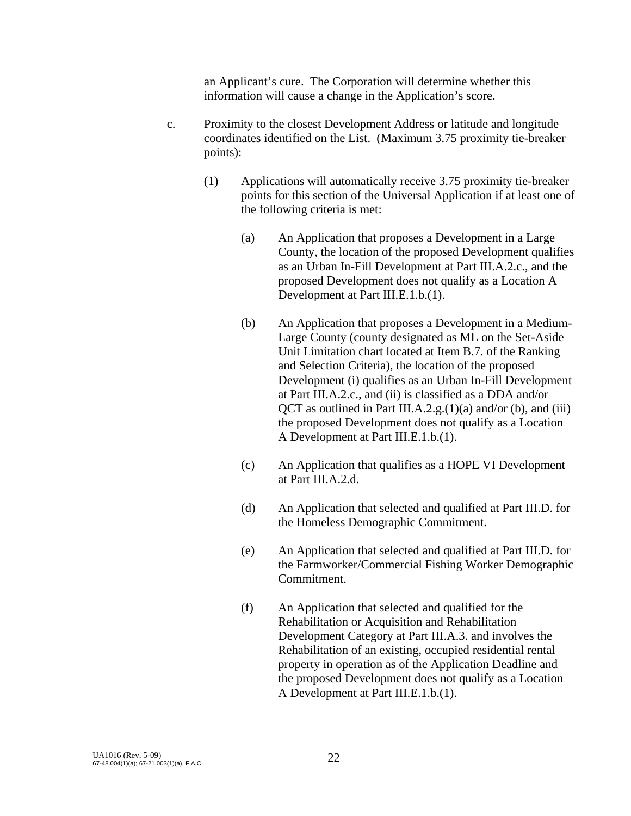an Applicant's cure. The Corporation will determine whether this information will cause a change in the Application's score.

- c. Proximity to the closest Development Address or latitude and longitude coordinates identified on the List. (Maximum 3.75 proximity tie-breaker points):
	- (1) Applications will automatically receive 3.75 proximity tie-breaker points for this section of the Universal Application if at least one of the following criteria is met:
		- (a) An Application that proposes a Development in a Large County, the location of the proposed Development qualifies as an Urban In-Fill Development at Part III.A.2.c., and the proposed Development does not qualify as a Location A Development at Part III.E.1.b.(1).
		- (b) An Application that proposes a Development in a Medium-Large County (county designated as ML on the Set-Aside Unit Limitation chart located at Item B.7. of the Ranking and Selection Criteria), the location of the proposed Development (i) qualifies as an Urban In-Fill Development at Part III.A.2.c., and (ii) is classified as a DDA and/or  $QCT$  as outlined in Part III.A.2.g.(1)(a) and/or (b), and (iii) the proposed Development does not qualify as a Location A Development at Part III.E.1.b.(1).
		- (c) An Application that qualifies as a HOPE VI Development at Part III.A.2.d.
		- (d) An Application that selected and qualified at Part III.D. for the Homeless Demographic Commitment.
		- (e) An Application that selected and qualified at Part III.D. for the Farmworker/Commercial Fishing Worker Demographic Commitment.
		- (f) An Application that selected and qualified for the Rehabilitation or Acquisition and Rehabilitation Development Category at Part III.A.3. and involves the Rehabilitation of an existing, occupied residential rental property in operation as of the Application Deadline and the proposed Development does not qualify as a Location A Development at Part III.E.1.b.(1).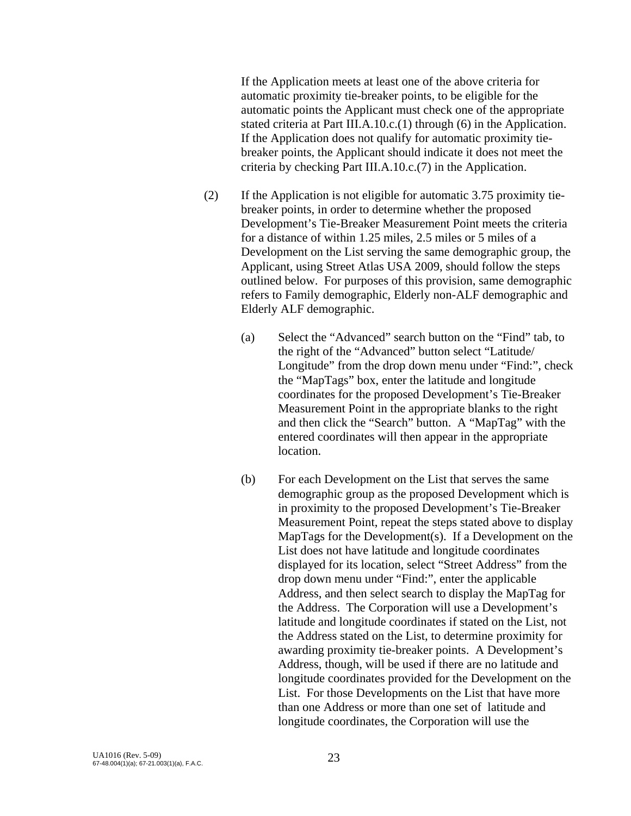If the Application meets at least one of the above criteria for automatic proximity tie-breaker points, to be eligible for the automatic points the Applicant must check one of the appropriate stated criteria at Part III.A.10.c.(1) through (6) in the Application. If the Application does not qualify for automatic proximity tiebreaker points, the Applicant should indicate it does not meet the criteria by checking Part III.A.10.c.(7) in the Application.

- (2) If the Application is not eligible for automatic 3.75 proximity tiebreaker points, in order to determine whether the proposed Development's Tie-Breaker Measurement Point meets the criteria for a distance of within 1.25 miles, 2.5 miles or 5 miles of a Development on the List serving the same demographic group, the Applicant, using Street Atlas USA 2009, should follow the steps outlined below. For purposes of this provision, same demographic refers to Family demographic, Elderly non-ALF demographic and Elderly ALF demographic.
	- (a) Select the "Advanced" search button on the "Find" tab, to the right of the "Advanced" button select "Latitude/ Longitude" from the drop down menu under "Find:", check the "MapTags" box, enter the latitude and longitude coordinates for the proposed Development's Tie-Breaker Measurement Point in the appropriate blanks to the right and then click the "Search" button. A "MapTag" with the entered coordinates will then appear in the appropriate location.
	- (b) For each Development on the List that serves the same demographic group as the proposed Development which is in proximity to the proposed Development's Tie-Breaker Measurement Point, repeat the steps stated above to display MapTags for the Development(s). If a Development on the List does not have latitude and longitude coordinates displayed for its location, select "Street Address" from the drop down menu under "Find:", enter the applicable Address, and then select search to display the MapTag for the Address. The Corporation will use a Development's latitude and longitude coordinates if stated on the List, not the Address stated on the List, to determine proximity for awarding proximity tie-breaker points. A Development's Address, though, will be used if there are no latitude and longitude coordinates provided for the Development on the List. For those Developments on the List that have more than one Address or more than one set of latitude and longitude coordinates, the Corporation will use the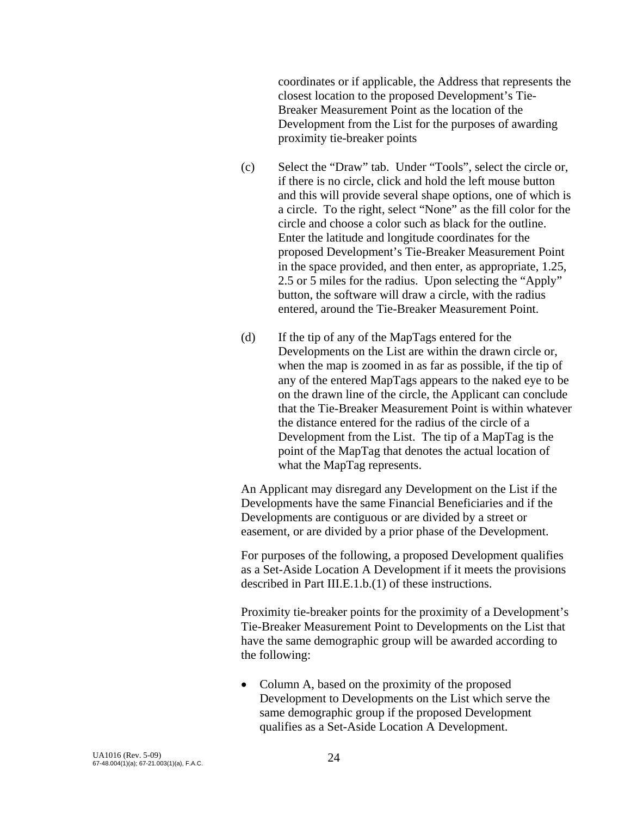coordinates or if applicable, the Address that represents the closest location to the proposed Development's Tie-Breaker Measurement Point as the location of the Development from the List for the purposes of awarding proximity tie-breaker points

- (c) Select the "Draw" tab. Under "Tools", select the circle or, if there is no circle, click and hold the left mouse button and this will provide several shape options, one of which is a circle. To the right, select "None" as the fill color for the circle and choose a color such as black for the outline. Enter the latitude and longitude coordinates for the proposed Development's Tie-Breaker Measurement Point in the space provided, and then enter, as appropriate, 1.25, 2.5 or 5 miles for the radius. Upon selecting the "Apply" button, the software will draw a circle, with the radius entered, around the Tie-Breaker Measurement Point.
- (d) If the tip of any of the MapTags entered for the Developments on the List are within the drawn circle or, when the map is zoomed in as far as possible, if the tip of any of the entered MapTags appears to the naked eye to be on the drawn line of the circle, the Applicant can conclude that the Tie-Breaker Measurement Point is within whatever the distance entered for the radius of the circle of a Development from the List. The tip of a MapTag is the point of the MapTag that denotes the actual location of what the MapTag represents.

 An Applicant may disregard any Development on the List if the Developments have the same Financial Beneficiaries and if the Developments are contiguous or are divided by a street or easement, or are divided by a prior phase of the Development.

 For purposes of the following, a proposed Development qualifies as a Set-Aside Location A Development if it meets the provisions described in Part III.E.1.b.(1) of these instructions.

Proximity tie-breaker points for the proximity of a Development's Tie-Breaker Measurement Point to Developments on the List that have the same demographic group will be awarded according to the following:

• Column A, based on the proximity of the proposed Development to Developments on the List which serve the same demographic group if the proposed Development qualifies as a Set-Aside Location A Development.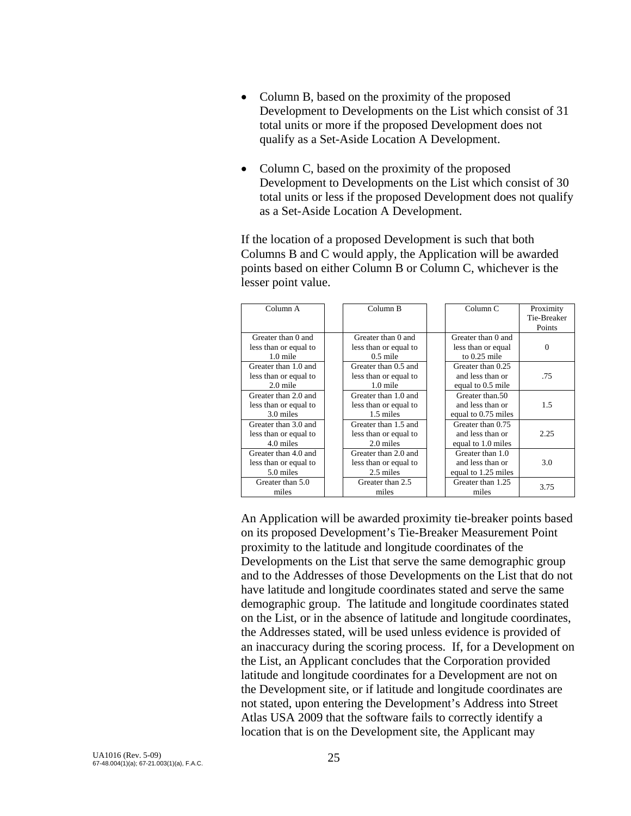- Column B, based on the proximity of the proposed Development to Developments on the List which consist of 31 total units or more if the proposed Development does not qualify as a Set-Aside Location A Development.
- Column C, based on the proximity of the proposed Development to Developments on the List which consist of 30 total units or less if the proposed Development does not qualify as a Set-Aside Location A Development.

If the location of a proposed Development is such that both Columns B and C would apply, the Application will be awarded points based on either Column B or Column C, whichever is the lesser point value.

| Column A              | Column B              | Column <sub>C</sub> | Proximity   |
|-----------------------|-----------------------|---------------------|-------------|
|                       |                       |                     | Tie-Breaker |
|                       |                       |                     | Points      |
| Greater than 0 and    | Greater than 0 and    | Greater than 0 and  |             |
| less than or equal to | less than or equal to | less than or equal  | $\Omega$    |
| $1.0$ mile            | $0.5$ mile            | to $0.25$ mile      |             |
| Greater than 1.0 and  | Greater than 0.5 and  | Greater than 0.25   |             |
| less than or equal to | less than or equal to | and less than or    | .75         |
| $2.0$ mile            | $1.0$ mile            | equal to 0.5 mile   |             |
| Greater than 2.0 and  | Greater than 1.0 and  | Greater than 50     |             |
| less than or equal to | less than or equal to | and less than or    | 1.5         |
| 3.0 miles             | 1.5 miles             | equal to 0.75 miles |             |
| Greater than 3.0 and  | Greater than 1.5 and  | Greater than 0.75   |             |
| less than or equal to | less than or equal to | and less than or    | 2.25        |
| 4.0 miles             | 2.0 miles             | equal to 1.0 miles  |             |
| Greater than 4.0 and  | Greater than 2.0 and  | Greater than 1.0    |             |
| less than or equal to | less than or equal to | and less than or    | 3.0         |
| 5.0 miles             | 2.5 miles             | equal to 1.25 miles |             |
| Greater than 5.0      | Greater than 2.5      | Greater than 1.25   | 3.75        |
| miles                 | miles                 | miles               |             |

 An Application will be awarded proximity tie-breaker points based on its proposed Development's Tie-Breaker Measurement Point proximity to the latitude and longitude coordinates of the Developments on the List that serve the same demographic group and to the Addresses of those Developments on the List that do not have latitude and longitude coordinates stated and serve the same demographic group. The latitude and longitude coordinates stated on the List, or in the absence of latitude and longitude coordinates, the Addresses stated, will be used unless evidence is provided of an inaccuracy during the scoring process. If, for a Development on the List, an Applicant concludes that the Corporation provided latitude and longitude coordinates for a Development are not on the Development site, or if latitude and longitude coordinates are not stated, upon entering the Development's Address into Street Atlas USA 2009 that the software fails to correctly identify a location that is on the Development site, the Applicant may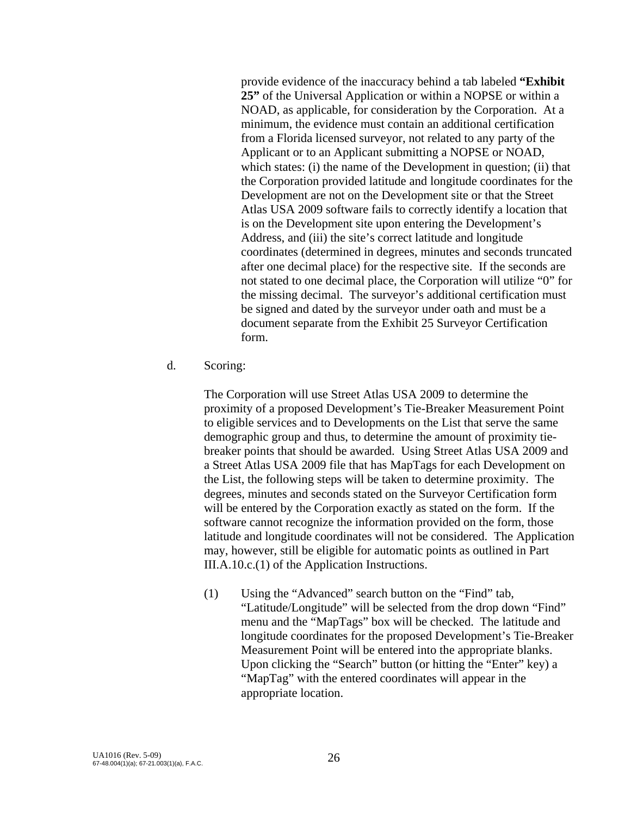provide evidence of the inaccuracy behind a tab labeled **"Exhibit 25"** of the Universal Application or within a NOPSE or within a NOAD, as applicable, for consideration by the Corporation. At a minimum, the evidence must contain an additional certification from a Florida licensed surveyor, not related to any party of the Applicant or to an Applicant submitting a NOPSE or NOAD, which states: (i) the name of the Development in question; (ii) that the Corporation provided latitude and longitude coordinates for the Development are not on the Development site or that the Street Atlas USA 2009 software fails to correctly identify a location that is on the Development site upon entering the Development's Address, and (iii) the site's correct latitude and longitude coordinates (determined in degrees, minutes and seconds truncated after one decimal place) for the respective site. If the seconds are not stated to one decimal place, the Corporation will utilize "0" for the missing decimal. The surveyor's additional certification must be signed and dated by the surveyor under oath and must be a document separate from the Exhibit 25 Surveyor Certification form.

d. Scoring:

The Corporation will use Street Atlas USA 2009 to determine the proximity of a proposed Development's Tie-Breaker Measurement Point to eligible services and to Developments on the List that serve the same demographic group and thus, to determine the amount of proximity tiebreaker points that should be awarded. Using Street Atlas USA 2009 and a Street Atlas USA 2009 file that has MapTags for each Development on the List, the following steps will be taken to determine proximity. The degrees, minutes and seconds stated on the Surveyor Certification form will be entered by the Corporation exactly as stated on the form. If the software cannot recognize the information provided on the form, those latitude and longitude coordinates will not be considered. The Application may, however, still be eligible for automatic points as outlined in Part III.A.10.c.(1) of the Application Instructions.

(1) Using the "Advanced" search button on the "Find" tab, "Latitude/Longitude" will be selected from the drop down "Find" menu and the "MapTags" box will be checked. The latitude and longitude coordinates for the proposed Development's Tie-Breaker Measurement Point will be entered into the appropriate blanks. Upon clicking the "Search" button (or hitting the "Enter" key) a "MapTag" with the entered coordinates will appear in the appropriate location.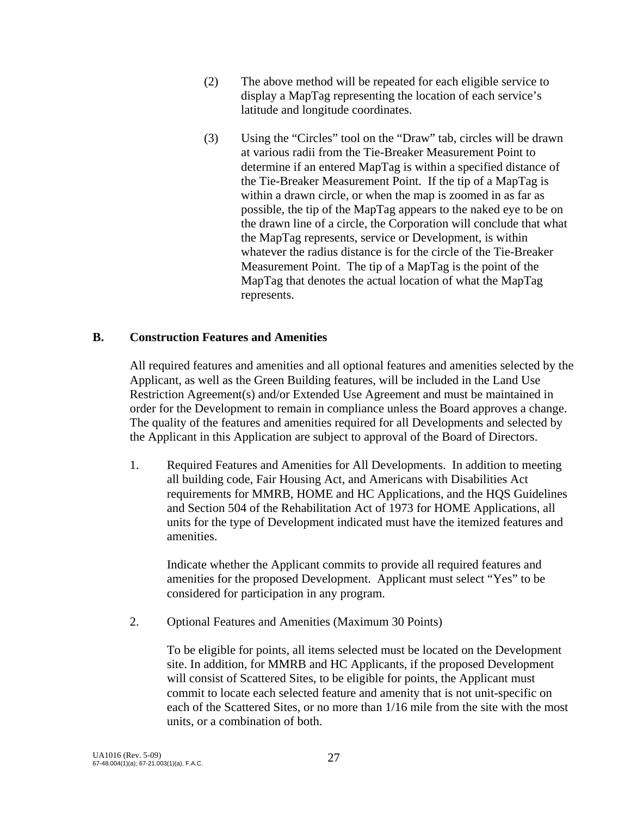- (2) The above method will be repeated for each eligible service to display a MapTag representing the location of each service's latitude and longitude coordinates.
- (3) Using the "Circles" tool on the "Draw" tab, circles will be drawn at various radii from the Tie-Breaker Measurement Point to determine if an entered MapTag is within a specified distance of the Tie-Breaker Measurement Point. If the tip of a MapTag is within a drawn circle, or when the map is zoomed in as far as possible, the tip of the MapTag appears to the naked eye to be on the drawn line of a circle, the Corporation will conclude that what the MapTag represents, service or Development, is within whatever the radius distance is for the circle of the Tie-Breaker Measurement Point. The tip of a MapTag is the point of the MapTag that denotes the actual location of what the MapTag represents.

### **B. Construction Features and Amenities**

 All required features and amenities and all optional features and amenities selected by the Applicant, as well as the Green Building features, will be included in the Land Use Restriction Agreement(s) and/or Extended Use Agreement and must be maintained in order for the Development to remain in compliance unless the Board approves a change. The quality of the features and amenities required for all Developments and selected by the Applicant in this Application are subject to approval of the Board of Directors.

 1. Required Features and Amenities for All Developments. In addition to meeting all building code, Fair Housing Act, and Americans with Disabilities Act requirements for MMRB, HOME and HC Applications, and the HQS Guidelines and Section 504 of the Rehabilitation Act of 1973 for HOME Applications, all units for the type of Development indicated must have the itemized features and amenities.

 Indicate whether the Applicant commits to provide all required features and amenities for the proposed Development. Applicant must select "Yes" to be considered for participation in any program.

2. Optional Features and Amenities (Maximum 30 Points)

 To be eligible for points, all items selected must be located on the Development site. In addition, for MMRB and HC Applicants, if the proposed Development will consist of Scattered Sites, to be eligible for points, the Applicant must commit to locate each selected feature and amenity that is not unit-specific on each of the Scattered Sites, or no more than 1/16 mile from the site with the most units, or a combination of both.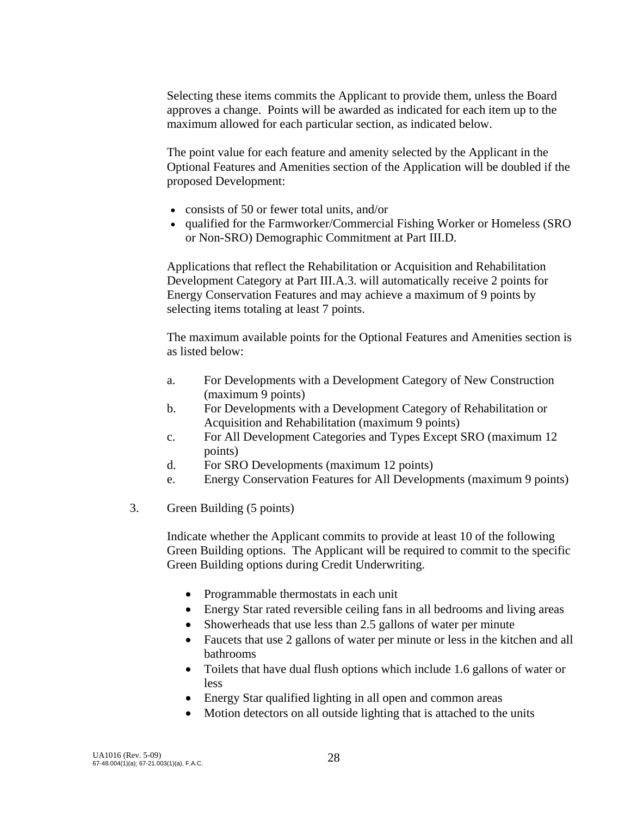Selecting these items commits the Applicant to provide them, unless the Board approves a change. Points will be awarded as indicated for each item up to the maximum allowed for each particular section, as indicated below.

 The point value for each feature and amenity selected by the Applicant in the Optional Features and Amenities section of the Application will be doubled if the proposed Development:

- consists of 50 or fewer total units, and/or
- qualified for the Farmworker/Commercial Fishing Worker or Homeless (SRO) or Non-SRO) Demographic Commitment at Part III.D.

Applications that reflect the Rehabilitation or Acquisition and Rehabilitation Development Category at Part III.A.3. will automatically receive 2 points for Energy Conservation Features and may achieve a maximum of 9 points by selecting items totaling at least 7 points.

 The maximum available points for the Optional Features and Amenities section is as listed below:

- a. For Developments with a Development Category of New Construction (maximum 9 points)
- b. For Developments with a Development Category of Rehabilitation or Acquisition and Rehabilitation (maximum 9 points)
- c. For All Development Categories and Types Except SRO (maximum 12 points)
- d. For SRO Developments (maximum 12 points)
- e. Energy Conservation Features for All Developments (maximum 9 points)
- 3. Green Building (5 points)

 Indicate whether the Applicant commits to provide at least 10 of the following Green Building options. The Applicant will be required to commit to the specific Green Building options during Credit Underwriting.

- Programmable thermostats in each unit
- Energy Star rated reversible ceiling fans in all bedrooms and living areas
- Showerheads that use less than 2.5 gallons of water per minute
- Faucets that use 2 gallons of water per minute or less in the kitchen and all bathrooms
- Toilets that have dual flush options which include 1.6 gallons of water or less
- Energy Star qualified lighting in all open and common areas
- Motion detectors on all outside lighting that is attached to the units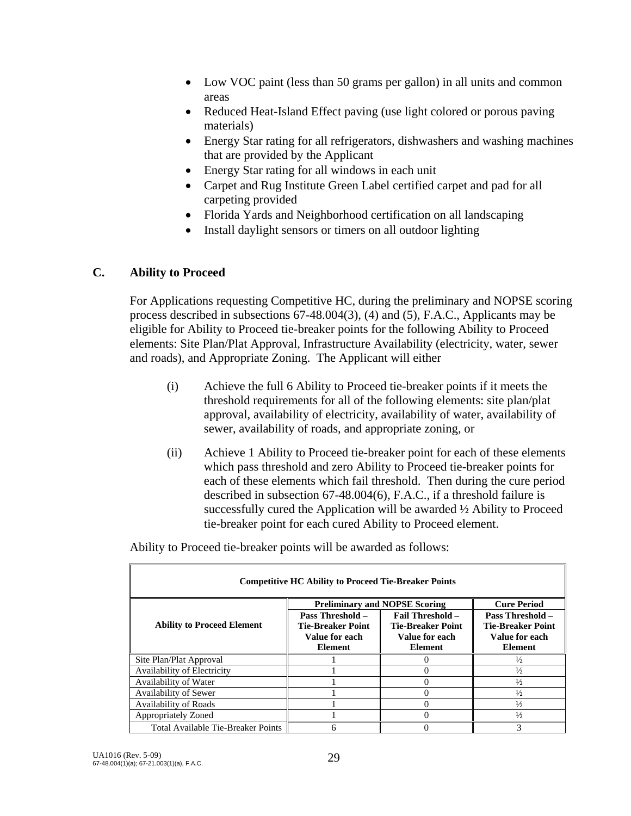- Low VOC paint (less than 50 grams per gallon) in all units and common areas
- Reduced Heat-Island Effect paving (use light colored or porous paving materials)
- Energy Star rating for all refrigerators, dishwashers and washing machines that are provided by the Applicant
- Energy Star rating for all windows in each unit
- Carpet and Rug Institute Green Label certified carpet and pad for all carpeting provided
- Florida Yards and Neighborhood certification on all landscaping
- Install daylight sensors or timers on all outdoor lighting

## **C. Ability to Proceed**

 For Applications requesting Competitive HC, during the preliminary and NOPSE scoring process described in subsections 67-48.004(3), (4) and (5), F.A.C., Applicants may be eligible for Ability to Proceed tie-breaker points for the following Ability to Proceed elements: Site Plan/Plat Approval, Infrastructure Availability (electricity, water, sewer and roads), and Appropriate Zoning. The Applicant will either

- (i) Achieve the full 6 Ability to Proceed tie-breaker points if it meets the threshold requirements for all of the following elements: site plan/plat approval, availability of electricity, availability of water, availability of sewer, availability of roads, and appropriate zoning, or
- (ii) Achieve 1 Ability to Proceed tie-breaker point for each of these elements which pass threshold and zero Ability to Proceed tie-breaker points for each of these elements which fail threshold. Then during the cure period described in subsection 67-48.004(6), F.A.C., if a threshold failure is successfully cured the Application will be awarded ½ Ability to Proceed tie-breaker point for each cured Ability to Proceed element.

Ability to Proceed tie-breaker points will be awarded as follows:

| <b>Competitive HC Ability to Proceed Tie-Breaker Points</b> |                          |                                      |                          |  |  |
|-------------------------------------------------------------|--------------------------|--------------------------------------|--------------------------|--|--|
|                                                             |                          | <b>Preliminary and NOPSE Scoring</b> | <b>Cure Period</b>       |  |  |
|                                                             | <b>Pass Threshold –</b>  | <b>Fail Threshold -</b>              | Pass Threshold -         |  |  |
| <b>Ability to Proceed Element</b>                           | <b>Tie-Breaker Point</b> | <b>Tie-Breaker Point</b>             | <b>Tie-Breaker Point</b> |  |  |
|                                                             | Value for each           | Value for each                       | Value for each           |  |  |
|                                                             | <b>Element</b>           | Element                              | <b>Element</b>           |  |  |
| Site Plan/Plat Approval                                     |                          |                                      | $\frac{1}{2}$            |  |  |
| Availability of Electricity                                 |                          |                                      | $\frac{1}{2}$            |  |  |
| Availability of Water                                       |                          |                                      | $\frac{1}{2}$            |  |  |
| Availability of Sewer                                       |                          |                                      | $\frac{1}{2}$            |  |  |
| <b>Availability of Roads</b>                                |                          |                                      | $\frac{1}{2}$            |  |  |
| Appropriately Zoned                                         |                          |                                      | $\frac{1}{2}$            |  |  |
| Total Available Tie-Breaker Points                          |                          |                                      | 3                        |  |  |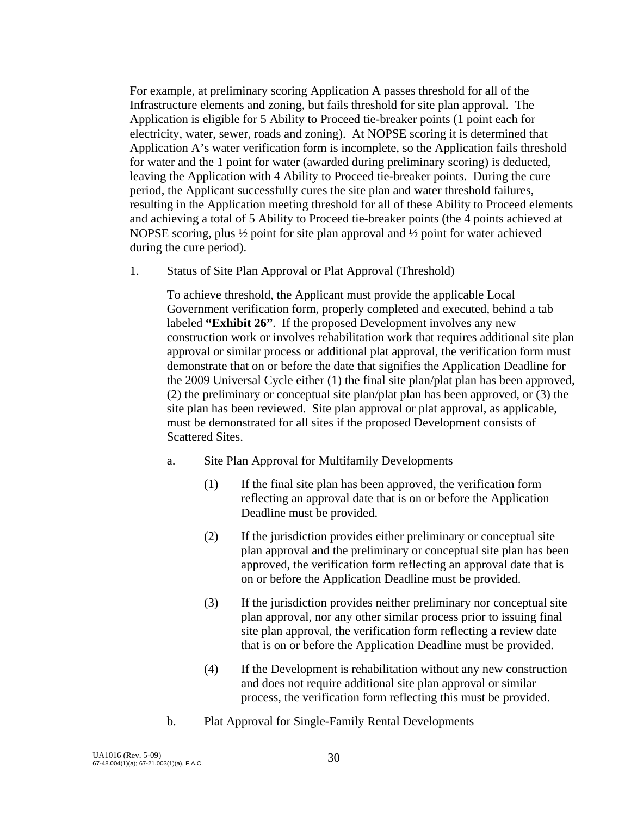For example, at preliminary scoring Application A passes threshold for all of the Infrastructure elements and zoning, but fails threshold for site plan approval. The Application is eligible for 5 Ability to Proceed tie-breaker points (1 point each for electricity, water, sewer, roads and zoning). At NOPSE scoring it is determined that Application A's water verification form is incomplete, so the Application fails threshold for water and the 1 point for water (awarded during preliminary scoring) is deducted, leaving the Application with 4 Ability to Proceed tie-breaker points. During the cure period, the Applicant successfully cures the site plan and water threshold failures, resulting in the Application meeting threshold for all of these Ability to Proceed elements and achieving a total of 5 Ability to Proceed tie-breaker points (the 4 points achieved at NOPSE scoring, plus ½ point for site plan approval and ½ point for water achieved during the cure period).

1. Status of Site Plan Approval or Plat Approval (Threshold)

 To achieve threshold, the Applicant must provide the applicable Local Government verification form, properly completed and executed, behind a tab labeled **"Exhibit 26"**. If the proposed Development involves any new construction work or involves rehabilitation work that requires additional site plan approval or similar process or additional plat approval, the verification form must demonstrate that on or before the date that signifies the Application Deadline for the 2009 Universal Cycle either (1) the final site plan/plat plan has been approved, (2) the preliminary or conceptual site plan/plat plan has been approved, or (3) the site plan has been reviewed. Site plan approval or plat approval, as applicable, must be demonstrated for all sites if the proposed Development consists of Scattered Sites.

- a. Site Plan Approval for Multifamily Developments
	- (1) If the final site plan has been approved, the verification form reflecting an approval date that is on or before the Application Deadline must be provided.
	- (2) If the jurisdiction provides either preliminary or conceptual site plan approval and the preliminary or conceptual site plan has been approved, the verification form reflecting an approval date that is on or before the Application Deadline must be provided.
	- (3) If the jurisdiction provides neither preliminary nor conceptual site plan approval, nor any other similar process prior to issuing final site plan approval, the verification form reflecting a review date that is on or before the Application Deadline must be provided.
	- (4) If the Development is rehabilitation without any new construction and does not require additional site plan approval or similar process, the verification form reflecting this must be provided.
- b. Plat Approval for Single-Family Rental Developments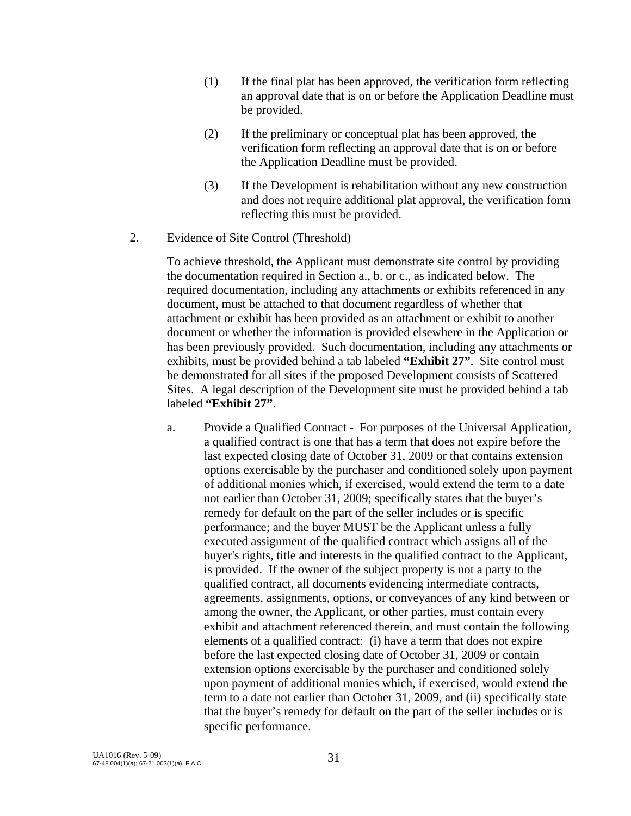- (1) If the final plat has been approved, the verification form reflecting an approval date that is on or before the Application Deadline must be provided.
- (2) If the preliminary or conceptual plat has been approved, the verification form reflecting an approval date that is on or before the Application Deadline must be provided.
- (3) If the Development is rehabilitation without any new construction and does not require additional plat approval, the verification form reflecting this must be provided.
- 2. Evidence of Site Control (Threshold)

 To achieve threshold, the Applicant must demonstrate site control by providing the documentation required in Section a., b. or c., as indicated below. The required documentation, including any attachments or exhibits referenced in any document, must be attached to that document regardless of whether that attachment or exhibit has been provided as an attachment or exhibit to another document or whether the information is provided elsewhere in the Application or has been previously provided. Such documentation, including any attachments or exhibits, must be provided behind a tab labeled **"Exhibit 27"**. Site control must be demonstrated for all sites if the proposed Development consists of Scattered Sites. A legal description of the Development site must be provided behind a tab labeled **"Exhibit 27"**.

 a. Provide a Qualified Contract - For purposes of the Universal Application, a qualified contract is one that has a term that does not expire before the last expected closing date of October 31, 2009 or that contains extension options exercisable by the purchaser and conditioned solely upon payment of additional monies which, if exercised, would extend the term to a date not earlier than October 31, 2009; specifically states that the buyer's remedy for default on the part of the seller includes or is specific performance; and the buyer MUST be the Applicant unless a fully executed assignment of the qualified contract which assigns all of the buyer's rights, title and interests in the qualified contract to the Applicant, is provided. If the owner of the subject property is not a party to the qualified contract, all documents evidencing intermediate contracts, agreements, assignments, options, or conveyances of any kind between or among the owner, the Applicant, or other parties, must contain every exhibit and attachment referenced therein, and must contain the following elements of a qualified contract: (i) have a term that does not expire before the last expected closing date of October 31, 2009 or contain extension options exercisable by the purchaser and conditioned solely upon payment of additional monies which, if exercised, would extend the term to a date not earlier than October 31, 2009, and (ii) specifically state that the buyer's remedy for default on the part of the seller includes or is specific performance.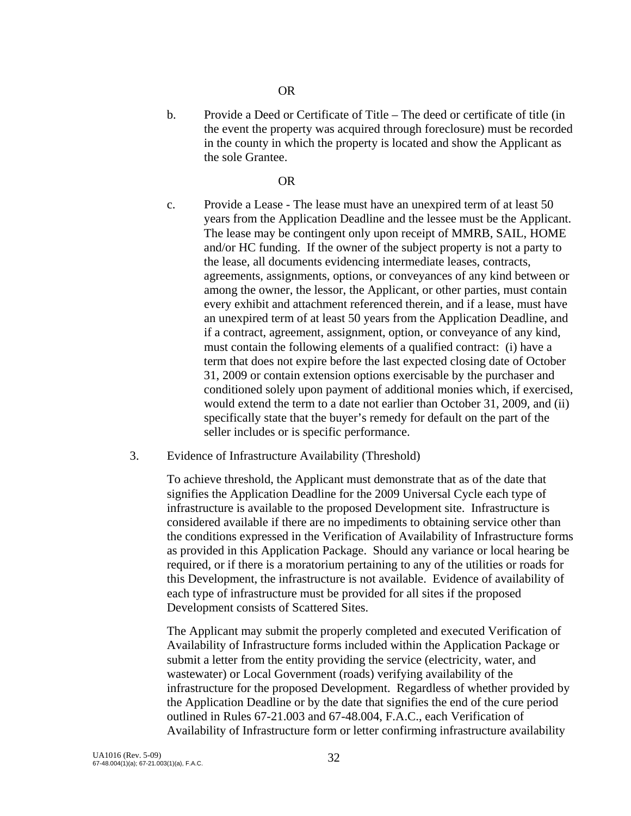#### OR

 b. Provide a Deed or Certificate of Title – The deed or certificate of title (in the event the property was acquired through foreclosure) must be recorded in the county in which the property is located and show the Applicant as the sole Grantee.

#### OR

- c. Provide a Lease The lease must have an unexpired term of at least 50 years from the Application Deadline and the lessee must be the Applicant. The lease may be contingent only upon receipt of MMRB, SAIL, HOME and/or HC funding. If the owner of the subject property is not a party to the lease, all documents evidencing intermediate leases, contracts, agreements, assignments, options, or conveyances of any kind between or among the owner, the lessor, the Applicant, or other parties, must contain every exhibit and attachment referenced therein, and if a lease, must have an unexpired term of at least 50 years from the Application Deadline, and if a contract, agreement, assignment, option, or conveyance of any kind, must contain the following elements of a qualified contract: (i) have a term that does not expire before the last expected closing date of October 31, 2009 or contain extension options exercisable by the purchaser and conditioned solely upon payment of additional monies which, if exercised, would extend the term to a date not earlier than October 31, 2009, and (ii) specifically state that the buyer's remedy for default on the part of the seller includes or is specific performance.
- 3. Evidence of Infrastructure Availability (Threshold)

 To achieve threshold, the Applicant must demonstrate that as of the date that signifies the Application Deadline for the 2009 Universal Cycle each type of infrastructure is available to the proposed Development site. Infrastructure is considered available if there are no impediments to obtaining service other than the conditions expressed in the Verification of Availability of Infrastructure forms as provided in this Application Package. Should any variance or local hearing be required, or if there is a moratorium pertaining to any of the utilities or roads for this Development, the infrastructure is not available. Evidence of availability of each type of infrastructure must be provided for all sites if the proposed Development consists of Scattered Sites.

 The Applicant may submit the properly completed and executed Verification of Availability of Infrastructure forms included within the Application Package or submit a letter from the entity providing the service (electricity, water, and wastewater) or Local Government (roads) verifying availability of the infrastructure for the proposed Development. Regardless of whether provided by the Application Deadline or by the date that signifies the end of the cure period outlined in Rules 67-21.003 and 67-48.004, F.A.C., each Verification of Availability of Infrastructure form or letter confirming infrastructure availability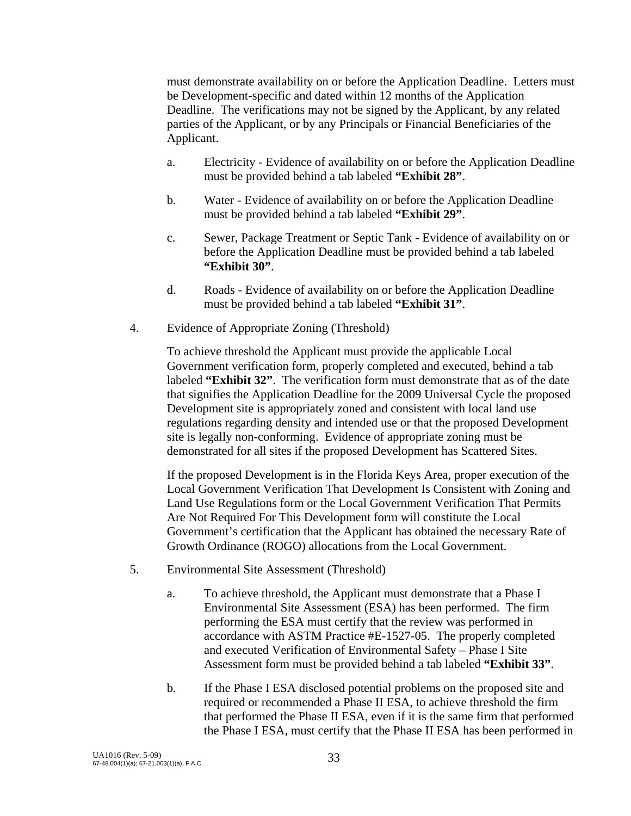must demonstrate availability on or before the Application Deadline. Letters must be Development-specific and dated within 12 months of the Application Deadline. The verifications may not be signed by the Applicant, by any related parties of the Applicant, or by any Principals or Financial Beneficiaries of the Applicant.

- a. Electricity Evidence of availability on or before the Application Deadline must be provided behind a tab labeled **"Exhibit 28"**.
- b. Water Evidence of availability on or before the Application Deadline must be provided behind a tab labeled **"Exhibit 29"**.
- c. Sewer, Package Treatment or Septic Tank Evidence of availability on or before the Application Deadline must be provided behind a tab labeled **"Exhibit 30"**.
- d. Roads Evidence of availability on or before the Application Deadline must be provided behind a tab labeled **"Exhibit 31"**.
- 4. Evidence of Appropriate Zoning (Threshold)

 To achieve threshold the Applicant must provide the applicable Local Government verification form, properly completed and executed, behind a tab labeled **"Exhibit 32"**. The verification form must demonstrate that as of the date that signifies the Application Deadline for the 2009 Universal Cycle the proposed Development site is appropriately zoned and consistent with local land use regulations regarding density and intended use or that the proposed Development site is legally non-conforming. Evidence of appropriate zoning must be demonstrated for all sites if the proposed Development has Scattered Sites.

If the proposed Development is in the Florida Keys Area, proper execution of the Local Government Verification That Development Is Consistent with Zoning and Land Use Regulations form or the Local Government Verification That Permits Are Not Required For This Development form will constitute the Local Government's certification that the Applicant has obtained the necessary Rate of Growth Ordinance (ROGO) allocations from the Local Government.

- 5. Environmental Site Assessment (Threshold)
	- a. To achieve threshold, the Applicant must demonstrate that a Phase I Environmental Site Assessment (ESA) has been performed. The firm performing the ESA must certify that the review was performed in accordance with ASTM Practice #E-1527-05. The properly completed and executed Verification of Environmental Safety – Phase I Site Assessment form must be provided behind a tab labeled **"Exhibit 33"**.
	- b. If the Phase I ESA disclosed potential problems on the proposed site and required or recommended a Phase II ESA, to achieve threshold the firm that performed the Phase II ESA, even if it is the same firm that performed the Phase I ESA, must certify that the Phase II ESA has been performed in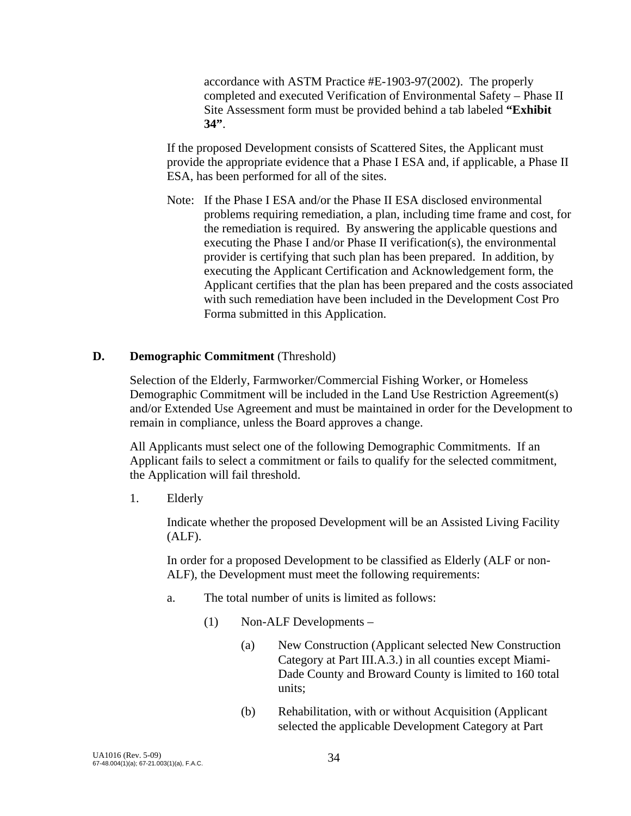accordance with ASTM Practice #E-1903-97(2002). The properly completed and executed Verification of Environmental Safety – Phase II Site Assessment form must be provided behind a tab labeled **"Exhibit 34"**.

 If the proposed Development consists of Scattered Sites, the Applicant must provide the appropriate evidence that a Phase I ESA and, if applicable, a Phase II ESA, has been performed for all of the sites.

Note: If the Phase I ESA and/or the Phase II ESA disclosed environmental problems requiring remediation, a plan, including time frame and cost, for the remediation is required. By answering the applicable questions and executing the Phase I and/or Phase II verification(s), the environmental provider is certifying that such plan has been prepared. In addition, by executing the Applicant Certification and Acknowledgement form, the Applicant certifies that the plan has been prepared and the costs associated with such remediation have been included in the Development Cost Pro Forma submitted in this Application.

#### **D.** Demographic Commitment *(Threshold)*

 Selection of the Elderly, Farmworker/Commercial Fishing Worker, or Homeless Demographic Commitment will be included in the Land Use Restriction Agreement(s) and/or Extended Use Agreement and must be maintained in order for the Development to remain in compliance, unless the Board approves a change.

All Applicants must select one of the following Demographic Commitments. If an Applicant fails to select a commitment or fails to qualify for the selected commitment, the Application will fail threshold.

1. Elderly

 Indicate whether the proposed Development will be an Assisted Living Facility (ALF).

 In order for a proposed Development to be classified as Elderly (ALF or non-ALF), the Development must meet the following requirements:

- a. The total number of units is limited as follows:
	- (1) Non-ALF Developments
		- (a) New Construction (Applicant selected New Construction Category at Part III.A.3.) in all counties except Miami-Dade County and Broward County is limited to 160 total units;
		- (b) Rehabilitation, with or without Acquisition (Applicant selected the applicable Development Category at Part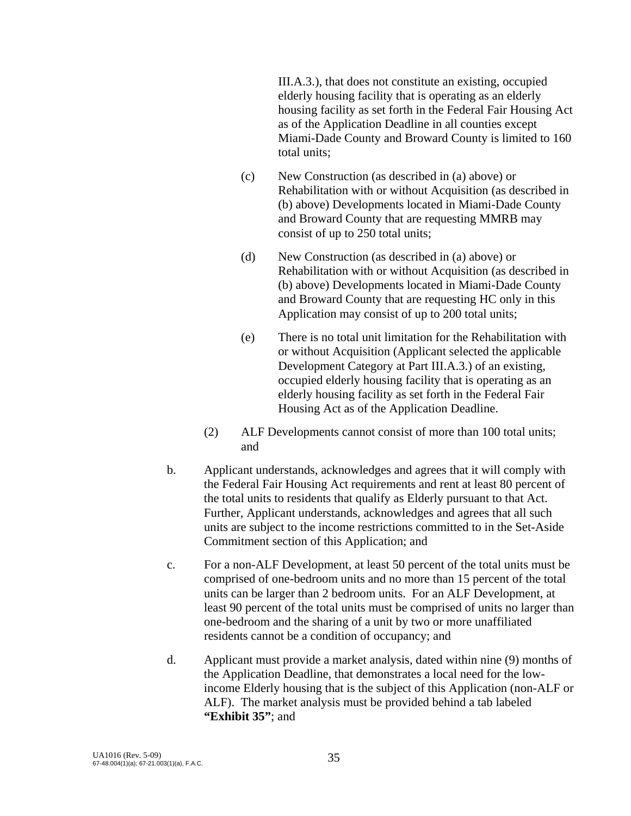III.A.3.), that does not constitute an existing, occupied elderly housing facility that is operating as an elderly housing facility as set forth in the Federal Fair Housing Act as of the Application Deadline in all counties except Miami-Dade County and Broward County is limited to 160 total units;

- (c) New Construction (as described in (a) above) or Rehabilitation with or without Acquisition (as described in (b) above) Developments located in Miami-Dade County and Broward County that are requesting MMRB may consist of up to 250 total units;
- (d) New Construction (as described in (a) above) or Rehabilitation with or without Acquisition (as described in (b) above) Developments located in Miami-Dade County and Broward County that are requesting HC only in this Application may consist of up to 200 total units;
- (e) There is no total unit limitation for the Rehabilitation with or without Acquisition (Applicant selected the applicable Development Category at Part III.A.3.) of an existing, occupied elderly housing facility that is operating as an elderly housing facility as set forth in the Federal Fair Housing Act as of the Application Deadline.
- (2) ALF Developments cannot consist of more than 100 total units; and
- b. Applicant understands, acknowledges and agrees that it will comply with the Federal Fair Housing Act requirements and rent at least 80 percent of the total units to residents that qualify as Elderly pursuant to that Act. Further, Applicant understands, acknowledges and agrees that all such units are subject to the income restrictions committed to in the Set-Aside Commitment section of this Application; and
- c. For a non-ALF Development, at least 50 percent of the total units must be comprised of one-bedroom units and no more than 15 percent of the total units can be larger than 2 bedroom units. For an ALF Development, at least 90 percent of the total units must be comprised of units no larger than one-bedroom and the sharing of a unit by two or more unaffiliated residents cannot be a condition of occupancy; and
- d. Applicant must provide a market analysis, dated within nine (9) months of the Application Deadline, that demonstrates a local need for the lowincome Elderly housing that is the subject of this Application (non-ALF or ALF). The market analysis must be provided behind a tab labeled **"Exhibit 35"**; and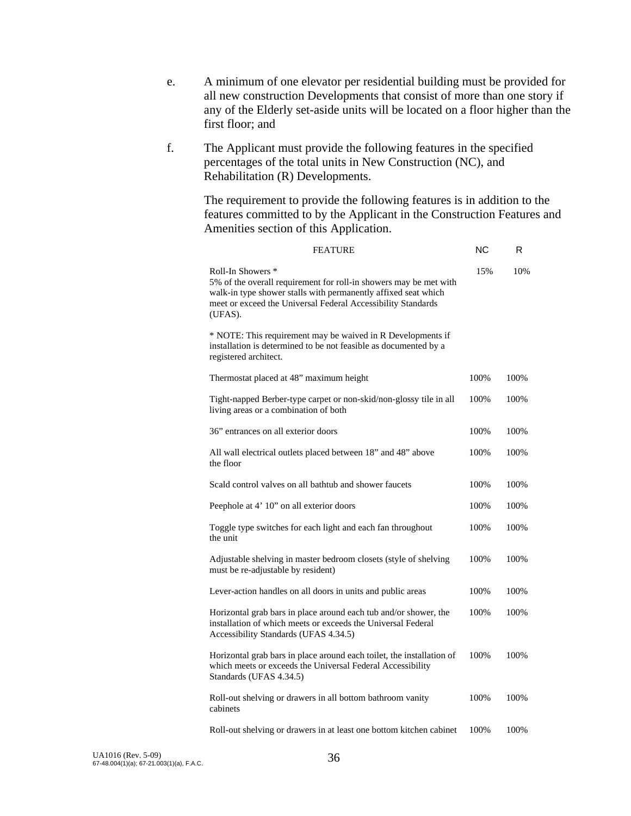- e. A minimum of one elevator per residential building must be provided for all new construction Developments that consist of more than one story if any of the Elderly set-aside units will be located on a floor higher than the first floor; and
- f. The Applicant must provide the following features in the specified percentages of the total units in New Construction (NC), and Rehabilitation (R) Developments.

The requirement to provide the following features is in addition to the features committed to by the Applicant in the Construction Features and Amenities section of this Application.

| <b>FEATURE</b>                                                                                                                                                                                                                      | ΝC    | R    |
|-------------------------------------------------------------------------------------------------------------------------------------------------------------------------------------------------------------------------------------|-------|------|
| Roll-In Showers *<br>5% of the overall requirement for roll-in showers may be met with<br>walk-in type shower stalls with permanently affixed seat which<br>meet or exceed the Universal Federal Accessibility Standards<br>(UFAS). | 15%   | 10%  |
| * NOTE: This requirement may be waived in R Developments if<br>installation is determined to be not feasible as documented by a<br>registered architect.                                                                            |       |      |
| Thermostat placed at 48" maximum height                                                                                                                                                                                             | 100%  | 100% |
| Tight-napped Berber-type carpet or non-skid/non-glossy tile in all<br>living areas or a combination of both                                                                                                                         | 100%  | 100% |
| 36" entrances on all exterior doors                                                                                                                                                                                                 | 100%  | 100% |
| All wall electrical outlets placed between 18" and 48" above<br>the floor                                                                                                                                                           | 100%  | 100% |
| Scald control valves on all bathtub and shower faucets                                                                                                                                                                              | 100\% | 100% |
| Peephole at 4' 10" on all exterior doors                                                                                                                                                                                            | 100%  | 100% |
| Toggle type switches for each light and each fan throughout<br>the unit                                                                                                                                                             | 100%  | 100% |
| Adjustable shelving in master bedroom closets (style of shelving<br>must be re-adjustable by resident)                                                                                                                              | 100%  | 100% |
| Lever-action handles on all doors in units and public areas                                                                                                                                                                         | 100%  | 100% |
| Horizontal grab bars in place around each tub and/or shower, the<br>installation of which meets or exceeds the Universal Federal<br>Accessibility Standards (UFAS 4.34.5)                                                           | 100%  | 100% |
| Horizontal grab bars in place around each toilet, the installation of<br>which meets or exceeds the Universal Federal Accessibility<br>Standards (UFAS 4.34.5)                                                                      | 100%  | 100% |
| Roll-out shelving or drawers in all bottom bathroom vanity<br>cabinets                                                                                                                                                              | 100%  | 100% |
| Roll-out shelving or drawers in at least one bottom kitchen cabinet                                                                                                                                                                 | 100%  | 100% |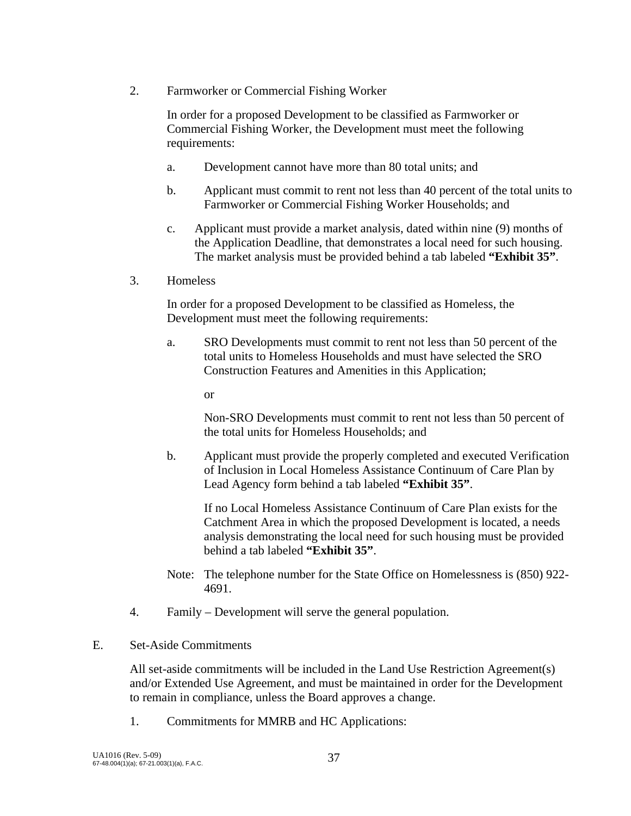2. Farmworker or Commercial Fishing Worker

 In order for a proposed Development to be classified as Farmworker or Commercial Fishing Worker, the Development must meet the following requirements:

- a. Development cannot have more than 80 total units; and
- b. Applicant must commit to rent not less than 40 percent of the total units to Farmworker or Commercial Fishing Worker Households; and
- c. Applicant must provide a market analysis, dated within nine (9) months of the Application Deadline, that demonstrates a local need for such housing. The market analysis must be provided behind a tab labeled **"Exhibit 35"**.
- 3. Homeless

In order for a proposed Development to be classified as Homeless, the Development must meet the following requirements:

 a. SRO Developments must commit to rent not less than 50 percent of the total units to Homeless Households and must have selected the SRO Construction Features and Amenities in this Application;

or

 Non-SRO Developments must commit to rent not less than 50 percent of the total units for Homeless Households; and

 b. Applicant must provide the properly completed and executed Verification of Inclusion in Local Homeless Assistance Continuum of Care Plan by Lead Agency form behind a tab labeled **"Exhibit 35"**.

 If no Local Homeless Assistance Continuum of Care Plan exists for the Catchment Area in which the proposed Development is located, a needs analysis demonstrating the local need for such housing must be provided behind a tab labeled **"Exhibit 35"**.

- Note: The telephone number for the State Office on Homelessness is (850) 922- 4691.
- 4. Family Development will serve the general population.
- E. Set-Aside Commitments

 All set-aside commitments will be included in the Land Use Restriction Agreement(s) and/or Extended Use Agreement, and must be maintained in order for the Development to remain in compliance, unless the Board approves a change.

1. Commitments for MMRB and HC Applications: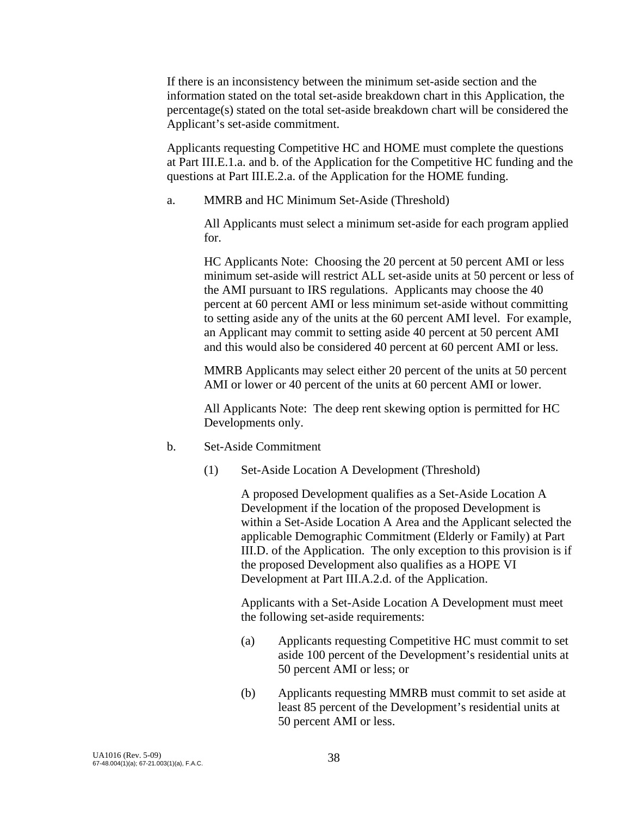If there is an inconsistency between the minimum set-aside section and the information stated on the total set-aside breakdown chart in this Application, the percentage(s) stated on the total set-aside breakdown chart will be considered the Applicant's set-aside commitment.

Applicants requesting Competitive HC and HOME must complete the questions at Part III.E.1.a. and b. of the Application for the Competitive HC funding and the questions at Part III.E.2.a. of the Application for the HOME funding.

a. MMRB and HC Minimum Set-Aside (Threshold)

 All Applicants must select a minimum set-aside for each program applied for.

 HC Applicants Note: Choosing the 20 percent at 50 percent AMI or less minimum set-aside will restrict ALL set-aside units at 50 percent or less of the AMI pursuant to IRS regulations. Applicants may choose the 40 percent at 60 percent AMI or less minimum set-aside without committing to setting aside any of the units at the 60 percent AMI level. For example, an Applicant may commit to setting aside 40 percent at 50 percent AMI and this would also be considered 40 percent at 60 percent AMI or less.

MMRB Applicants may select either 20 percent of the units at 50 percent AMI or lower or 40 percent of the units at 60 percent AMI or lower.

 All Applicants Note: The deep rent skewing option is permitted for HC Developments only.

- b. Set-Aside Commitment
	- (1) Set-Aside Location A Development (Threshold)

 A proposed Development qualifies as a Set-Aside Location A Development if the location of the proposed Development is within a Set-Aside Location A Area and the Applicant selected the applicable Demographic Commitment (Elderly or Family) at Part III.D. of the Application. The only exception to this provision is if the proposed Development also qualifies as a HOPE VI Development at Part III.A.2.d. of the Application.

 Applicants with a Set-Aside Location A Development must meet the following set-aside requirements:

- (a) Applicants requesting Competitive HC must commit to set aside 100 percent of the Development's residential units at 50 percent AMI or less; or
- (b) Applicants requesting MMRB must commit to set aside at least 85 percent of the Development's residential units at 50 percent AMI or less.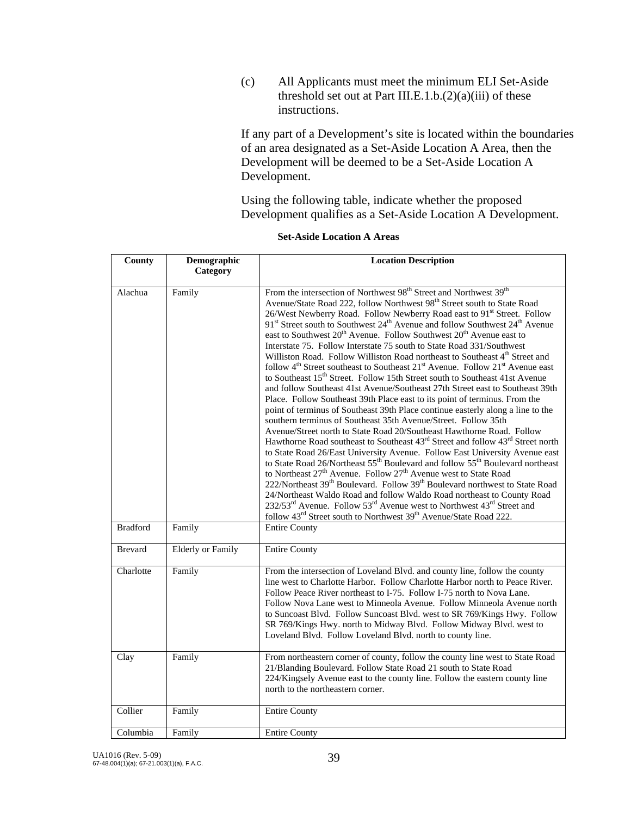(c) All Applicants must meet the minimum ELI Set-Aside threshold set out at Part III.E.1.b. $(2)(a)(iii)$  of these instructions.

If any part of a Development's site is located within the boundaries of an area designated as a Set-Aside Location A Area, then the Development will be deemed to be a Set-Aside Location A Development.

 Using the following table, indicate whether the proposed Development qualifies as a Set-Aside Location A Development.

| County          | Demographic<br>Category  | <b>Location Description</b>                                                                                                                                                                                                                                                                                                                                                                                                                                                                                                                                                                                                                                                                                                                                                                                                                                                                                                                                                                                                                                                                                                                                                                                                                                                                                                                                                                                                                                                                                                                                                                                                                                                                                                                                                                                                                                                                                                                                                                                                                            |
|-----------------|--------------------------|--------------------------------------------------------------------------------------------------------------------------------------------------------------------------------------------------------------------------------------------------------------------------------------------------------------------------------------------------------------------------------------------------------------------------------------------------------------------------------------------------------------------------------------------------------------------------------------------------------------------------------------------------------------------------------------------------------------------------------------------------------------------------------------------------------------------------------------------------------------------------------------------------------------------------------------------------------------------------------------------------------------------------------------------------------------------------------------------------------------------------------------------------------------------------------------------------------------------------------------------------------------------------------------------------------------------------------------------------------------------------------------------------------------------------------------------------------------------------------------------------------------------------------------------------------------------------------------------------------------------------------------------------------------------------------------------------------------------------------------------------------------------------------------------------------------------------------------------------------------------------------------------------------------------------------------------------------------------------------------------------------------------------------------------------------|
| Alachua         | Family                   | From the intersection of Northwest 98 <sup>th</sup> Street and Northwest 39 <sup>th</sup><br>Avenue/State Road 222, follow Northwest 98 <sup>th</sup> Street south to State Road<br>26/West Newberry Road. Follow Newberry Road east to 91st Street. Follow<br>91 <sup>st</sup> Street south to Southwest 24 <sup>th</sup> Avenue and follow Southwest 24 <sup>th</sup> Avenue<br>east to Southwest 20 <sup>th</sup> Avenue. Follow Southwest 20 <sup>th</sup> Avenue east to<br>Interstate 75. Follow Interstate 75 south to State Road 331/Southwest<br>Williston Road. Follow Williston Road northeast to Southeast 4 <sup>th</sup> Street and<br>follow 4 <sup>th</sup> Street southeast to Southeast 21 <sup>st</sup> Avenue. Follow 21 <sup>st</sup> Avenue east<br>to Southeast 15 <sup>th</sup> Street. Follow 15th Street south to Southeast 41st Avenue<br>and follow Southeast 41st Avenue/Southeast 27th Street east to Southeast 39th<br>Place. Follow Southeast 39th Place east to its point of terminus. From the<br>point of terminus of Southeast 39th Place continue easterly along a line to the<br>southern terminus of Southeast 35th Avenue/Street. Follow 35th<br>Avenue/Street north to State Road 20/Southeast Hawthorne Road. Follow<br>Hawthorne Road southeast to Southeast 43 <sup>rd</sup> Street and follow 43 <sup>rd</sup> Street north<br>to State Road 26/East University Avenue. Follow East University Avenue east<br>to State Road 26/Northeast 55 <sup>th</sup> Boulevard and follow 55 <sup>th</sup> Boulevard northeast<br>to Northeast 27 <sup>th</sup> Avenue. Follow 27 <sup>th</sup> Avenue west to State Road<br>222/Northeast 39 <sup>th</sup> Boulevard. Follow 39 <sup>th</sup> Boulevard northwest to State Road<br>24/Northeast Waldo Road and follow Waldo Road northeast to County Road<br>232/53 <sup>rd</sup> Avenue. Follow 53 <sup>rd</sup> Avenue west to Northwest 43 <sup>rd</sup> Street and<br>follow 43 <sup>rd</sup> Street south to Northwest 39 <sup>th</sup> Avenue/State Road 222. |
| <b>Bradford</b> | Family                   | <b>Entire County</b>                                                                                                                                                                                                                                                                                                                                                                                                                                                                                                                                                                                                                                                                                                                                                                                                                                                                                                                                                                                                                                                                                                                                                                                                                                                                                                                                                                                                                                                                                                                                                                                                                                                                                                                                                                                                                                                                                                                                                                                                                                   |
| <b>Brevard</b>  | <b>Elderly or Family</b> | <b>Entire County</b>                                                                                                                                                                                                                                                                                                                                                                                                                                                                                                                                                                                                                                                                                                                                                                                                                                                                                                                                                                                                                                                                                                                                                                                                                                                                                                                                                                                                                                                                                                                                                                                                                                                                                                                                                                                                                                                                                                                                                                                                                                   |
| Charlotte       | Family                   | From the intersection of Loveland Blvd. and county line, follow the county<br>line west to Charlotte Harbor. Follow Charlotte Harbor north to Peace River.<br>Follow Peace River northeast to I-75. Follow I-75 north to Nova Lane.<br>Follow Nova Lane west to Minneola Avenue. Follow Minneola Avenue north<br>to Suncoast Blvd. Follow Suncoast Blvd. west to SR 769/Kings Hwy. Follow<br>SR 769/Kings Hwy. north to Midway Blvd. Follow Midway Blvd. west to<br>Loveland Blvd. Follow Loveland Blvd. north to county line.                                                                                                                                                                                                                                                                                                                                                                                                                                                                                                                                                                                                                                                                                                                                                                                                                                                                                                                                                                                                                                                                                                                                                                                                                                                                                                                                                                                                                                                                                                                         |
| Clay            | Family                   | From northeastern corner of county, follow the county line west to State Road<br>21/Blanding Boulevard. Follow State Road 21 south to State Road<br>224/Kingsely Avenue east to the county line. Follow the eastern county line<br>north to the northeastern corner.                                                                                                                                                                                                                                                                                                                                                                                                                                                                                                                                                                                                                                                                                                                                                                                                                                                                                                                                                                                                                                                                                                                                                                                                                                                                                                                                                                                                                                                                                                                                                                                                                                                                                                                                                                                   |
| Collier         | Family                   | <b>Entire County</b>                                                                                                                                                                                                                                                                                                                                                                                                                                                                                                                                                                                                                                                                                                                                                                                                                                                                                                                                                                                                                                                                                                                                                                                                                                                                                                                                                                                                                                                                                                                                                                                                                                                                                                                                                                                                                                                                                                                                                                                                                                   |
| Columbia        | Family                   | <b>Entire County</b>                                                                                                                                                                                                                                                                                                                                                                                                                                                                                                                                                                                                                                                                                                                                                                                                                                                                                                                                                                                                                                                                                                                                                                                                                                                                                                                                                                                                                                                                                                                                                                                                                                                                                                                                                                                                                                                                                                                                                                                                                                   |

#### **Set-Aside Location A Areas**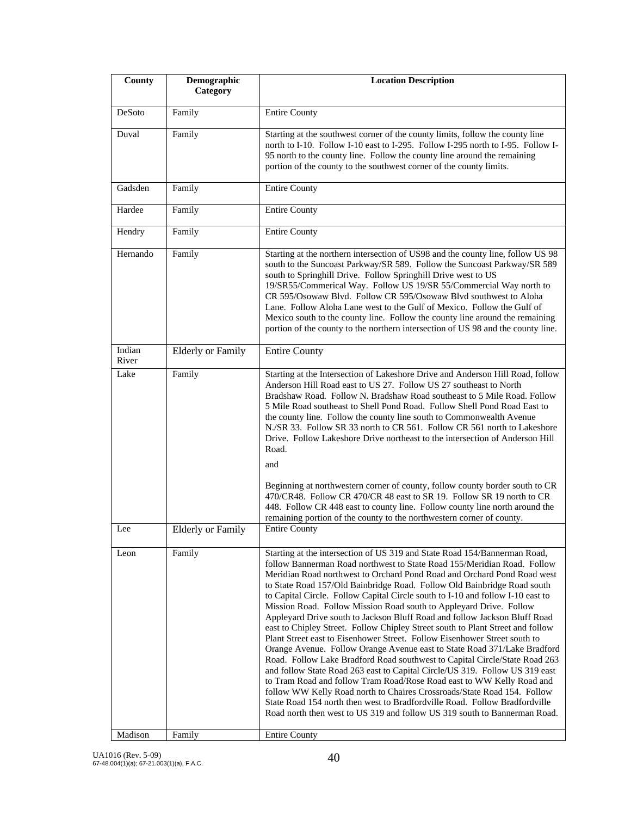| County          | Demographic<br>Category  | <b>Location Description</b>                                                                                                                                                                                                                                                                                                                                                                                                                                                                                                                                                                                                                                                                                                                                                                                                                                                                                                                                                                                                                                                                                                                                                                                                                                            |
|-----------------|--------------------------|------------------------------------------------------------------------------------------------------------------------------------------------------------------------------------------------------------------------------------------------------------------------------------------------------------------------------------------------------------------------------------------------------------------------------------------------------------------------------------------------------------------------------------------------------------------------------------------------------------------------------------------------------------------------------------------------------------------------------------------------------------------------------------------------------------------------------------------------------------------------------------------------------------------------------------------------------------------------------------------------------------------------------------------------------------------------------------------------------------------------------------------------------------------------------------------------------------------------------------------------------------------------|
| DeSoto          | Family                   | <b>Entire County</b>                                                                                                                                                                                                                                                                                                                                                                                                                                                                                                                                                                                                                                                                                                                                                                                                                                                                                                                                                                                                                                                                                                                                                                                                                                                   |
| Duval           | Family                   | Starting at the southwest corner of the county limits, follow the county line<br>north to I-10. Follow I-10 east to I-295. Follow I-295 north to I-95. Follow I-<br>95 north to the county line. Follow the county line around the remaining<br>portion of the county to the southwest corner of the county limits.                                                                                                                                                                                                                                                                                                                                                                                                                                                                                                                                                                                                                                                                                                                                                                                                                                                                                                                                                    |
| Gadsden         | Family                   | <b>Entire County</b>                                                                                                                                                                                                                                                                                                                                                                                                                                                                                                                                                                                                                                                                                                                                                                                                                                                                                                                                                                                                                                                                                                                                                                                                                                                   |
| Hardee          | Family                   | <b>Entire County</b>                                                                                                                                                                                                                                                                                                                                                                                                                                                                                                                                                                                                                                                                                                                                                                                                                                                                                                                                                                                                                                                                                                                                                                                                                                                   |
| Hendry          | Family                   | <b>Entire County</b>                                                                                                                                                                                                                                                                                                                                                                                                                                                                                                                                                                                                                                                                                                                                                                                                                                                                                                                                                                                                                                                                                                                                                                                                                                                   |
| Hernando        | Family                   | Starting at the northern intersection of US98 and the county line, follow US 98<br>south to the Suncoast Parkway/SR 589. Follow the Suncoast Parkway/SR 589<br>south to Springhill Drive. Follow Springhill Drive west to US<br>19/SR55/Commerical Way. Follow US 19/SR 55/Commercial Way north to<br>CR 595/Osowaw Blvd. Follow CR 595/Osowaw Blvd southwest to Aloha<br>Lane. Follow Aloha Lane west to the Gulf of Mexico. Follow the Gulf of<br>Mexico south to the county line. Follow the county line around the remaining<br>portion of the county to the northern intersection of US 98 and the county line.                                                                                                                                                                                                                                                                                                                                                                                                                                                                                                                                                                                                                                                   |
| Indian<br>River | <b>Elderly or Family</b> | <b>Entire County</b>                                                                                                                                                                                                                                                                                                                                                                                                                                                                                                                                                                                                                                                                                                                                                                                                                                                                                                                                                                                                                                                                                                                                                                                                                                                   |
| Lake            | Family                   | Starting at the Intersection of Lakeshore Drive and Anderson Hill Road, follow<br>Anderson Hill Road east to US 27. Follow US 27 southeast to North<br>Bradshaw Road. Follow N. Bradshaw Road southeast to 5 Mile Road. Follow<br>5 Mile Road southeast to Shell Pond Road. Follow Shell Pond Road East to<br>the county line. Follow the county line south to Commonwealth Avenue<br>N./SR 33. Follow SR 33 north to CR 561. Follow CR 561 north to Lakeshore<br>Drive. Follow Lakeshore Drive northeast to the intersection of Anderson Hill<br>Road.<br>and<br>Beginning at northwestern corner of county, follow county border south to CR<br>470/CR48. Follow CR 470/CR 48 east to SR 19. Follow SR 19 north to CR<br>448. Follow CR 448 east to county line. Follow county line north around the                                                                                                                                                                                                                                                                                                                                                                                                                                                                 |
| Lee             | <b>Elderly or Family</b> | remaining portion of the county to the northwestern corner of county.<br><b>Entire County</b>                                                                                                                                                                                                                                                                                                                                                                                                                                                                                                                                                                                                                                                                                                                                                                                                                                                                                                                                                                                                                                                                                                                                                                          |
| Leon            | Family                   | Starting at the intersection of US 319 and State Road 154/Bannerman Road,<br>follow Bannerman Road northwest to State Road 155/Meridian Road. Follow<br>Meridian Road northwest to Orchard Pond Road and Orchard Pond Road west<br>to State Road 157/Old Bainbridge Road. Follow Old Bainbridge Road south<br>to Capital Circle. Follow Capital Circle south to I-10 and follow I-10 east to<br>Mission Road. Follow Mission Road south to Appleyard Drive. Follow<br>Appleyard Drive south to Jackson Bluff Road and follow Jackson Bluff Road<br>east to Chipley Street. Follow Chipley Street south to Plant Street and follow<br>Plant Street east to Eisenhower Street. Follow Eisenhower Street south to<br>Orange Avenue. Follow Orange Avenue east to State Road 371/Lake Bradford<br>Road. Follow Lake Bradford Road southwest to Capital Circle/State Road 263<br>and follow State Road 263 east to Capital Circle/US 319. Follow US 319 east<br>to Tram Road and follow Tram Road/Rose Road east to WW Kelly Road and<br>follow WW Kelly Road north to Chaires Crossroads/State Road 154. Follow<br>State Road 154 north then west to Bradfordville Road. Follow Bradfordville<br>Road north then west to US 319 and follow US 319 south to Bannerman Road. |
| Madison         | Family                   | <b>Entire County</b>                                                                                                                                                                                                                                                                                                                                                                                                                                                                                                                                                                                                                                                                                                                                                                                                                                                                                                                                                                                                                                                                                                                                                                                                                                                   |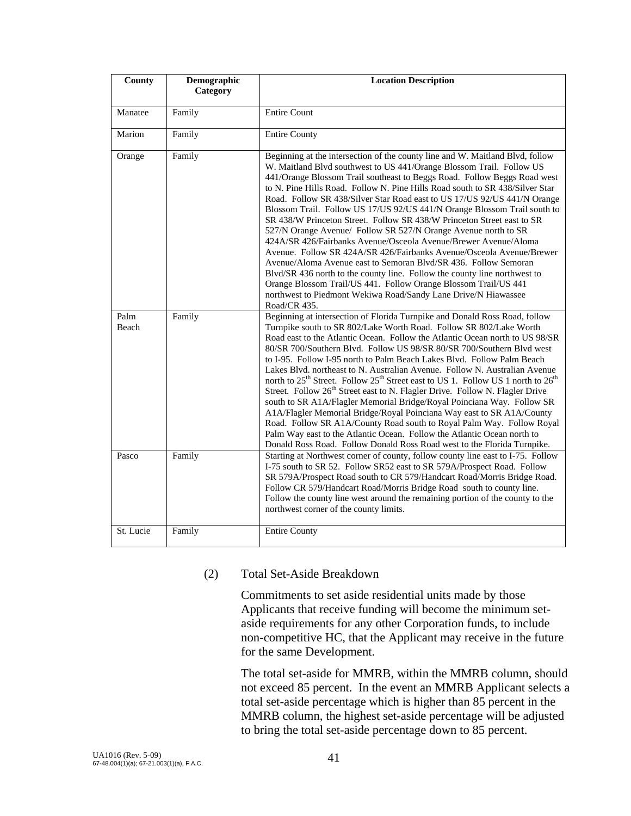| County        | Demographic<br>Category | <b>Location Description</b>                                                                                                                                                                                                                                                                                                                                                                                                                                                                                                                                                                                                                                                                                                                                                                                                                                                                                                                                                                                                                                             |
|---------------|-------------------------|-------------------------------------------------------------------------------------------------------------------------------------------------------------------------------------------------------------------------------------------------------------------------------------------------------------------------------------------------------------------------------------------------------------------------------------------------------------------------------------------------------------------------------------------------------------------------------------------------------------------------------------------------------------------------------------------------------------------------------------------------------------------------------------------------------------------------------------------------------------------------------------------------------------------------------------------------------------------------------------------------------------------------------------------------------------------------|
| Manatee       | Family                  | <b>Entire Count</b>                                                                                                                                                                                                                                                                                                                                                                                                                                                                                                                                                                                                                                                                                                                                                                                                                                                                                                                                                                                                                                                     |
| Marion        | Family                  | <b>Entire County</b>                                                                                                                                                                                                                                                                                                                                                                                                                                                                                                                                                                                                                                                                                                                                                                                                                                                                                                                                                                                                                                                    |
| Orange        | Family                  | Beginning at the intersection of the county line and W. Maitland Blvd, follow<br>W. Maitland Blvd southwest to US 441/Orange Blossom Trail. Follow US<br>441/Orange Blossom Trail southeast to Beggs Road. Follow Beggs Road west<br>to N. Pine Hills Road. Follow N. Pine Hills Road south to SR 438/Silver Star<br>Road. Follow SR 438/Silver Star Road east to US 17/US 92/US 441/N Orange<br>Blossom Trail. Follow US 17/US 92/US 441/N Orange Blossom Trail south to<br>SR 438/W Princeton Street. Follow SR 438/W Princeton Street east to SR<br>527/N Orange Avenue/ Follow SR 527/N Orange Avenue north to SR<br>424A/SR 426/Fairbanks Avenue/Osceola Avenue/Brewer Avenue/Aloma<br>Avenue. Follow SR 424A/SR 426/Fairbanks Avenue/Osceola Avenue/Brewer<br>Avenue/Aloma Avenue east to Semoran Blvd/SR 436. Follow Semoran<br>Blvd/SR 436 north to the county line. Follow the county line northwest to<br>Orange Blossom Trail/US 441. Follow Orange Blossom Trail/US 441<br>northwest to Piedmont Wekiwa Road/Sandy Lane Drive/N Hiawassee<br>Road/CR 435.   |
| Palm<br>Beach | Family                  | Beginning at intersection of Florida Turnpike and Donald Ross Road, follow<br>Turnpike south to SR 802/Lake Worth Road. Follow SR 802/Lake Worth<br>Road east to the Atlantic Ocean. Follow the Atlantic Ocean north to US 98/SR<br>80/SR 700/Southern Blvd. Follow US 98/SR 80/SR 700/Southern Blvd west<br>to I-95. Follow I-95 north to Palm Beach Lakes Blvd. Follow Palm Beach<br>Lakes Blvd. northeast to N. Australian Avenue. Follow N. Australian Avenue<br>north to 25 <sup>th</sup> Street. Follow 25 <sup>th</sup> Street east to US 1. Follow US 1 north to 26 <sup>th</sup><br>Street. Follow 26 <sup>th</sup> Street east to N. Flagler Drive. Follow N. Flagler Drive<br>south to SR A1A/Flagler Memorial Bridge/Royal Poinciana Way. Follow SR<br>A1A/Flagler Memorial Bridge/Royal Poinciana Way east to SR A1A/County<br>Road. Follow SR A1A/County Road south to Royal Palm Way. Follow Royal<br>Palm Way east to the Atlantic Ocean. Follow the Atlantic Ocean north to<br>Donald Ross Road. Follow Donald Ross Road west to the Florida Turnpike. |
| Pasco         | Family                  | Starting at Northwest corner of county, follow county line east to I-75. Follow<br>I-75 south to SR 52. Follow SR52 east to SR 579A/Prospect Road. Follow<br>SR 579A/Prospect Road south to CR 579/Handcart Road/Morris Bridge Road.<br>Follow CR 579/Handcart Road/Morris Bridge Road south to county line.<br>Follow the county line west around the remaining portion of the county to the<br>northwest corner of the county limits.                                                                                                                                                                                                                                                                                                                                                                                                                                                                                                                                                                                                                                 |
| St. Lucie     | Family                  | <b>Entire County</b>                                                                                                                                                                                                                                                                                                                                                                                                                                                                                                                                                                                                                                                                                                                                                                                                                                                                                                                                                                                                                                                    |

#### (2) Total Set-Aside Breakdown

Commitments to set aside residential units made by those Applicants that receive funding will become the minimum setaside requirements for any other Corporation funds, to include non-competitive HC, that the Applicant may receive in the future for the same Development.

The total set-aside for MMRB, within the MMRB column, should not exceed 85 percent. In the event an MMRB Applicant selects a total set-aside percentage which is higher than 85 percent in the MMRB column, the highest set-aside percentage will be adjusted to bring the total set-aside percentage down to 85 percent.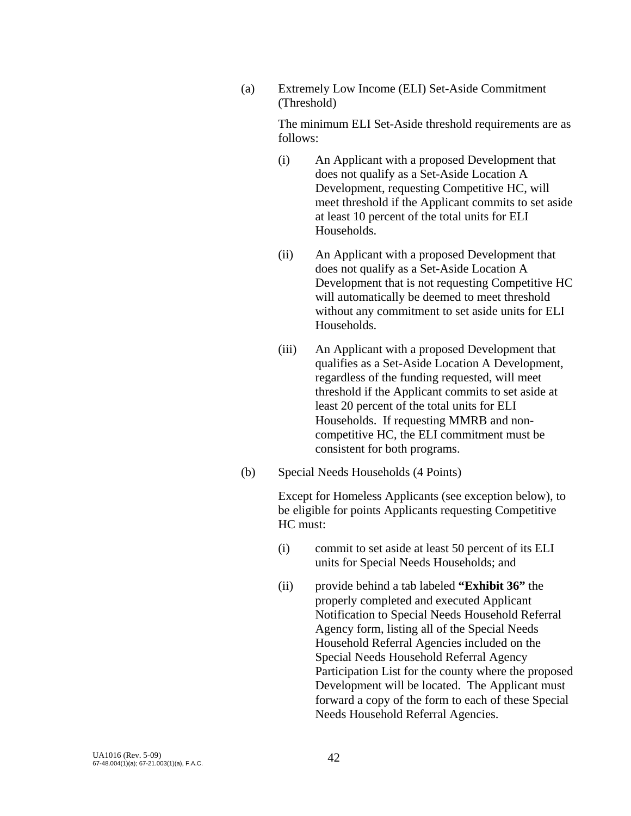(a) Extremely Low Income (ELI) Set-Aside Commitment (Threshold)

> The minimum ELI Set-Aside threshold requirements are as follows:

- (i) An Applicant with a proposed Development that does not qualify as a Set-Aside Location A Development, requesting Competitive HC, will meet threshold if the Applicant commits to set aside at least 10 percent of the total units for ELI Households.
- (ii) An Applicant with a proposed Development that does not qualify as a Set-Aside Location A Development that is not requesting Competitive HC will automatically be deemed to meet threshold without any commitment to set aside units for ELI Households.
- (iii) An Applicant with a proposed Development that qualifies as a Set-Aside Location A Development, regardless of the funding requested, will meet threshold if the Applicant commits to set aside at least 20 percent of the total units for ELI Households. If requesting MMRB and noncompetitive HC, the ELI commitment must be consistent for both programs.
- (b) Special Needs Households (4 Points)

 Except for Homeless Applicants (see exception below), to be eligible for points Applicants requesting Competitive HC must:

- (i) commit to set aside at least 50 percent of its ELI units for Special Needs Households; and
- (ii) provide behind a tab labeled **"Exhibit 36"** the properly completed and executed Applicant Notification to Special Needs Household Referral Agency form, listing all of the Special Needs Household Referral Agencies included on the Special Needs Household Referral Agency Participation List for the county where the proposed Development will be located. The Applicant must forward a copy of the form to each of these Special Needs Household Referral Agencies.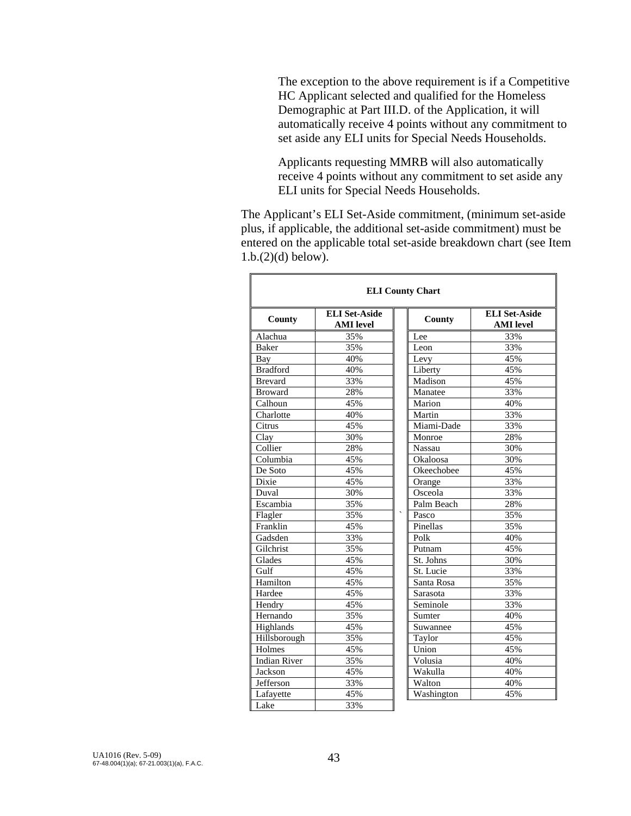The exception to the above requirement is if a Competitive HC Applicant selected and qualified for the Homeless Demographic at Part III.D. of the Application, it will automatically receive 4 points without any commitment to set aside any ELI units for Special Needs Households.

 Applicants requesting MMRB will also automatically receive 4 points without any commitment to set aside any ELI units for Special Needs Households.

 The Applicant's ELI Set-Aside commitment, (minimum set-aside plus, if applicable, the additional set-aside commitment) must be entered on the applicable total set-aside breakdown chart (see Item 1.b.(2)(d) below).

| <b>ELI County Chart</b> |                                          |                                   |                                          |  |  |
|-------------------------|------------------------------------------|-----------------------------------|------------------------------------------|--|--|
| County                  | <b>ELI Set-Aside</b><br><b>AMI</b> level | County                            | <b>ELI Set-Aside</b><br><b>AMI</b> level |  |  |
| Alachua                 | 35%                                      | Lee                               | 33%                                      |  |  |
| <b>Baker</b>            | 35%                                      | Leon                              | 33%                                      |  |  |
| Bay                     | 40%                                      | Levy                              | 45%                                      |  |  |
| <b>Bradford</b>         | 40%                                      | Liberty                           | 45%                                      |  |  |
| <b>Brevard</b>          | 33%                                      | Madison                           | 45%                                      |  |  |
| <b>Broward</b>          | 28%                                      | Manatee                           | 33%                                      |  |  |
| Calhoun                 | 45%                                      | Marion                            | 40%                                      |  |  |
| Charlotte               | 40%                                      | Martin                            | 33%                                      |  |  |
| Citrus                  | 45%                                      | Miami-Dade                        | 33%                                      |  |  |
| Clay                    | 30%                                      | Monroe                            | 28%                                      |  |  |
| Collier                 | 28%                                      | <b>Nassau</b>                     | 30%                                      |  |  |
| Columbia                | 45%                                      | Okaloosa                          | 30%                                      |  |  |
| De Soto                 | 45%                                      | Okeechobee                        | 45%                                      |  |  |
| Dixie                   | 45%                                      | Orange                            | 33%                                      |  |  |
| Duval                   | 30%                                      | Osceola                           | 33%                                      |  |  |
| Escambia                | 35%                                      | Palm Beach                        | 28%                                      |  |  |
| Flagler                 | 35%                                      | $\overline{\phantom{0}}$<br>Pasco | 35%                                      |  |  |
| Franklin                | 45%                                      | Pinellas                          | 35%                                      |  |  |
| Gadsden                 | 33%                                      | Polk                              | 40%                                      |  |  |
| Gilchrist               | 35%                                      | Putnam                            | 45%                                      |  |  |
| Glades                  | 45%                                      | St. Johns                         | 30%                                      |  |  |
| Gulf                    | 45%                                      | St. Lucie                         | 33%                                      |  |  |
| Hamilton                | 45%                                      | Santa Rosa                        | 35%                                      |  |  |
| Hardee                  | 45%                                      | Sarasota                          | 33%                                      |  |  |
| Hendry                  | 45%                                      | Seminole                          | 33%                                      |  |  |
| Hernando                | 35%                                      | Sumter                            | 40%                                      |  |  |
| Highlands               | 45%                                      | Suwannee                          | 45%                                      |  |  |
| Hillsborough            | 35%                                      | Taylor                            | 45%                                      |  |  |
| Holmes                  | 45%                                      | Union                             | 45%                                      |  |  |
| <b>Indian River</b>     | 35%                                      | Volusia                           | 40%                                      |  |  |
| Jackson                 | 45%                                      | Wakulla                           | 40%                                      |  |  |
| Jefferson               | 33%                                      | Walton                            | 40%                                      |  |  |
| Lafayette               | 45%                                      | Washington                        | 45%                                      |  |  |
| Lake                    | 33%                                      |                                   |                                          |  |  |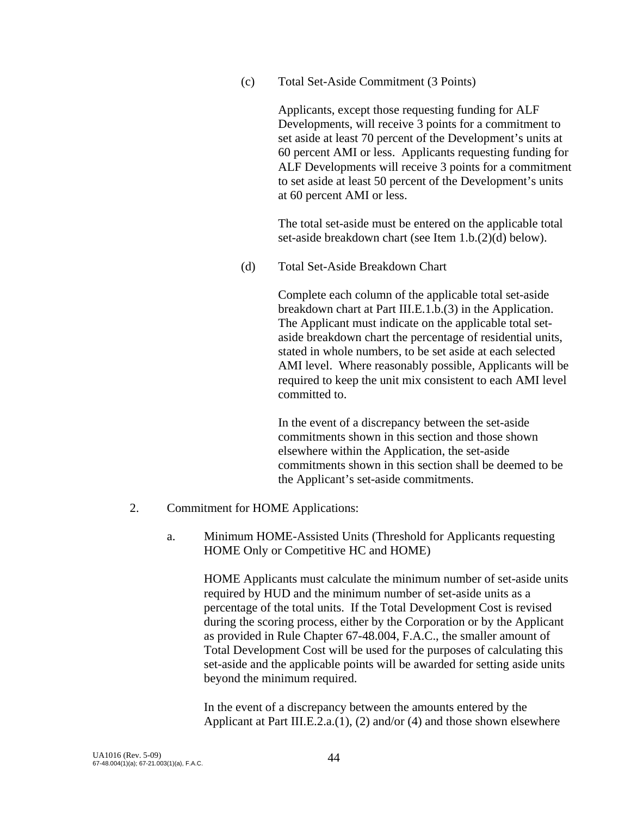(c) Total Set-Aside Commitment (3 Points)

 Applicants, except those requesting funding for ALF Developments, will receive 3 points for a commitment to set aside at least 70 percent of the Development's units at 60 percent AMI or less. Applicants requesting funding for ALF Developments will receive 3 points for a commitment to set aside at least 50 percent of the Development's units at 60 percent AMI or less.

 The total set-aside must be entered on the applicable total set-aside breakdown chart (see Item 1.b.(2)(d) below).

(d) Total Set-Aside Breakdown Chart

Complete each column of the applicable total set-aside breakdown chart at Part III.E.1.b.(3) in the Application. The Applicant must indicate on the applicable total setaside breakdown chart the percentage of residential units, stated in whole numbers, to be set aside at each selected AMI level. Where reasonably possible, Applicants will be required to keep the unit mix consistent to each AMI level committed to.

In the event of a discrepancy between the set-aside commitments shown in this section and those shown elsewhere within the Application, the set-aside commitments shown in this section shall be deemed to be the Applicant's set-aside commitments.

- 2. Commitment for HOME Applications:
	- a. Minimum HOME-Assisted Units (Threshold for Applicants requesting HOME Only or Competitive HC and HOME)

 HOME Applicants must calculate the minimum number of set-aside units required by HUD and the minimum number of set-aside units as a percentage of the total units. If the Total Development Cost is revised during the scoring process, either by the Corporation or by the Applicant as provided in Rule Chapter 67-48.004, F.A.C., the smaller amount of Total Development Cost will be used for the purposes of calculating this set-aside and the applicable points will be awarded for setting aside units beyond the minimum required.

 In the event of a discrepancy between the amounts entered by the Applicant at Part III.E.2.a.(1), (2) and/or (4) and those shown elsewhere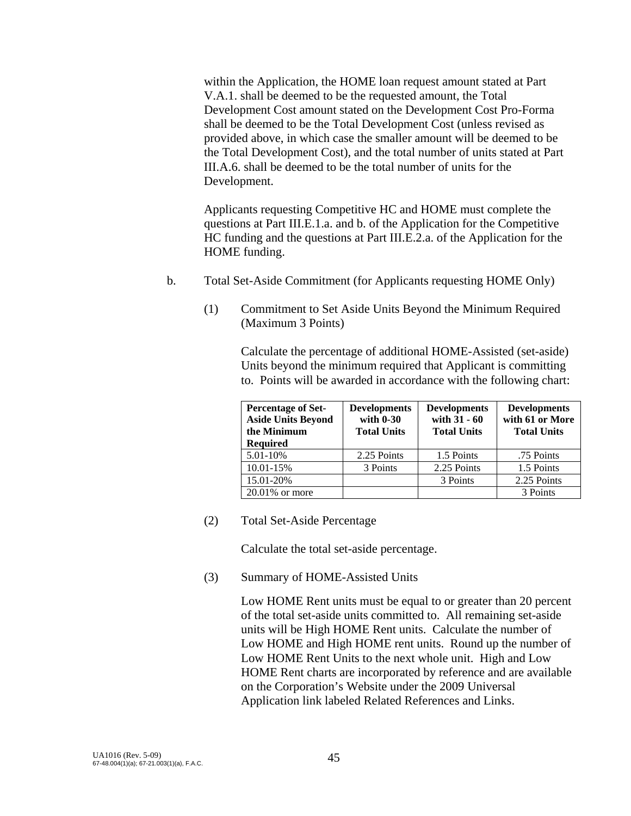within the Application, the HOME loan request amount stated at Part V.A.1. shall be deemed to be the requested amount, the Total Development Cost amount stated on the Development Cost Pro-Forma shall be deemed to be the Total Development Cost (unless revised as provided above, in which case the smaller amount will be deemed to be the Total Development Cost), and the total number of units stated at Part III.A.6. shall be deemed to be the total number of units for the Development.

Applicants requesting Competitive HC and HOME must complete the questions at Part III.E.1.a. and b. of the Application for the Competitive HC funding and the questions at Part III.E.2.a. of the Application for the HOME funding.

- b. Total Set-Aside Commitment (for Applicants requesting HOME Only)
	- (1) Commitment to Set Aside Units Beyond the Minimum Required (Maximum 3 Points)

 Calculate the percentage of additional HOME-Assisted (set-aside) Units beyond the minimum required that Applicant is committing to. Points will be awarded in accordance with the following chart:

| <b>Percentage of Set-</b><br><b>Aside Units Beyond</b><br>the Minimum<br><b>Required</b> | <b>Developments</b><br>with 0-30<br><b>Total Units</b> | <b>Developments</b><br>with 31 - 60<br><b>Total Units</b> | <b>Developments</b><br>with 61 or More<br><b>Total Units</b> |
|------------------------------------------------------------------------------------------|--------------------------------------------------------|-----------------------------------------------------------|--------------------------------------------------------------|
| 5.01-10%                                                                                 | 2.25 Points                                            | 1.5 Points                                                | .75 Points                                                   |
| 10.01-15%                                                                                | 3 Points                                               | 2.25 Points                                               | 1.5 Points                                                   |
| 15.01-20%                                                                                |                                                        | 3 Points                                                  | 2.25 Points                                                  |
| $20.01\%$ or more                                                                        |                                                        |                                                           | 3 Points                                                     |

(2) Total Set-Aside Percentage

Calculate the total set-aside percentage.

(3) Summary of HOME-Assisted Units

 Low HOME Rent units must be equal to or greater than 20 percent of the total set-aside units committed to. All remaining set-aside units will be High HOME Rent units. Calculate the number of Low HOME and High HOME rent units. Round up the number of Low HOME Rent Units to the next whole unit. High and Low HOME Rent charts are incorporated by reference and are available on the Corporation's Website under the 2009 Universal Application link labeled Related References and Links.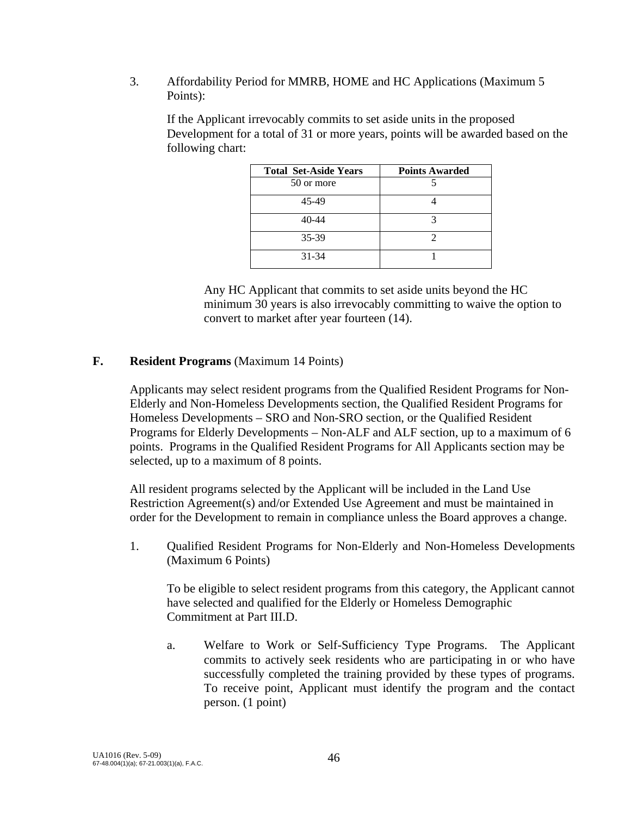### 3. Affordability Period for MMRB, HOME and HC Applications (Maximum 5 Points):

If the Applicant irrevocably commits to set aside units in the proposed Development for a total of 31 or more years, points will be awarded based on the following chart:

| <b>Total Set-Aside Years</b> | <b>Points Awarded</b> |
|------------------------------|-----------------------|
| 50 or more                   |                       |
| 45-49                        |                       |
| 40-44                        |                       |
| 35-39                        |                       |
| 31-34                        |                       |

 Any HC Applicant that commits to set aside units beyond the HC minimum 30 years is also irrevocably committing to waive the option to convert to market after year fourteen (14).

## **F. Resident Programs** (Maximum 14 Points)

Applicants may select resident programs from the Qualified Resident Programs for Non-Elderly and Non-Homeless Developments section, the Qualified Resident Programs for Homeless Developments – SRO and Non-SRO section, or the Qualified Resident Programs for Elderly Developments – Non-ALF and ALF section, up to a maximum of 6 points. Programs in the Qualified Resident Programs for All Applicants section may be selected, up to a maximum of 8 points.

All resident programs selected by the Applicant will be included in the Land Use Restriction Agreement(s) and/or Extended Use Agreement and must be maintained in order for the Development to remain in compliance unless the Board approves a change.

1. Qualified Resident Programs for Non-Elderly and Non-Homeless Developments (Maximum 6 Points)

To be eligible to select resident programs from this category, the Applicant cannot have selected and qualified for the Elderly or Homeless Demographic Commitment at Part III.D.

 a. Welfare to Work or Self-Sufficiency Type Programs. The Applicant commits to actively seek residents who are participating in or who have successfully completed the training provided by these types of programs. To receive point, Applicant must identify the program and the contact person. (1 point)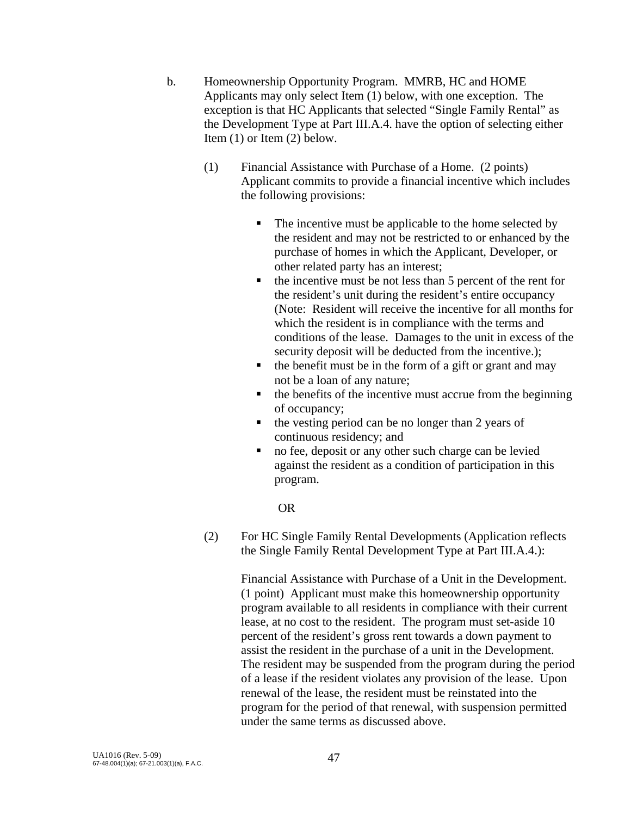- b. Homeownership Opportunity Program. MMRB, HC and HOME Applicants may only select Item (1) below, with one exception. The exception is that HC Applicants that selected "Single Family Rental" as the Development Type at Part III.A.4. have the option of selecting either Item (1) or Item (2) below.
	- (1) Financial Assistance with Purchase of a Home. (2 points) Applicant commits to provide a financial incentive which includes the following provisions:
		- The incentive must be applicable to the home selected by the resident and may not be restricted to or enhanced by the purchase of homes in which the Applicant, Developer, or other related party has an interest;
		- $\blacksquare$  the incentive must be not less than 5 percent of the rent for the resident's unit during the resident's entire occupancy (Note: Resident will receive the incentive for all months for which the resident is in compliance with the terms and conditions of the lease. Damages to the unit in excess of the security deposit will be deducted from the incentive.);
		- $\blacksquare$  the benefit must be in the form of a gift or grant and may not be a loan of any nature;
		- $\blacksquare$  the benefits of the incentive must accrue from the beginning of occupancy;
		- the vesting period can be no longer than 2 years of continuous residency; and
		- no fee, deposit or any other such charge can be levied against the resident as a condition of participation in this program.

## OR

 (2) For HC Single Family Rental Developments (Application reflects the Single Family Rental Development Type at Part III.A.4.):

> Financial Assistance with Purchase of a Unit in the Development. (1 point) Applicant must make this homeownership opportunity program available to all residents in compliance with their current lease, at no cost to the resident. The program must set-aside 10 percent of the resident's gross rent towards a down payment to assist the resident in the purchase of a unit in the Development. The resident may be suspended from the program during the period of a lease if the resident violates any provision of the lease. Upon renewal of the lease, the resident must be reinstated into the program for the period of that renewal, with suspension permitted under the same terms as discussed above.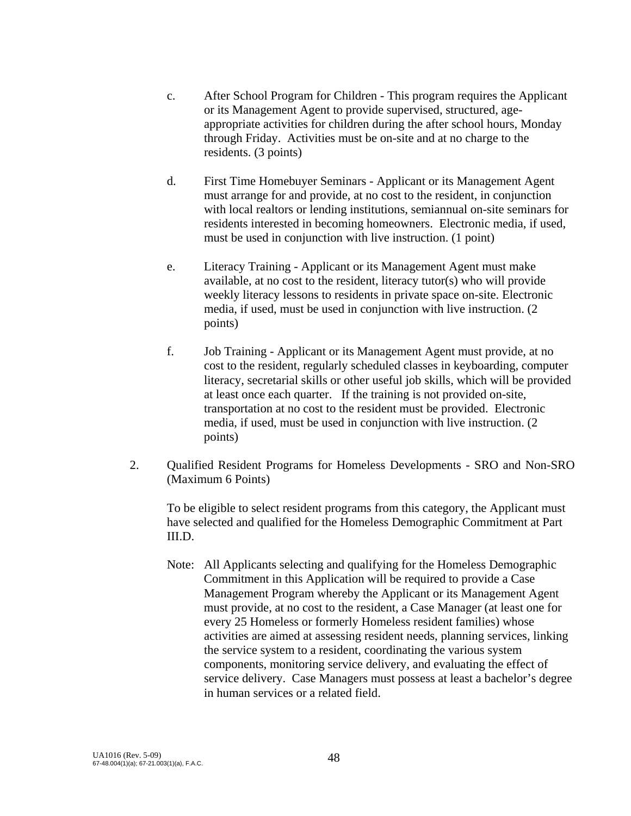- c. After School Program for Children This program requires the Applicant or its Management Agent to provide supervised, structured, ageappropriate activities for children during the after school hours, Monday through Friday. Activities must be on-site and at no charge to the residents. (3 points)
- d. First Time Homebuyer Seminars Applicant or its Management Agent must arrange for and provide, at no cost to the resident, in conjunction with local realtors or lending institutions, semiannual on-site seminars for residents interested in becoming homeowners. Electronic media, if used, must be used in conjunction with live instruction. (1 point)
- e. Literacy Training Applicant or its Management Agent must make available, at no cost to the resident, literacy tutor(s) who will provide weekly literacy lessons to residents in private space on-site. Electronic media, if used, must be used in conjunction with live instruction. (2 points)
- f. Job Training Applicant or its Management Agent must provide, at no cost to the resident, regularly scheduled classes in keyboarding, computer literacy, secretarial skills or other useful job skills, which will be provided at least once each quarter. If the training is not provided on-site, transportation at no cost to the resident must be provided. Electronic media, if used, must be used in conjunction with live instruction. (2 points)
- 2. Qualified Resident Programs for Homeless Developments SRO and Non-SRO (Maximum 6 Points)

To be eligible to select resident programs from this category, the Applicant must have selected and qualified for the Homeless Demographic Commitment at Part III.D.

Note: All Applicants selecting and qualifying for the Homeless Demographic Commitment in this Application will be required to provide a Case Management Program whereby the Applicant or its Management Agent must provide, at no cost to the resident, a Case Manager (at least one for every 25 Homeless or formerly Homeless resident families) whose activities are aimed at assessing resident needs, planning services, linking the service system to a resident, coordinating the various system components, monitoring service delivery, and evaluating the effect of service delivery. Case Managers must possess at least a bachelor's degree in human services or a related field.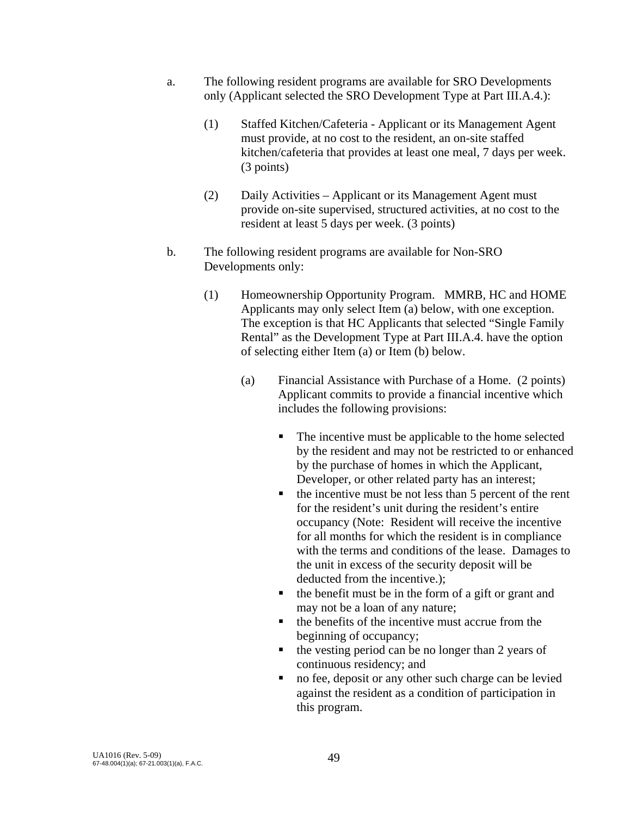- a. The following resident programs are available for SRO Developments only (Applicant selected the SRO Development Type at Part III.A.4.):
	- (1) Staffed Kitchen/Cafeteria Applicant or its Management Agent must provide, at no cost to the resident, an on-site staffed kitchen/cafeteria that provides at least one meal, 7 days per week. (3 points)
	- (2) Daily Activities Applicant or its Management Agent must provide on-site supervised, structured activities, at no cost to the resident at least 5 days per week. (3 points)
- b. The following resident programs are available for Non-SRO Developments only:
	- (1) Homeownership Opportunity Program. MMRB, HC and HOME Applicants may only select Item (a) below, with one exception. The exception is that HC Applicants that selected "Single Family Rental" as the Development Type at Part III.A.4. have the option of selecting either Item (a) or Item (b) below.
		- (a) Financial Assistance with Purchase of a Home. (2 points) Applicant commits to provide a financial incentive which includes the following provisions:
			- The incentive must be applicable to the home selected by the resident and may not be restricted to or enhanced by the purchase of homes in which the Applicant, Developer, or other related party has an interest;
			- $\blacksquare$  the incentive must be not less than 5 percent of the rent for the resident's unit during the resident's entire occupancy (Note: Resident will receive the incentive for all months for which the resident is in compliance with the terms and conditions of the lease. Damages to the unit in excess of the security deposit will be deducted from the incentive.);
			- $\blacksquare$  the benefit must be in the form of a gift or grant and may not be a loan of any nature;
			- $\blacksquare$  the benefits of the incentive must accrue from the beginning of occupancy;
			- the vesting period can be no longer than 2 years of continuous residency; and
			- no fee, deposit or any other such charge can be levied against the resident as a condition of participation in this program.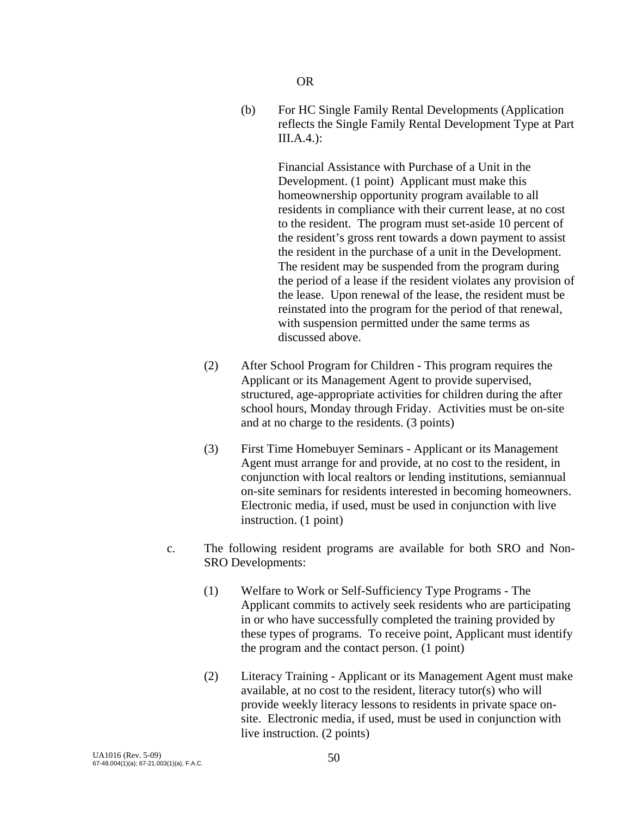OR

 (b) For HC Single Family Rental Developments (Application reflects the Single Family Rental Development Type at Part  $III.A.4.$ ):

> Financial Assistance with Purchase of a Unit in the Development. (1 point) Applicant must make this homeownership opportunity program available to all residents in compliance with their current lease, at no cost to the resident. The program must set-aside 10 percent of the resident's gross rent towards a down payment to assist the resident in the purchase of a unit in the Development. The resident may be suspended from the program during the period of a lease if the resident violates any provision of the lease. Upon renewal of the lease, the resident must be reinstated into the program for the period of that renewal, with suspension permitted under the same terms as discussed above.

- (2) After School Program for Children This program requires the Applicant or its Management Agent to provide supervised, structured, age-appropriate activities for children during the after school hours, Monday through Friday. Activities must be on-site and at no charge to the residents. (3 points)
- (3) First Time Homebuyer Seminars Applicant or its Management Agent must arrange for and provide, at no cost to the resident, in conjunction with local realtors or lending institutions, semiannual on-site seminars for residents interested in becoming homeowners. Electronic media, if used, must be used in conjunction with live instruction. (1 point)
- c. The following resident programs are available for both SRO and Non-SRO Developments:
	- (1) Welfare to Work or Self-Sufficiency Type Programs The Applicant commits to actively seek residents who are participating in or who have successfully completed the training provided by these types of programs. To receive point, Applicant must identify the program and the contact person. (1 point)
	- (2) Literacy Training Applicant or its Management Agent must make available, at no cost to the resident, literacy tutor(s) who will provide weekly literacy lessons to residents in private space onsite. Electronic media, if used, must be used in conjunction with live instruction. (2 points)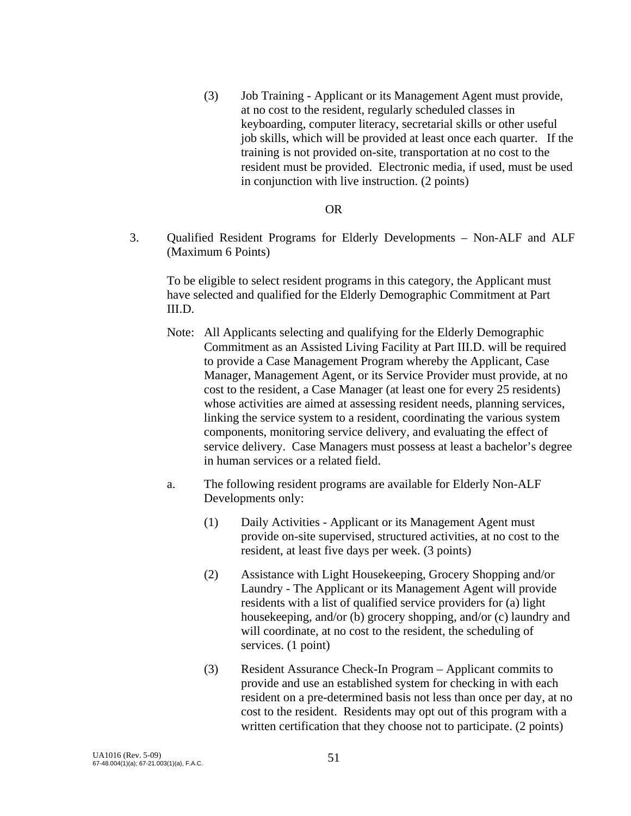(3) Job Training - Applicant or its Management Agent must provide, at no cost to the resident, regularly scheduled classes in keyboarding, computer literacy, secretarial skills or other useful job skills, which will be provided at least once each quarter. If the training is not provided on-site, transportation at no cost to the resident must be provided. Electronic media, if used, must be used in conjunction with live instruction. (2 points)

#### OR

3. Qualified Resident Programs for Elderly Developments – Non-ALF and ALF (Maximum 6 Points)

To be eligible to select resident programs in this category, the Applicant must have selected and qualified for the Elderly Demographic Commitment at Part III.D.

- Note: All Applicants selecting and qualifying for the Elderly Demographic Commitment as an Assisted Living Facility at Part III.D. will be required to provide a Case Management Program whereby the Applicant, Case Manager, Management Agent, or its Service Provider must provide, at no cost to the resident, a Case Manager (at least one for every 25 residents) whose activities are aimed at assessing resident needs, planning services, linking the service system to a resident, coordinating the various system components, monitoring service delivery, and evaluating the effect of service delivery. Case Managers must possess at least a bachelor's degree in human services or a related field.
- a. The following resident programs are available for Elderly Non-ALF Developments only:
	- (1) Daily Activities Applicant or its Management Agent must provide on-site supervised, structured activities, at no cost to the resident, at least five days per week. (3 points)
	- (2) Assistance with Light Housekeeping, Grocery Shopping and/or Laundry - The Applicant or its Management Agent will provide residents with a list of qualified service providers for (a) light housekeeping, and/or (b) grocery shopping, and/or (c) laundry and will coordinate, at no cost to the resident, the scheduling of services. (1 point)
	- (3) Resident Assurance Check-In Program Applicant commits to provide and use an established system for checking in with each resident on a pre-determined basis not less than once per day, at no cost to the resident. Residents may opt out of this program with a written certification that they choose not to participate. (2 points)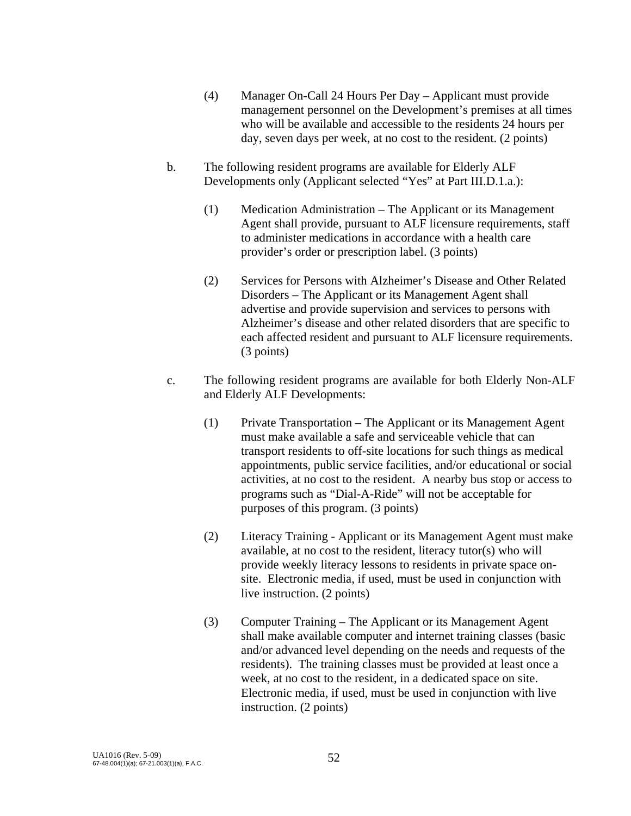- (4) Manager On-Call 24 Hours Per Day Applicant must provide management personnel on the Development's premises at all times who will be available and accessible to the residents 24 hours per day, seven days per week, at no cost to the resident. (2 points)
- b. The following resident programs are available for Elderly ALF Developments only (Applicant selected "Yes" at Part III.D.1.a.):
	- (1) Medication Administration The Applicant or its Management Agent shall provide, pursuant to ALF licensure requirements, staff to administer medications in accordance with a health care provider's order or prescription label. (3 points)
	- (2) Services for Persons with Alzheimer's Disease and Other Related Disorders – The Applicant or its Management Agent shall advertise and provide supervision and services to persons with Alzheimer's disease and other related disorders that are specific to each affected resident and pursuant to ALF licensure requirements. (3 points)
- c. The following resident programs are available for both Elderly Non-ALF and Elderly ALF Developments:
	- (1) Private Transportation The Applicant or its Management Agent must make available a safe and serviceable vehicle that can transport residents to off-site locations for such things as medical appointments, public service facilities, and/or educational or social activities, at no cost to the resident. A nearby bus stop or access to programs such as "Dial-A-Ride" will not be acceptable for purposes of this program. (3 points)
	- (2) Literacy Training Applicant or its Management Agent must make available, at no cost to the resident, literacy tutor(s) who will provide weekly literacy lessons to residents in private space onsite. Electronic media, if used, must be used in conjunction with live instruction. (2 points)
	- (3) Computer Training The Applicant or its Management Agent shall make available computer and internet training classes (basic and/or advanced level depending on the needs and requests of the residents). The training classes must be provided at least once a week, at no cost to the resident, in a dedicated space on site. Electronic media, if used, must be used in conjunction with live instruction. (2 points)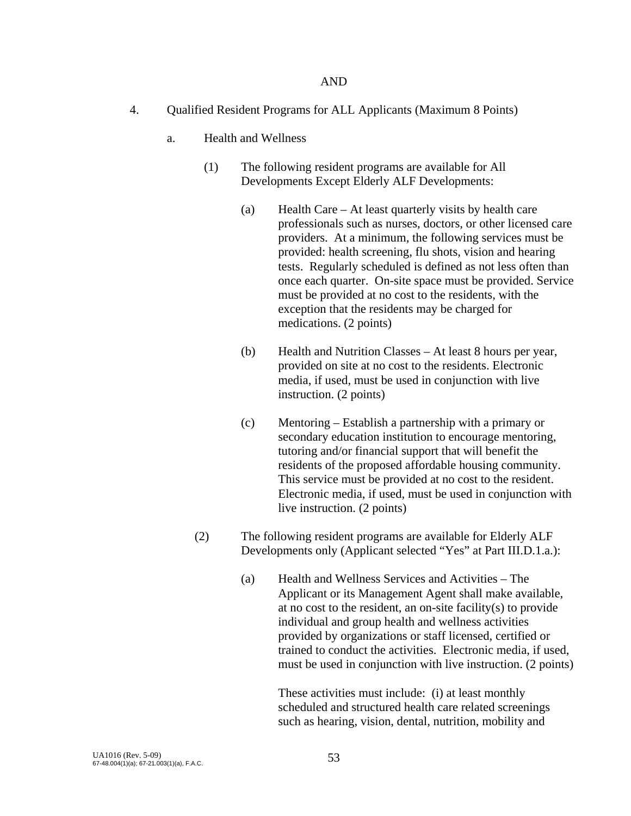- 4. Qualified Resident Programs for ALL Applicants (Maximum 8 Points)
	- a. Health and Wellness
		- (1) The following resident programs are available for All Developments Except Elderly ALF Developments:
			- (a) Health Care At least quarterly visits by health care professionals such as nurses, doctors, or other licensed care providers. At a minimum, the following services must be provided: health screening, flu shots, vision and hearing tests. Regularly scheduled is defined as not less often than once each quarter. On-site space must be provided. Service must be provided at no cost to the residents, with the exception that the residents may be charged for medications. (2 points)
			- (b) Health and Nutrition Classes At least 8 hours per year, provided on site at no cost to the residents. Electronic media, if used, must be used in conjunction with live instruction. (2 points)
			- (c) Mentoring Establish a partnership with a primary or secondary education institution to encourage mentoring, tutoring and/or financial support that will benefit the residents of the proposed affordable housing community. This service must be provided at no cost to the resident. Electronic media, if used, must be used in conjunction with live instruction. (2 points)
		- (2) The following resident programs are available for Elderly ALF Developments only (Applicant selected "Yes" at Part III.D.1.a.):
			- (a) Health and Wellness Services and Activities The Applicant or its Management Agent shall make available, at no cost to the resident, an on-site facility(s) to provide individual and group health and wellness activities provided by organizations or staff licensed, certified or trained to conduct the activities. Electronic media, if used, must be used in conjunction with live instruction. (2 points)

 These activities must include: (i) at least monthly scheduled and structured health care related screenings such as hearing, vision, dental, nutrition, mobility and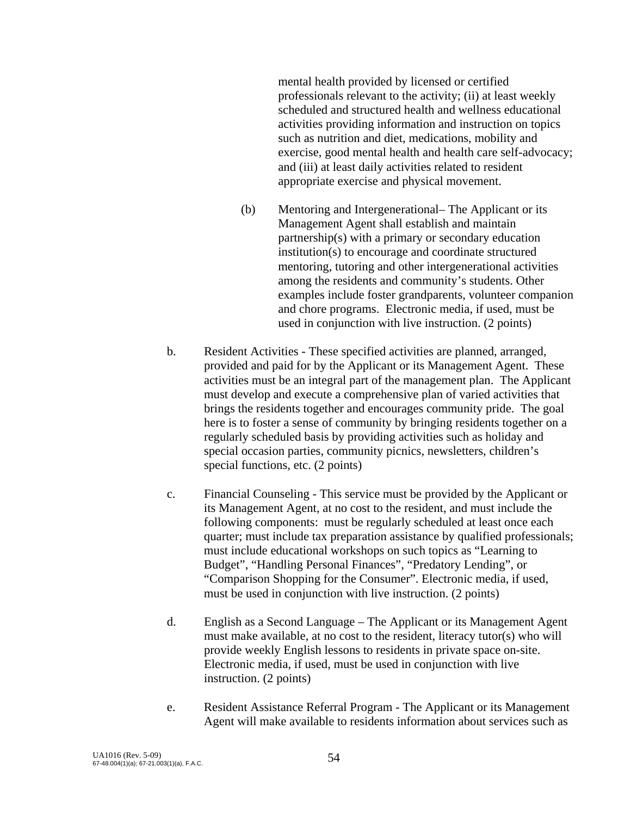mental health provided by licensed or certified professionals relevant to the activity; (ii) at least weekly scheduled and structured health and wellness educational activities providing information and instruction on topics such as nutrition and diet, medications, mobility and exercise, good mental health and health care self-advocacy; and (iii) at least daily activities related to resident appropriate exercise and physical movement.

- (b) Mentoring and Intergenerational– The Applicant or its Management Agent shall establish and maintain partnership(s) with a primary or secondary education institution(s) to encourage and coordinate structured mentoring, tutoring and other intergenerational activities among the residents and community's students. Other examples include foster grandparents, volunteer companion and chore programs. Electronic media, if used, must be used in conjunction with live instruction. (2 points)
- b. Resident Activities These specified activities are planned, arranged, provided and paid for by the Applicant or its Management Agent. These activities must be an integral part of the management plan. The Applicant must develop and execute a comprehensive plan of varied activities that brings the residents together and encourages community pride. The goal here is to foster a sense of community by bringing residents together on a regularly scheduled basis by providing activities such as holiday and special occasion parties, community picnics, newsletters, children's special functions, etc. (2 points)
- c. Financial Counseling This service must be provided by the Applicant or its Management Agent, at no cost to the resident, and must include the following components: must be regularly scheduled at least once each quarter; must include tax preparation assistance by qualified professionals; must include educational workshops on such topics as "Learning to Budget", "Handling Personal Finances", "Predatory Lending", or "Comparison Shopping for the Consumer". Electronic media, if used, must be used in conjunction with live instruction. (2 points)
- d. English as a Second Language The Applicant or its Management Agent must make available, at no cost to the resident, literacy tutor(s) who will provide weekly English lessons to residents in private space on-site. Electronic media, if used, must be used in conjunction with live instruction. (2 points)
- e. Resident Assistance Referral Program The Applicant or its Management Agent will make available to residents information about services such as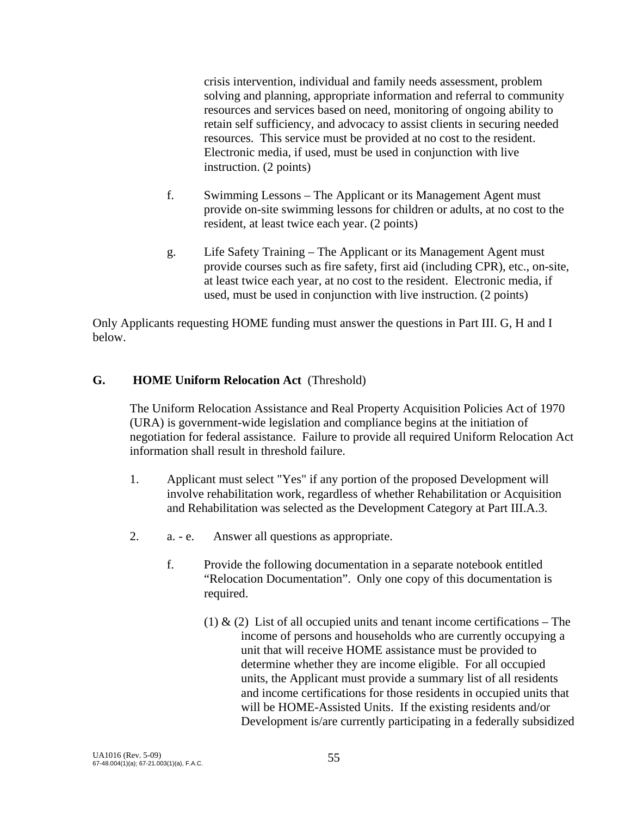crisis intervention, individual and family needs assessment, problem solving and planning, appropriate information and referral to community resources and services based on need, monitoring of ongoing ability to retain self sufficiency, and advocacy to assist clients in securing needed resources. This service must be provided at no cost to the resident. Electronic media, if used, must be used in conjunction with live instruction. (2 points)

- f. Swimming Lessons The Applicant or its Management Agent must provide on-site swimming lessons for children or adults, at no cost to the resident, at least twice each year. (2 points)
- g. Life Safety Training The Applicant or its Management Agent must provide courses such as fire safety, first aid (including CPR), etc., on-site, at least twice each year, at no cost to the resident. Electronic media, if used, must be used in conjunction with live instruction. (2 points)

Only Applicants requesting HOME funding must answer the questions in Part III. G, H and I below.

## **G. HOME Uniform Relocation Act** (Threshold)

The Uniform Relocation Assistance and Real Property Acquisition Policies Act of 1970 (URA) is government-wide legislation and compliance begins at the initiation of negotiation for federal assistance. Failure to provide all required Uniform Relocation Act information shall result in threshold failure.

- 1. Applicant must select "Yes" if any portion of the proposed Development will involve rehabilitation work, regardless of whether Rehabilitation or Acquisition and Rehabilitation was selected as the Development Category at Part III.A.3.
- 2. a. e. Answer all questions as appropriate.
	- f. Provide the following documentation in a separate notebook entitled "Relocation Documentation". Only one copy of this documentation is required.
		- (1)  $\&$  (2) List of all occupied units and tenant income certifications The income of persons and households who are currently occupying a unit that will receive HOME assistance must be provided to determine whether they are income eligible. For all occupied units, the Applicant must provide a summary list of all residents and income certifications for those residents in occupied units that will be HOME-Assisted Units. If the existing residents and/or Development is/are currently participating in a federally subsidized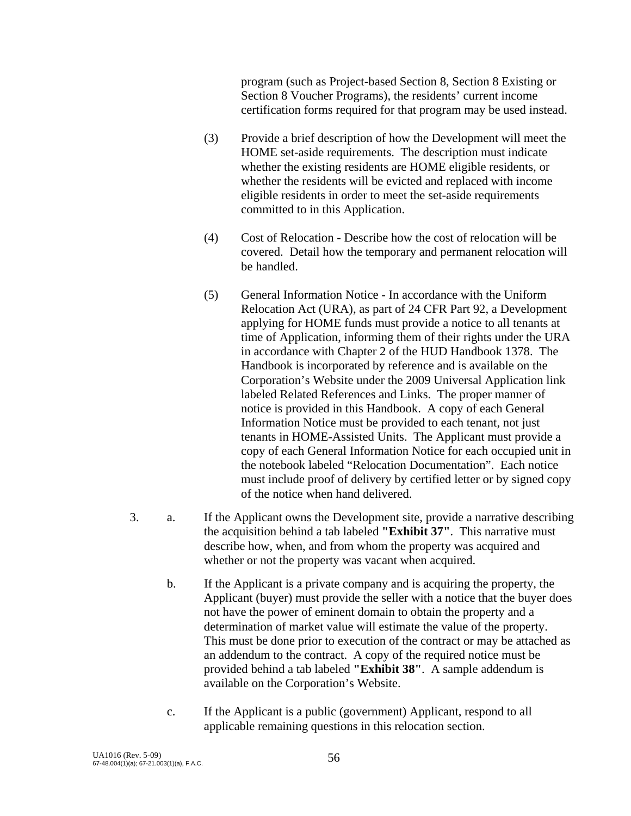program (such as Project-based Section 8, Section 8 Existing or Section 8 Voucher Programs), the residents' current income certification forms required for that program may be used instead.

- (3) Provide a brief description of how the Development will meet the HOME set-aside requirements. The description must indicate whether the existing residents are HOME eligible residents, or whether the residents will be evicted and replaced with income eligible residents in order to meet the set-aside requirements committed to in this Application.
- (4) Cost of Relocation Describe how the cost of relocation will be covered. Detail how the temporary and permanent relocation will be handled.
- (5) General Information Notice In accordance with the Uniform Relocation Act (URA), as part of 24 CFR Part 92, a Development applying for HOME funds must provide a notice to all tenants at time of Application, informing them of their rights under the URA in accordance with Chapter 2 of the HUD Handbook 1378. The Handbook is incorporated by reference and is available on the Corporation's Website under the 2009 Universal Application link labeled Related References and Links. The proper manner of notice is provided in this Handbook. A copy of each General Information Notice must be provided to each tenant, not just tenants in HOME-Assisted Units. The Applicant must provide a copy of each General Information Notice for each occupied unit in the notebook labeled "Relocation Documentation". Each notice must include proof of delivery by certified letter or by signed copy of the notice when hand delivered.
- 3. a. If the Applicant owns the Development site, provide a narrative describing the acquisition behind a tab labeled **"Exhibit 37"**. This narrative must describe how, when, and from whom the property was acquired and whether or not the property was vacant when acquired.
	- b. If the Applicant is a private company and is acquiring the property, the Applicant (buyer) must provide the seller with a notice that the buyer does not have the power of eminent domain to obtain the property and a determination of market value will estimate the value of the property. This must be done prior to execution of the contract or may be attached as an addendum to the contract. A copy of the required notice must be provided behind a tab labeled **"Exhibit 38"**. A sample addendum is available on the Corporation's Website.
	- c. If the Applicant is a public (government) Applicant, respond to all applicable remaining questions in this relocation section.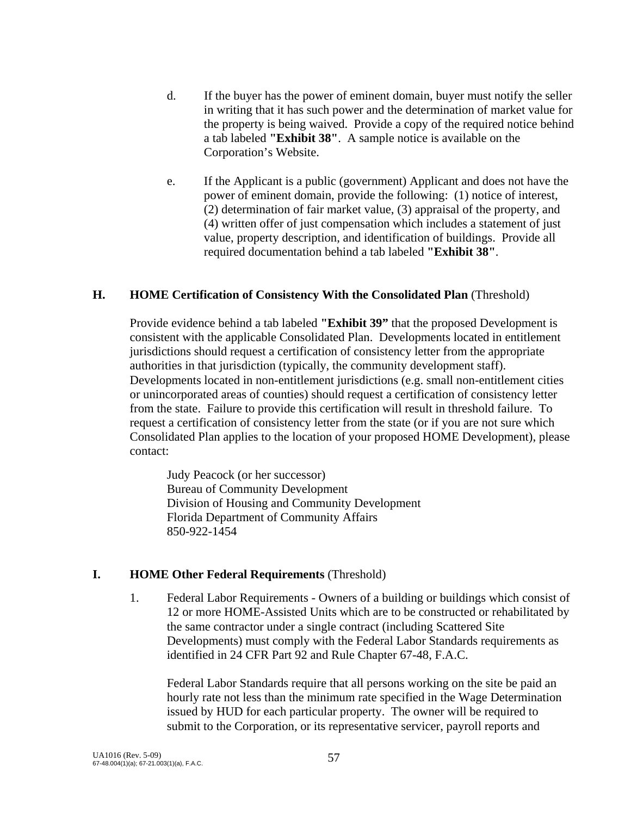- d. If the buyer has the power of eminent domain, buyer must notify the seller in writing that it has such power and the determination of market value for the property is being waived. Provide a copy of the required notice behind a tab labeled **"Exhibit 38"**. A sample notice is available on the Corporation's Website.
- e. If the Applicant is a public (government) Applicant and does not have the power of eminent domain, provide the following: (1) notice of interest, (2) determination of fair market value, (3) appraisal of the property, and (4) written offer of just compensation which includes a statement of just value, property description, and identification of buildings. Provide all required documentation behind a tab labeled **"Exhibit 38"**.

#### **H. HOME Certification of Consistency With the Consolidated Plan** (Threshold)

Provide evidence behind a tab labeled **"Exhibit 39"** that the proposed Development is consistent with the applicable Consolidated Plan. Developments located in entitlement jurisdictions should request a certification of consistency letter from the appropriate authorities in that jurisdiction (typically, the community development staff). Developments located in non-entitlement jurisdictions (e.g. small non-entitlement cities or unincorporated areas of counties) should request a certification of consistency letter from the state. Failure to provide this certification will result in threshold failure. To request a certification of consistency letter from the state (or if you are not sure which Consolidated Plan applies to the location of your proposed HOME Development), please contact:

 Judy Peacock (or her successor) Bureau of Community Development Division of Housing and Community Development Florida Department of Community Affairs 850-922-1454

#### **I. HOME Other Federal Requirements** (Threshold)

 1. Federal Labor Requirements - Owners of a building or buildings which consist of 12 or more HOME-Assisted Units which are to be constructed or rehabilitated by the same contractor under a single contract (including Scattered Site Developments) must comply with the Federal Labor Standards requirements as identified in 24 CFR Part 92 and Rule Chapter 67-48, F.A.C.

Federal Labor Standards require that all persons working on the site be paid an hourly rate not less than the minimum rate specified in the Wage Determination issued by HUD for each particular property. The owner will be required to submit to the Corporation, or its representative servicer, payroll reports and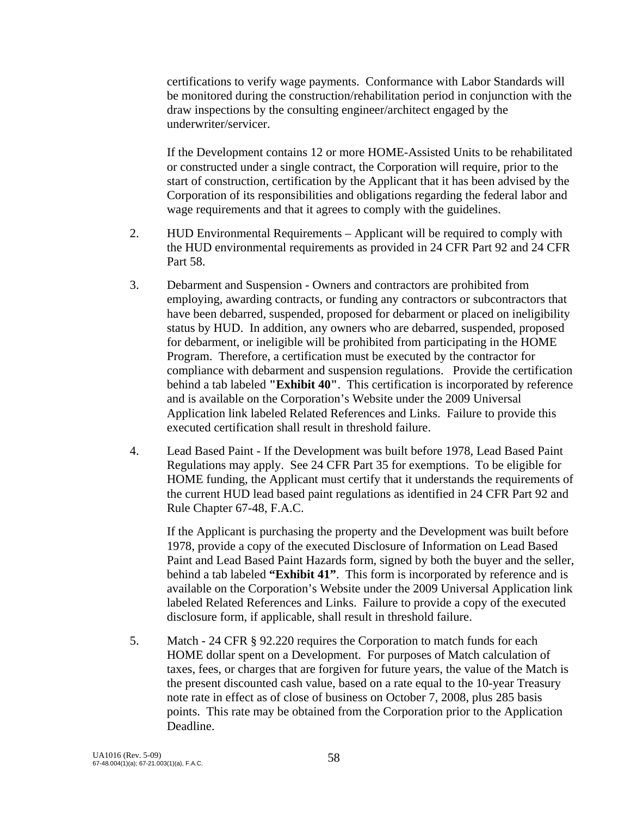certifications to verify wage payments. Conformance with Labor Standards will be monitored during the construction/rehabilitation period in conjunction with the draw inspections by the consulting engineer/architect engaged by the underwriter/servicer.

If the Development contains 12 or more HOME-Assisted Units to be rehabilitated or constructed under a single contract, the Corporation will require, prior to the start of construction, certification by the Applicant that it has been advised by the Corporation of its responsibilities and obligations regarding the federal labor and wage requirements and that it agrees to comply with the guidelines.

- 2. HUD Environmental Requirements Applicant will be required to comply with the HUD environmental requirements as provided in 24 CFR Part 92 and 24 CFR Part 58.
- 3. Debarment and Suspension Owners and contractors are prohibited from employing, awarding contracts, or funding any contractors or subcontractors that have been debarred, suspended, proposed for debarment or placed on ineligibility status by HUD. In addition, any owners who are debarred, suspended, proposed for debarment, or ineligible will be prohibited from participating in the HOME Program. Therefore, a certification must be executed by the contractor for compliance with debarment and suspension regulations. Provide the certification behind a tab labeled **"Exhibit 40"**. This certification is incorporated by reference and is available on the Corporation's Website under the 2009 Universal Application link labeled Related References and Links. Failure to provide this executed certification shall result in threshold failure.
- 4. Lead Based Paint If the Development was built before 1978, Lead Based Paint Regulations may apply. See 24 CFR Part 35 for exemptions. To be eligible for HOME funding, the Applicant must certify that it understands the requirements of the current HUD lead based paint regulations as identified in 24 CFR Part 92 and Rule Chapter 67-48, F.A.C.

 If the Applicant is purchasing the property and the Development was built before 1978, provide a copy of the executed Disclosure of Information on Lead Based Paint and Lead Based Paint Hazards form, signed by both the buyer and the seller, behind a tab labeled **"Exhibit 41"**. This form is incorporated by reference and is available on the Corporation's Website under the 2009 Universal Application link labeled Related References and Links. Failure to provide a copy of the executed disclosure form, if applicable, shall result in threshold failure.

 5. Match - 24 CFR § 92.220 requires the Corporation to match funds for each HOME dollar spent on a Development. For purposes of Match calculation of taxes, fees, or charges that are forgiven for future years, the value of the Match is the present discounted cash value, based on a rate equal to the 10-year Treasury note rate in effect as of close of business on October 7, 2008, plus 285 basis points. This rate may be obtained from the Corporation prior to the Application Deadline.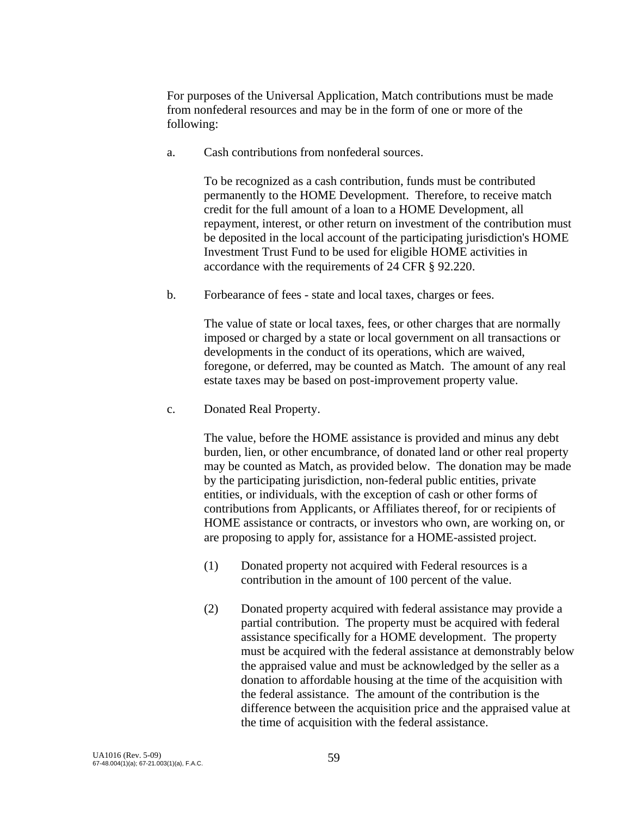For purposes of the Universal Application, Match contributions must be made from nonfederal resources and may be in the form of one or more of the following:

a. Cash contributions from nonfederal sources.

 To be recognized as a cash contribution, funds must be contributed permanently to the HOME Development. Therefore, to receive match credit for the full amount of a loan to a HOME Development, all repayment, interest, or other return on investment of the contribution must be deposited in the local account of the participating jurisdiction's HOME Investment Trust Fund to be used for eligible HOME activities in accordance with the requirements of 24 CFR § 92.220.

b. Forbearance of fees - state and local taxes, charges or fees.

 The value of state or local taxes, fees, or other charges that are normally imposed or charged by a state or local government on all transactions or developments in the conduct of its operations, which are waived, foregone, or deferred, may be counted as Match. The amount of any real estate taxes may be based on post-improvement property value.

c. Donated Real Property.

 The value, before the HOME assistance is provided and minus any debt burden, lien, or other encumbrance, of donated land or other real property may be counted as Match, as provided below. The donation may be made by the participating jurisdiction, non-federal public entities, private entities, or individuals, with the exception of cash or other forms of contributions from Applicants, or Affiliates thereof, for or recipients of HOME assistance or contracts, or investors who own, are working on, or are proposing to apply for, assistance for a HOME-assisted project.

- (1) Donated property not acquired with Federal resources is a contribution in the amount of 100 percent of the value.
- (2) Donated property acquired with federal assistance may provide a partial contribution. The property must be acquired with federal assistance specifically for a HOME development. The property must be acquired with the federal assistance at demonstrably below the appraised value and must be acknowledged by the seller as a donation to affordable housing at the time of the acquisition with the federal assistance. The amount of the contribution is the difference between the acquisition price and the appraised value at the time of acquisition with the federal assistance.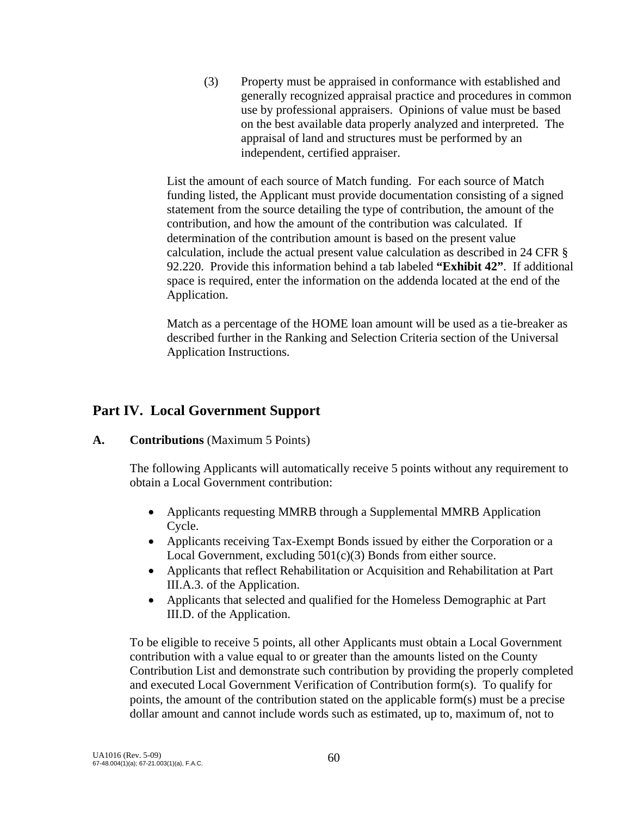(3) Property must be appraised in conformance with established and generally recognized appraisal practice and procedures in common use by professional appraisers. Opinions of value must be based on the best available data properly analyzed and interpreted. The appraisal of land and structures must be performed by an independent, certified appraiser.

 List the amount of each source of Match funding. For each source of Match funding listed, the Applicant must provide documentation consisting of a signed statement from the source detailing the type of contribution, the amount of the contribution, and how the amount of the contribution was calculated. If determination of the contribution amount is based on the present value calculation, include the actual present value calculation as described in 24 CFR § 92.220. Provide this information behind a tab labeled **"Exhibit 42"**. If additional space is required, enter the information on the addenda located at the end of the Application.

Match as a percentage of the HOME loan amount will be used as a tie-breaker as described further in the Ranking and Selection Criteria section of the Universal Application Instructions.

# **Part IV. Local Government Support**

## **A. Contributions** (Maximum 5 Points)

The following Applicants will automatically receive 5 points without any requirement to obtain a Local Government contribution:

- Applicants requesting MMRB through a Supplemental MMRB Application Cycle.
- Applicants receiving Tax-Exempt Bonds issued by either the Corporation or a Local Government, excluding 501(c)(3) Bonds from either source.
- Applicants that reflect Rehabilitation or Acquisition and Rehabilitation at Part III.A.3. of the Application.
- Applicants that selected and qualified for the Homeless Demographic at Part III.D. of the Application.

 To be eligible to receive 5 points, all other Applicants must obtain a Local Government contribution with a value equal to or greater than the amounts listed on the County Contribution List and demonstrate such contribution by providing the properly completed and executed Local Government Verification of Contribution form(s). To qualify for points, the amount of the contribution stated on the applicable form(s) must be a precise dollar amount and cannot include words such as estimated, up to, maximum of, not to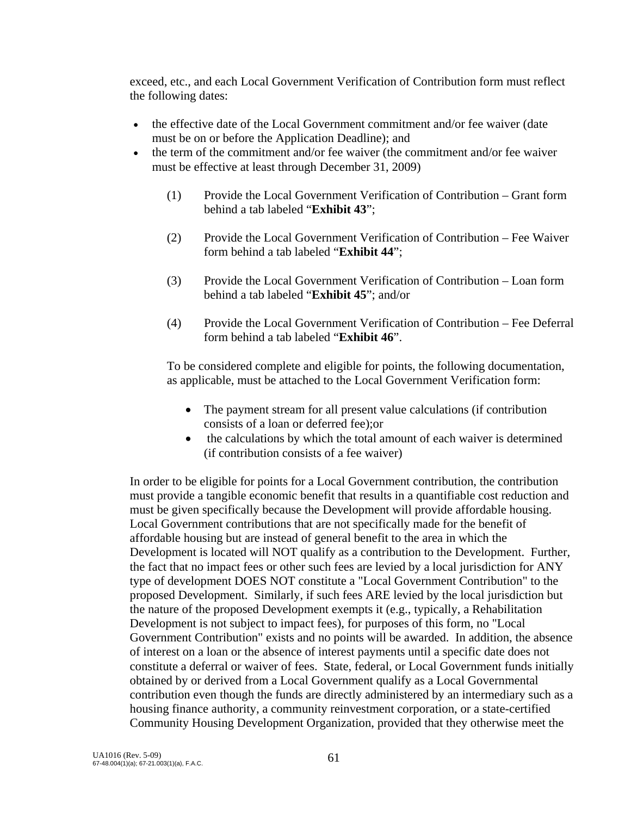exceed, etc., and each Local Government Verification of Contribution form must reflect the following dates:

- the effective date of the Local Government commitment and/or fee waiver (date must be on or before the Application Deadline); and
- the term of the commitment and/or fee waiver (the commitment and/or fee waiver must be effective at least through December 31, 2009)
	- (1) Provide the Local Government Verification of Contribution Grant form behind a tab labeled "**Exhibit 43**";
	- (2) Provide the Local Government Verification of Contribution Fee Waiver form behind a tab labeled "**Exhibit 44**";
	- (3) Provide the Local Government Verification of Contribution Loan form behind a tab labeled "**Exhibit 45**"; and/or
	- (4) Provide the Local Government Verification of Contribution Fee Deferral form behind a tab labeled "**Exhibit 46**".

 To be considered complete and eligible for points, the following documentation, as applicable, must be attached to the Local Government Verification form:

- The payment stream for all present value calculations (if contribution consists of a loan or deferred fee);or
- the calculations by which the total amount of each waiver is determined (if contribution consists of a fee waiver)

 In order to be eligible for points for a Local Government contribution, the contribution must provide a tangible economic benefit that results in a quantifiable cost reduction and must be given specifically because the Development will provide affordable housing. Local Government contributions that are not specifically made for the benefit of affordable housing but are instead of general benefit to the area in which the Development is located will NOT qualify as a contribution to the Development. Further, the fact that no impact fees or other such fees are levied by a local jurisdiction for ANY type of development DOES NOT constitute a "Local Government Contribution" to the proposed Development. Similarly, if such fees ARE levied by the local jurisdiction but the nature of the proposed Development exempts it (e.g., typically, a Rehabilitation Development is not subject to impact fees), for purposes of this form, no "Local Government Contribution" exists and no points will be awarded. In addition, the absence of interest on a loan or the absence of interest payments until a specific date does not constitute a deferral or waiver of fees. State, federal, or Local Government funds initially obtained by or derived from a Local Government qualify as a Local Governmental contribution even though the funds are directly administered by an intermediary such as a housing finance authority, a community reinvestment corporation, or a state-certified Community Housing Development Organization, provided that they otherwise meet the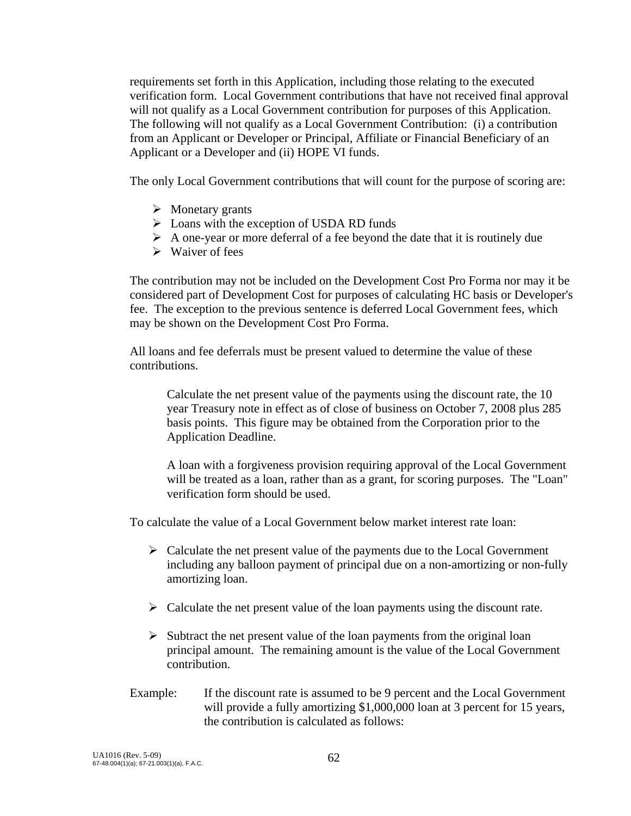requirements set forth in this Application, including those relating to the executed verification form. Local Government contributions that have not received final approval will not qualify as a Local Government contribution for purposes of this Application. The following will not qualify as a Local Government Contribution: (i) a contribution from an Applicant or Developer or Principal, Affiliate or Financial Beneficiary of an Applicant or a Developer and (ii) HOPE VI funds.

The only Local Government contributions that will count for the purpose of scoring are:

- $\triangleright$  Monetary grants
- $\triangleright$  Loans with the exception of USDA RD funds
- $\triangleright$  A one-year or more deferral of a fee beyond the date that it is routinely due
- $\triangleright$  Waiver of fees

 The contribution may not be included on the Development Cost Pro Forma nor may it be considered part of Development Cost for purposes of calculating HC basis or Developer's fee. The exception to the previous sentence is deferred Local Government fees, which may be shown on the Development Cost Pro Forma.

 All loans and fee deferrals must be present valued to determine the value of these contributions.

Calculate the net present value of the payments using the discount rate, the 10 year Treasury note in effect as of close of business on October 7, 2008 plus 285 basis points. This figure may be obtained from the Corporation prior to the Application Deadline.

A loan with a forgiveness provision requiring approval of the Local Government will be treated as a loan, rather than as a grant, for scoring purposes. The "Loan" verification form should be used.

To calculate the value of a Local Government below market interest rate loan:

- $\triangleright$  Calculate the net present value of the payments due to the Local Government including any balloon payment of principal due on a non-amortizing or non-fully amortizing loan.
- $\triangleright$  Calculate the net present value of the loan payments using the discount rate.
- $\triangleright$  Subtract the net present value of the loan payments from the original loan principal amount. The remaining amount is the value of the Local Government contribution.
- Example: If the discount rate is assumed to be 9 percent and the Local Government will provide a fully amortizing \$1,000,000 loan at 3 percent for 15 years, the contribution is calculated as follows: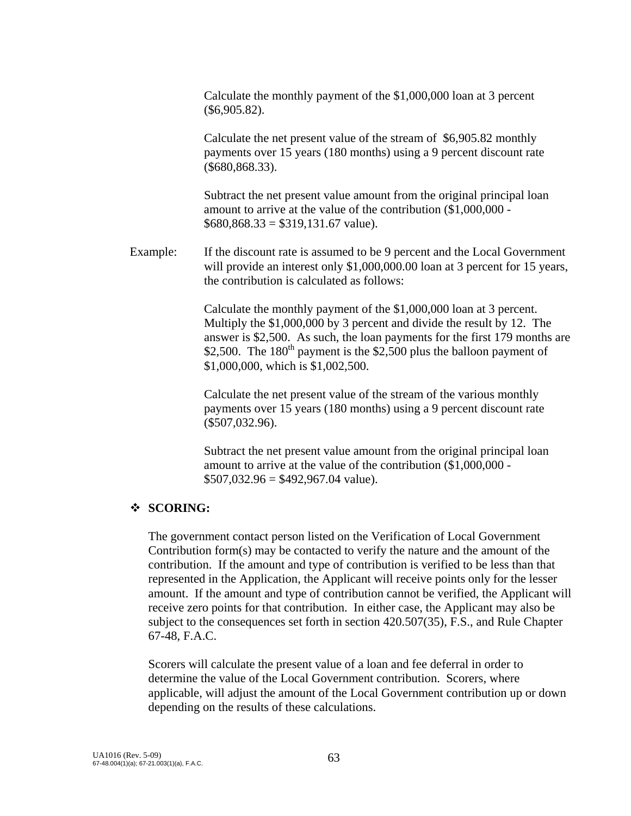Calculate the monthly payment of the \$1,000,000 loan at 3 percent (\$6,905.82).

 Calculate the net present value of the stream of \$6,905.82 monthly payments over 15 years (180 months) using a 9 percent discount rate (\$680,868.33).

 Subtract the net present value amount from the original principal loan amount to arrive at the value of the contribution (\$1,000,000 -  $$680,868.33 = $319,131.67$  value).

Example: If the discount rate is assumed to be 9 percent and the Local Government will provide an interest only \$1,000,000.00 loan at 3 percent for 15 years, the contribution is calculated as follows:

> Calculate the monthly payment of the \$1,000,000 loan at 3 percent. Multiply the \$1,000,000 by 3 percent and divide the result by 12. The answer is \$2,500. As such, the loan payments for the first 179 months are \$2,500. The 180<sup>th</sup> payment is the \$2,500 plus the balloon payment of \$1,000,000, which is \$1,002,500.

 Calculate the net present value of the stream of the various monthly payments over 15 years (180 months) using a 9 percent discount rate (\$507,032.96).

 Subtract the net present value amount from the original principal loan amount to arrive at the value of the contribution (\$1,000,000 -  $$507,032.96 = $492,967.04$  value).

## **SCORING:**

 The government contact person listed on the Verification of Local Government Contribution form(s) may be contacted to verify the nature and the amount of the contribution. If the amount and type of contribution is verified to be less than that represented in the Application, the Applicant will receive points only for the lesser amount. If the amount and type of contribution cannot be verified, the Applicant will receive zero points for that contribution. In either case, the Applicant may also be subject to the consequences set forth in section 420.507(35), F.S., and Rule Chapter 67-48, F.A.C.

 Scorers will calculate the present value of a loan and fee deferral in order to determine the value of the Local Government contribution. Scorers, where applicable, will adjust the amount of the Local Government contribution up or down depending on the results of these calculations.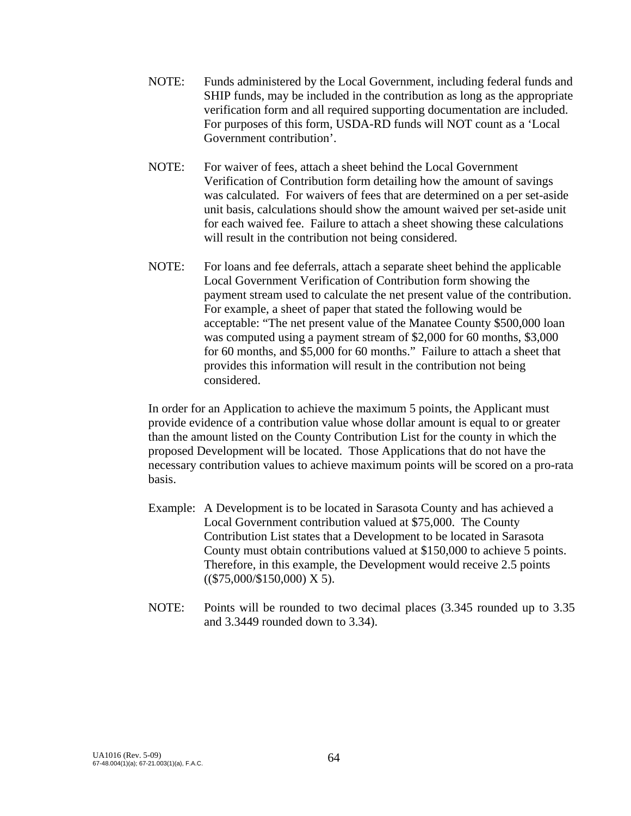- NOTE: Funds administered by the Local Government, including federal funds and SHIP funds, may be included in the contribution as long as the appropriate verification form and all required supporting documentation are included. For purposes of this form, USDA-RD funds will NOT count as a 'Local Government contribution'.
- NOTE: For waiver of fees, attach a sheet behind the Local Government Verification of Contribution form detailing how the amount of savings was calculated. For waivers of fees that are determined on a per set-aside unit basis, calculations should show the amount waived per set-aside unit for each waived fee. Failure to attach a sheet showing these calculations will result in the contribution not being considered.
- NOTE: For loans and fee deferrals, attach a separate sheet behind the applicable Local Government Verification of Contribution form showing the payment stream used to calculate the net present value of the contribution. For example, a sheet of paper that stated the following would be acceptable: "The net present value of the Manatee County \$500,000 loan was computed using a payment stream of \$2,000 for 60 months, \$3,000 for 60 months, and \$5,000 for 60 months." Failure to attach a sheet that provides this information will result in the contribution not being considered.

In order for an Application to achieve the maximum 5 points, the Applicant must provide evidence of a contribution value whose dollar amount is equal to or greater than the amount listed on the County Contribution List for the county in which the proposed Development will be located. Those Applications that do not have the necessary contribution values to achieve maximum points will be scored on a pro-rata basis.

- Example: A Development is to be located in Sarasota County and has achieved a Local Government contribution valued at \$75,000. The County Contribution List states that a Development to be located in Sarasota County must obtain contributions valued at \$150,000 to achieve 5 points. Therefore, in this example, the Development would receive 2.5 points  $((\$75,000/\$150,000)$  X 5).
- NOTE: Points will be rounded to two decimal places (3.345 rounded up to 3.35 and 3.3449 rounded down to 3.34).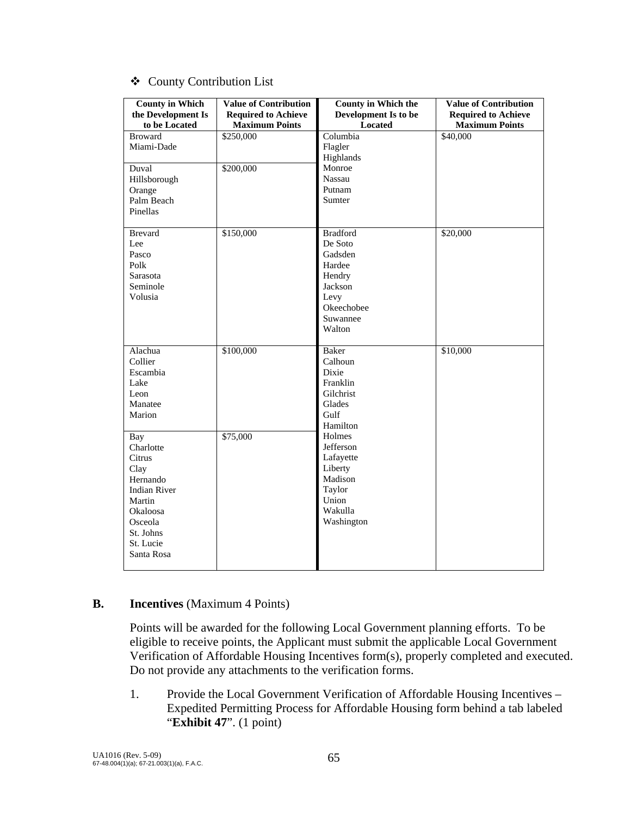|  |  | ❖ County Contribution List |  |
|--|--|----------------------------|--|
|--|--|----------------------------|--|

| <b>County in Which</b><br>the Development Is<br>to be Located                                                                                  | <b>Value of Contribution</b><br><b>Required to Achieve</b><br><b>Maximum Points</b> | <b>County in Which the</b><br>Development Is to be<br>Located                                                    | <b>Value of Contribution</b><br><b>Required to Achieve</b><br><b>Maximum Points</b> |
|------------------------------------------------------------------------------------------------------------------------------------------------|-------------------------------------------------------------------------------------|------------------------------------------------------------------------------------------------------------------|-------------------------------------------------------------------------------------|
| <b>Broward</b><br>Miami-Dade                                                                                                                   | \$250,000                                                                           | Columbia<br>Flagler<br>Highlands                                                                                 | $\overline{$40,000}$                                                                |
| Duval<br>Hillsborough<br>Orange<br>Palm Beach<br>Pinellas                                                                                      | \$200,000                                                                           | Monroe<br>Nassau<br>Putnam<br>Sumter                                                                             |                                                                                     |
| <b>Brevard</b><br>Lee<br>Pasco<br>Polk<br>Sarasota<br>Seminole<br>Volusia                                                                      | \$150,000                                                                           | <b>Bradford</b><br>De Soto<br>Gadsden<br>Hardee<br>Hendry<br>Jackson<br>Levy<br>Okeechobee<br>Suwannee<br>Walton | \$20,000                                                                            |
| Alachua<br>Collier<br>Escambia<br>Lake<br>Leon<br>Manatee<br>Marion                                                                            | \$100,000                                                                           | Baker<br>Calhoun<br>Dixie<br>Franklin<br>Gilchrist<br>Glades<br>Gulf<br>Hamilton                                 | \$10,000                                                                            |
| Bay<br>Charlotte<br>Citrus<br>Clay<br>Hernando<br><b>Indian River</b><br>Martin<br>Okaloosa<br>Osceola<br>St. Johns<br>St. Lucie<br>Santa Rosa | \$75,000                                                                            | Holmes<br>Jefferson<br>Lafayette<br>Liberty<br>Madison<br>Taylor<br>Union<br>Wakulla<br>Washington               |                                                                                     |

#### **B. Incentives** (Maximum 4 Points)

 Points will be awarded for the following Local Government planning efforts. To be eligible to receive points, the Applicant must submit the applicable Local Government Verification of Affordable Housing Incentives form(s), properly completed and executed. Do not provide any attachments to the verification forms.

 1. Provide the Local Government Verification of Affordable Housing Incentives – Expedited Permitting Process for Affordable Housing form behind a tab labeled "**Exhibit 47**". (1 point)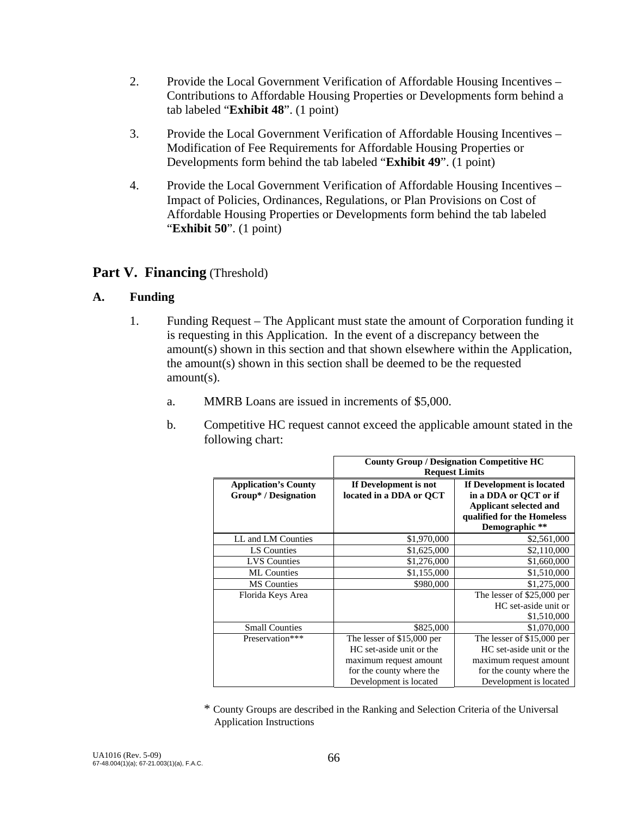- 2. Provide the Local Government Verification of Affordable Housing Incentives Contributions to Affordable Housing Properties or Developments form behind a tab labeled "**Exhibit 48**". (1 point)
- 3. Provide the Local Government Verification of Affordable Housing Incentives Modification of Fee Requirements for Affordable Housing Properties or Developments form behind the tab labeled "**Exhibit 49**". (1 point)
- 4. Provide the Local Government Verification of Affordable Housing Incentives Impact of Policies, Ordinances, Regulations, or Plan Provisions on Cost of Affordable Housing Properties or Developments form behind the tab labeled "**Exhibit 50**". (1 point)

# **Part V. Financing** (Threshold)

## **A. Funding**

- 1. Funding Request The Applicant must state the amount of Corporation funding it is requesting in this Application. In the event of a discrepancy between the amount(s) shown in this section and that shown elsewhere within the Application, the amount(s) shown in this section shall be deemed to be the requested amount(s).
	- a. MMRB Loans are issued in increments of \$5,000.
	- b. Competitive HC request cannot exceed the applicable amount stated in the following chart:

|                                                     | <b>County Group / Designation Competitive HC</b><br><b>Request Limits</b> |                                                                              |  |  |
|-----------------------------------------------------|---------------------------------------------------------------------------|------------------------------------------------------------------------------|--|--|
| <b>Application's County</b><br>Group* / Designation | If Development is not<br>located in a DDA or QCT                          | If Development is located<br>in a DDA or QCT or if<br>Applicant selected and |  |  |
|                                                     |                                                                           | qualified for the Homeless<br>Demographic **                                 |  |  |
| LL and LM Counties                                  | \$1,970,000                                                               | \$2,561,000                                                                  |  |  |
| LS Counties                                         | \$1,625,000                                                               | \$2,110,000                                                                  |  |  |
| <b>LVS</b> Counties                                 | \$1,276,000                                                               | \$1,660,000                                                                  |  |  |
| <b>ML</b> Counties                                  | \$1,155,000                                                               | \$1,510,000                                                                  |  |  |
| <b>MS</b> Counties                                  | \$980,000                                                                 | \$1,275,000                                                                  |  |  |
| Florida Keys Area                                   |                                                                           | The lesser of \$25,000 per<br>HC set-aside unit or<br>\$1,510,000            |  |  |
| <b>Small Counties</b>                               | \$825,000                                                                 | \$1,070,000                                                                  |  |  |
| Preservation***                                     | The lesser of \$15,000 per                                                | The lesser of \$15,000 per                                                   |  |  |
|                                                     | HC set-aside unit or the                                                  | HC set-aside unit or the                                                     |  |  |
|                                                     | maximum request amount                                                    | maximum request amount                                                       |  |  |
|                                                     | for the county where the                                                  | for the county where the                                                     |  |  |
|                                                     | Development is located                                                    | Development is located                                                       |  |  |

\* County Groups are described in the Ranking and Selection Criteria of the Universal Application Instructions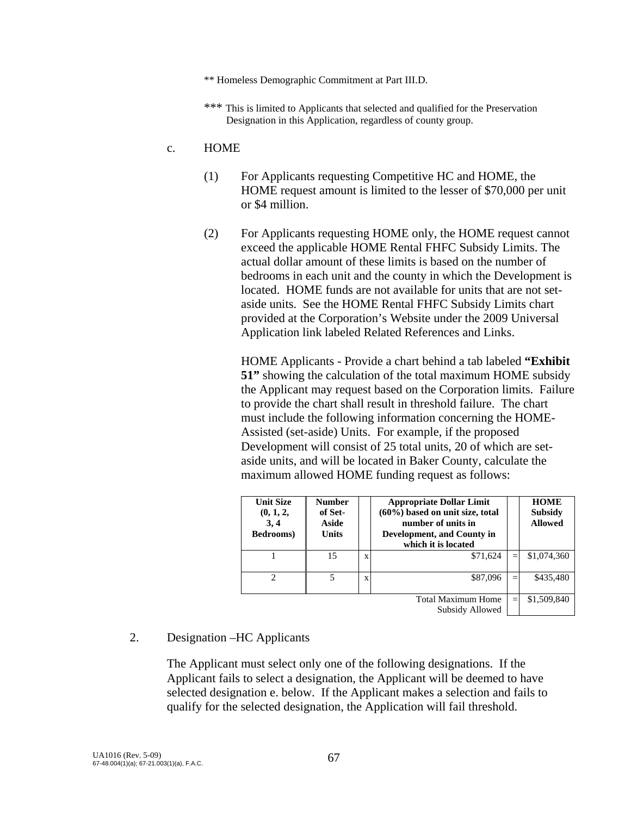- \*\* Homeless Demographic Commitment at Part III.D.
- \*\*\* This is limited to Applicants that selected and qualified for the Preservation Designation in this Application, regardless of county group.

#### c. HOME

- (1) For Applicants requesting Competitive HC and HOME, the HOME request amount is limited to the lesser of \$70,000 per unit or \$4 million.
- (2) For Applicants requesting HOME only, the HOME request cannot exceed the applicable HOME Rental FHFC Subsidy Limits. The actual dollar amount of these limits is based on the number of bedrooms in each unit and the county in which the Development is located. HOME funds are not available for units that are not setaside units. See the HOME Rental FHFC Subsidy Limits chart provided at the Corporation's Website under the 2009 Universal Application link labeled Related References and Links.

HOME Applicants - Provide a chart behind a tab labeled **"Exhibit 51"** showing the calculation of the total maximum HOME subsidy the Applicant may request based on the Corporation limits. Failure to provide the chart shall result in threshold failure. The chart must include the following information concerning the HOME-Assisted (set-aside) Units. For example, if the proposed Development will consist of 25 total units, 20 of which are setaside units, and will be located in Baker County, calculate the maximum allowed HOME funding request as follows:

| <b>Unit Size</b><br>(0, 1, 2,<br>3, 4<br>Bedrooms) | <b>Number</b><br>of Set-<br>Aside<br><b>Units</b> |   | <b>Appropriate Dollar Limit</b><br>$(60\%)$ based on unit size, total<br>number of units in<br>Development, and County in<br>which it is located | <b>HOME</b><br><b>Subsidy</b><br><b>Allowed</b> |
|----------------------------------------------------|---------------------------------------------------|---|--------------------------------------------------------------------------------------------------------------------------------------------------|-------------------------------------------------|
|                                                    | 15                                                | X | \$71,624                                                                                                                                         | \$1,074,360                                     |
| 2                                                  | 5                                                 | X | \$87,096                                                                                                                                         | \$435,480                                       |
|                                                    |                                                   |   | <b>Total Maximum Home</b><br>Subsidy Allowed                                                                                                     | \$1,509,840                                     |

#### 2. Designation –HC Applicants

 The Applicant must select only one of the following designations. If the Applicant fails to select a designation, the Applicant will be deemed to have selected designation e. below. If the Applicant makes a selection and fails to qualify for the selected designation, the Application will fail threshold.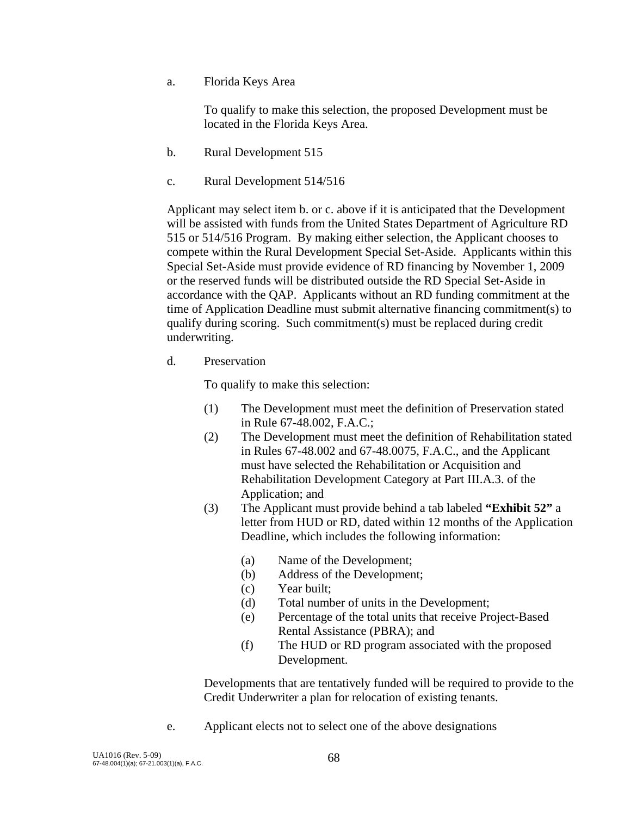a. Florida Keys Area

To qualify to make this selection, the proposed Development must be located in the Florida Keys Area.

- b. Rural Development 515
- c. Rural Development 514/516

 Applicant may select item b. or c. above if it is anticipated that the Development will be assisted with funds from the United States Department of Agriculture RD 515 or 514/516 Program. By making either selection, the Applicant chooses to compete within the Rural Development Special Set-Aside. Applicants within this Special Set-Aside must provide evidence of RD financing by November 1, 2009 or the reserved funds will be distributed outside the RD Special Set-Aside in accordance with the QAP. Applicants without an RD funding commitment at the time of Application Deadline must submit alternative financing commitment(s) to qualify during scoring. Such commitment(s) must be replaced during credit underwriting.

d. Preservation

To qualify to make this selection:

- (1) The Development must meet the definition of Preservation stated in Rule 67-48.002, F.A.C.;
- (2) The Development must meet the definition of Rehabilitation stated in Rules 67-48.002 and 67-48.0075, F.A.C., and the Applicant must have selected the Rehabilitation or Acquisition and Rehabilitation Development Category at Part III.A.3. of the Application; and
- (3) The Applicant must provide behind a tab labeled **"Exhibit 52"** a letter from HUD or RD, dated within 12 months of the Application Deadline, which includes the following information:
	- (a) Name of the Development;
	- (b) Address of the Development;
	- (c) Year built;
	- (d) Total number of units in the Development;
	- (e) Percentage of the total units that receive Project-Based Rental Assistance (PBRA); and
	- (f) The HUD or RD program associated with the proposed Development.

 Developments that are tentatively funded will be required to provide to the Credit Underwriter a plan for relocation of existing tenants.

e. Applicant elects not to select one of the above designations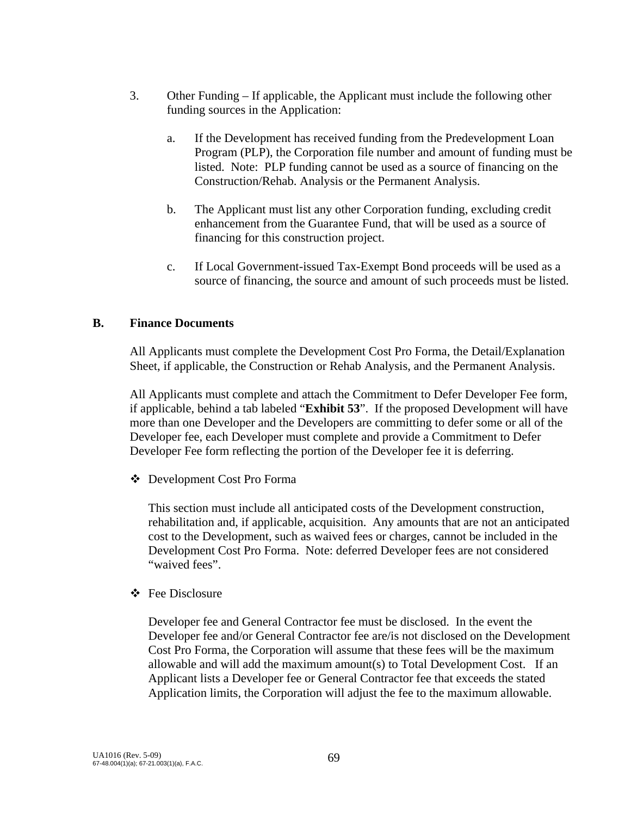- 3. Other Funding If applicable, the Applicant must include the following other funding sources in the Application:
	- a. If the Development has received funding from the Predevelopment Loan Program (PLP), the Corporation file number and amount of funding must be listed. Note: PLP funding cannot be used as a source of financing on the Construction/Rehab. Analysis or the Permanent Analysis.
	- b. The Applicant must list any other Corporation funding, excluding credit enhancement from the Guarantee Fund, that will be used as a source of financing for this construction project.
	- c. If Local Government-issued Tax-Exempt Bond proceeds will be used as a source of financing, the source and amount of such proceeds must be listed.

#### **B. Finance Documents**

All Applicants must complete the Development Cost Pro Forma, the Detail/Explanation Sheet, if applicable, the Construction or Rehab Analysis, and the Permanent Analysis.

All Applicants must complete and attach the Commitment to Defer Developer Fee form, if applicable, behind a tab labeled "**Exhibit 53**". If the proposed Development will have more than one Developer and the Developers are committing to defer some or all of the Developer fee, each Developer must complete and provide a Commitment to Defer Developer Fee form reflecting the portion of the Developer fee it is deferring.

Development Cost Pro Forma

 This section must include all anticipated costs of the Development construction, rehabilitation and, if applicable, acquisition. Any amounts that are not an anticipated cost to the Development, such as waived fees or charges, cannot be included in the Development Cost Pro Forma. Note: deferred Developer fees are not considered "waived fees".

#### **❖** Fee Disclosure

 Developer fee and General Contractor fee must be disclosed. In the event the Developer fee and/or General Contractor fee are/is not disclosed on the Development Cost Pro Forma, the Corporation will assume that these fees will be the maximum allowable and will add the maximum amount(s) to Total Development Cost. If an Applicant lists a Developer fee or General Contractor fee that exceeds the stated Application limits, the Corporation will adjust the fee to the maximum allowable.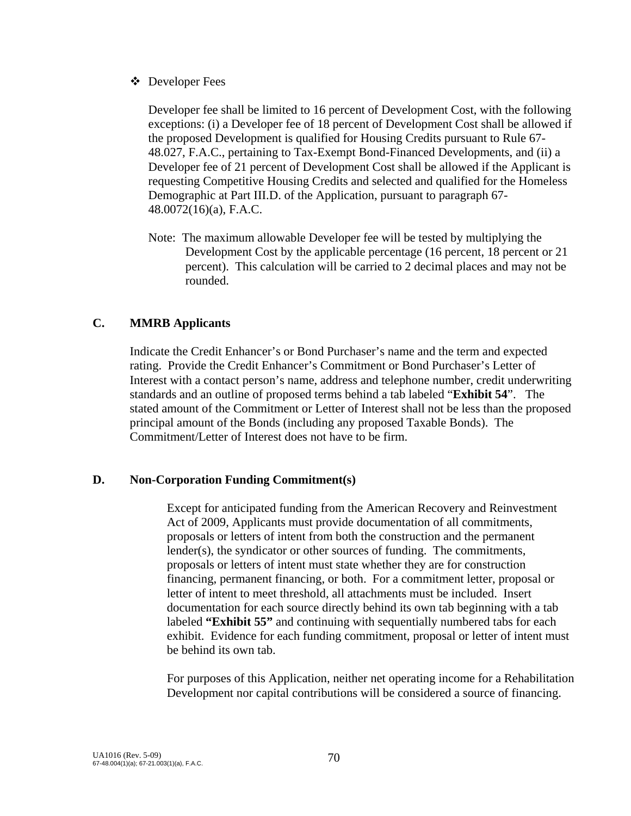Developer Fees

 Developer fee shall be limited to 16 percent of Development Cost, with the following exceptions: (i) a Developer fee of 18 percent of Development Cost shall be allowed if the proposed Development is qualified for Housing Credits pursuant to Rule 67- 48.027, F.A.C., pertaining to Tax-Exempt Bond-Financed Developments, and (ii) a Developer fee of 21 percent of Development Cost shall be allowed if the Applicant is requesting Competitive Housing Credits and selected and qualified for the Homeless Demographic at Part III.D. of the Application, pursuant to paragraph 67- 48.0072(16)(a), F.A.C.

Note: The maximum allowable Developer fee will be tested by multiplying the Development Cost by the applicable percentage (16 percent, 18 percent or 21 percent). This calculation will be carried to 2 decimal places and may not be rounded.

## **C. MMRB Applicants**

Indicate the Credit Enhancer's or Bond Purchaser's name and the term and expected rating. Provide the Credit Enhancer's Commitment or Bond Purchaser's Letter of Interest with a contact person's name, address and telephone number, credit underwriting standards and an outline of proposed terms behind a tab labeled "**Exhibit 54**". The stated amount of the Commitment or Letter of Interest shall not be less than the proposed principal amount of the Bonds (including any proposed Taxable Bonds). The Commitment/Letter of Interest does not have to be firm.

## **D. Non-Corporation Funding Commitment(s)**

 Except for anticipated funding from the American Recovery and Reinvestment Act of 2009, Applicants must provide documentation of all commitments, proposals or letters of intent from both the construction and the permanent lender(s), the syndicator or other sources of funding. The commitments, proposals or letters of intent must state whether they are for construction financing, permanent financing, or both. For a commitment letter, proposal or letter of intent to meet threshold, all attachments must be included. Insert documentation for each source directly behind its own tab beginning with a tab labeled **"Exhibit 55"** and continuing with sequentially numbered tabs for each exhibit. Evidence for each funding commitment, proposal or letter of intent must be behind its own tab.

 For purposes of this Application, neither net operating income for a Rehabilitation Development nor capital contributions will be considered a source of financing.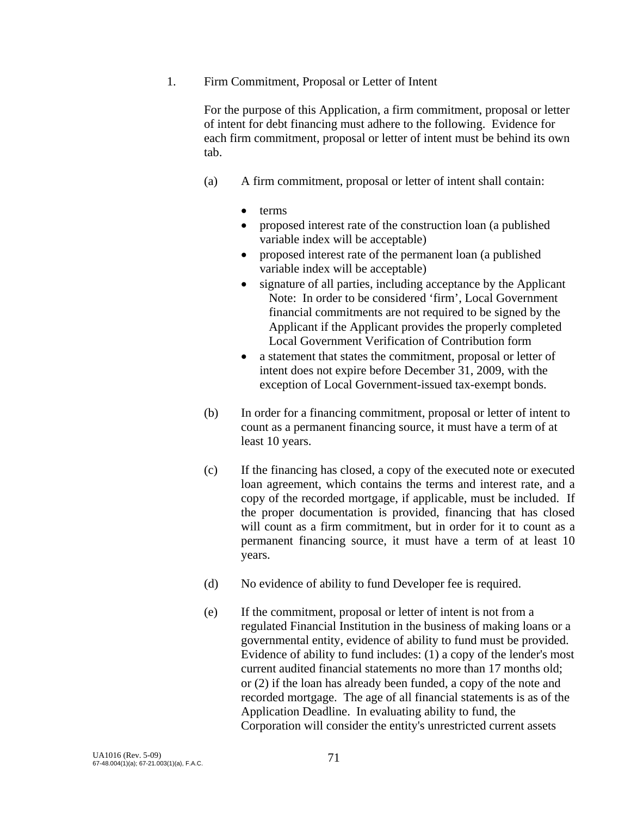1. Firm Commitment, Proposal or Letter of Intent

 For the purpose of this Application, a firm commitment, proposal or letter of intent for debt financing must adhere to the following. Evidence for each firm commitment, proposal or letter of intent must be behind its own tab.

- (a) A firm commitment, proposal or letter of intent shall contain:
	- terms
	- proposed interest rate of the construction loan (a published variable index will be acceptable)
	- proposed interest rate of the permanent loan (a published variable index will be acceptable)
	- signature of all parties, including acceptance by the Applicant Note: In order to be considered 'firm', Local Government financial commitments are not required to be signed by the Applicant if the Applicant provides the properly completed Local Government Verification of Contribution form
	- a statement that states the commitment, proposal or letter of intent does not expire before December 31, 2009, with the exception of Local Government-issued tax-exempt bonds.
- (b) In order for a financing commitment, proposal or letter of intent to count as a permanent financing source, it must have a term of at least 10 years.
- (c) If the financing has closed, a copy of the executed note or executed loan agreement, which contains the terms and interest rate, and a copy of the recorded mortgage, if applicable, must be included. If the proper documentation is provided, financing that has closed will count as a firm commitment, but in order for it to count as a permanent financing source, it must have a term of at least 10 years.
- (d) No evidence of ability to fund Developer fee is required.
- (e) If the commitment, proposal or letter of intent is not from a regulated Financial Institution in the business of making loans or a governmental entity, evidence of ability to fund must be provided. Evidence of ability to fund includes: (1) a copy of the lender's most current audited financial statements no more than 17 months old; or (2) if the loan has already been funded, a copy of the note and recorded mortgage. The age of all financial statements is as of the Application Deadline. In evaluating ability to fund, the Corporation will consider the entity's unrestricted current assets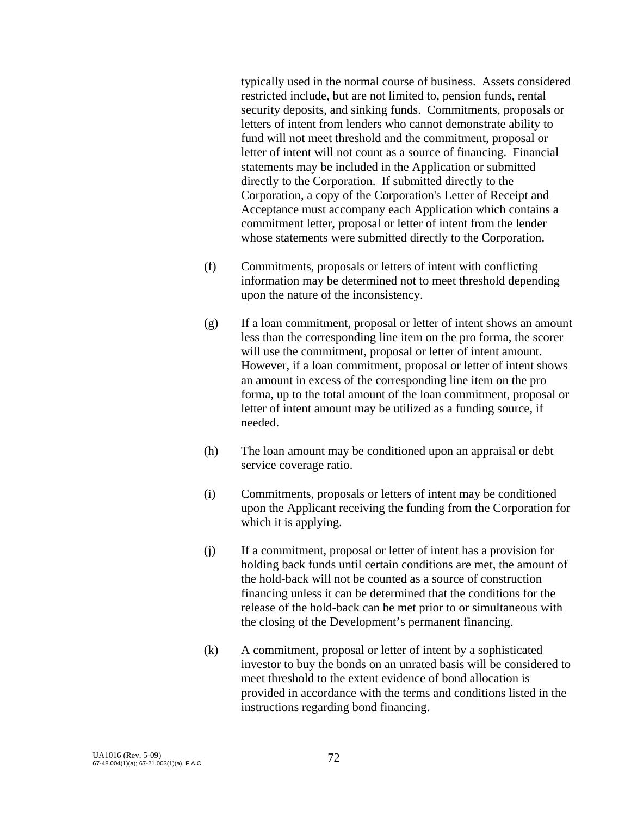typically used in the normal course of business. Assets considered restricted include, but are not limited to, pension funds, rental security deposits, and sinking funds. Commitments, proposals or letters of intent from lenders who cannot demonstrate ability to fund will not meet threshold and the commitment, proposal or letter of intent will not count as a source of financing. Financial statements may be included in the Application or submitted directly to the Corporation. If submitted directly to the Corporation, a copy of the Corporation's Letter of Receipt and Acceptance must accompany each Application which contains a commitment letter, proposal or letter of intent from the lender whose statements were submitted directly to the Corporation.

- (f) Commitments, proposals or letters of intent with conflicting information may be determined not to meet threshold depending upon the nature of the inconsistency.
- (g) If a loan commitment, proposal or letter of intent shows an amount less than the corresponding line item on the pro forma, the scorer will use the commitment, proposal or letter of intent amount. However, if a loan commitment, proposal or letter of intent shows an amount in excess of the corresponding line item on the pro forma, up to the total amount of the loan commitment, proposal or letter of intent amount may be utilized as a funding source, if needed.
- (h) The loan amount may be conditioned upon an appraisal or debt service coverage ratio.
- (i) Commitments, proposals or letters of intent may be conditioned upon the Applicant receiving the funding from the Corporation for which it is applying.
- (j) If a commitment, proposal or letter of intent has a provision for holding back funds until certain conditions are met, the amount of the hold-back will not be counted as a source of construction financing unless it can be determined that the conditions for the release of the hold-back can be met prior to or simultaneous with the closing of the Development's permanent financing.
- (k) A commitment, proposal or letter of intent by a sophisticated investor to buy the bonds on an unrated basis will be considered to meet threshold to the extent evidence of bond allocation is provided in accordance with the terms and conditions listed in the instructions regarding bond financing.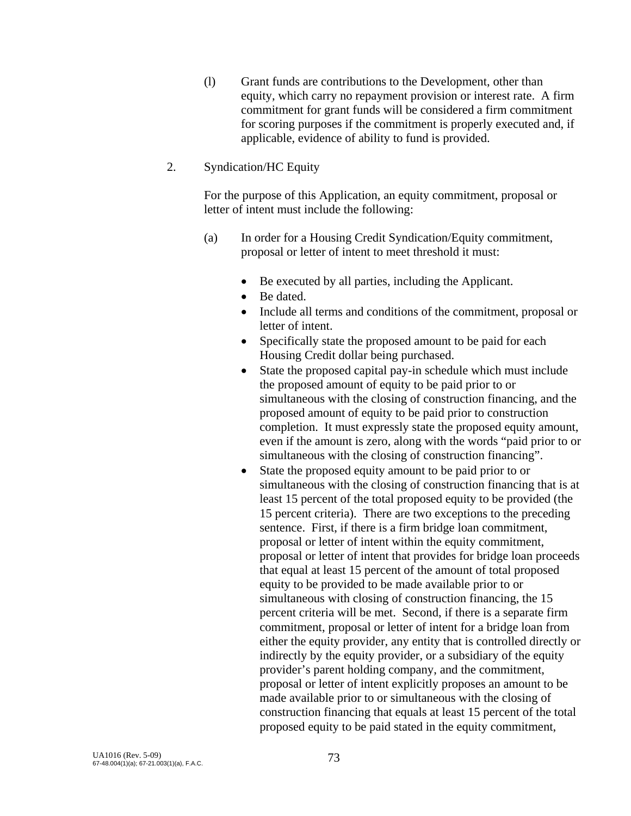(l) Grant funds are contributions to the Development, other than equity, which carry no repayment provision or interest rate. A firm commitment for grant funds will be considered a firm commitment for scoring purposes if the commitment is properly executed and, if applicable, evidence of ability to fund is provided.

#### 2. Syndication/HC Equity

 For the purpose of this Application, an equity commitment, proposal or letter of intent must include the following:

- (a) In order for a Housing Credit Syndication/Equity commitment, proposal or letter of intent to meet threshold it must:
	- Be executed by all parties, including the Applicant.
	- Be dated.
	- Include all terms and conditions of the commitment, proposal or letter of intent.
	- Specifically state the proposed amount to be paid for each Housing Credit dollar being purchased.
	- State the proposed capital pay-in schedule which must include the proposed amount of equity to be paid prior to or simultaneous with the closing of construction financing, and the proposed amount of equity to be paid prior to construction completion. It must expressly state the proposed equity amount, even if the amount is zero, along with the words "paid prior to or simultaneous with the closing of construction financing".
	- State the proposed equity amount to be paid prior to or simultaneous with the closing of construction financing that is at least 15 percent of the total proposed equity to be provided (the 15 percent criteria). There are two exceptions to the preceding sentence. First, if there is a firm bridge loan commitment, proposal or letter of intent within the equity commitment, proposal or letter of intent that provides for bridge loan proceeds that equal at least 15 percent of the amount of total proposed equity to be provided to be made available prior to or simultaneous with closing of construction financing, the 15 percent criteria will be met. Second, if there is a separate firm commitment, proposal or letter of intent for a bridge loan from either the equity provider, any entity that is controlled directly or indirectly by the equity provider, or a subsidiary of the equity provider's parent holding company, and the commitment, proposal or letter of intent explicitly proposes an amount to be made available prior to or simultaneous with the closing of construction financing that equals at least 15 percent of the total proposed equity to be paid stated in the equity commitment,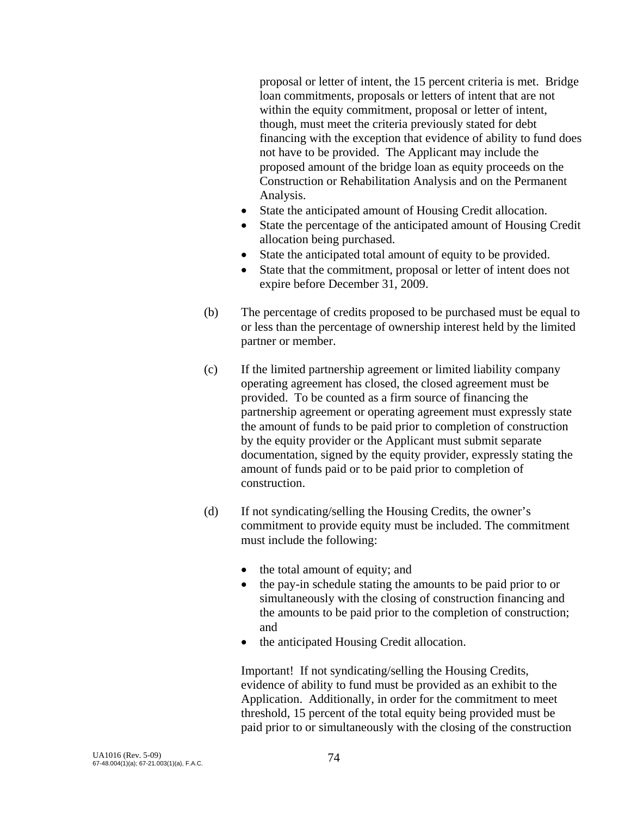proposal or letter of intent, the 15 percent criteria is met. Bridge loan commitments, proposals or letters of intent that are not within the equity commitment, proposal or letter of intent, though, must meet the criteria previously stated for debt financing with the exception that evidence of ability to fund does not have to be provided. The Applicant may include the proposed amount of the bridge loan as equity proceeds on the Construction or Rehabilitation Analysis and on the Permanent Analysis.

- State the anticipated amount of Housing Credit allocation.
- State the percentage of the anticipated amount of Housing Credit allocation being purchased.
- State the anticipated total amount of equity to be provided.
- State that the commitment, proposal or letter of intent does not expire before December 31, 2009.
- (b) The percentage of credits proposed to be purchased must be equal to or less than the percentage of ownership interest held by the limited partner or member.
- (c) If the limited partnership agreement or limited liability company operating agreement has closed, the closed agreement must be provided. To be counted as a firm source of financing the partnership agreement or operating agreement must expressly state the amount of funds to be paid prior to completion of construction by the equity provider or the Applicant must submit separate documentation, signed by the equity provider, expressly stating the amount of funds paid or to be paid prior to completion of construction.
- (d) If not syndicating/selling the Housing Credits, the owner's commitment to provide equity must be included. The commitment must include the following:
	- the total amount of equity; and
	- the pay-in schedule stating the amounts to be paid prior to or simultaneously with the closing of construction financing and the amounts to be paid prior to the completion of construction; and
	- the anticipated Housing Credit allocation.

 Important! If not syndicating/selling the Housing Credits, evidence of ability to fund must be provided as an exhibit to the Application. Additionally, in order for the commitment to meet threshold, 15 percent of the total equity being provided must be paid prior to or simultaneously with the closing of the construction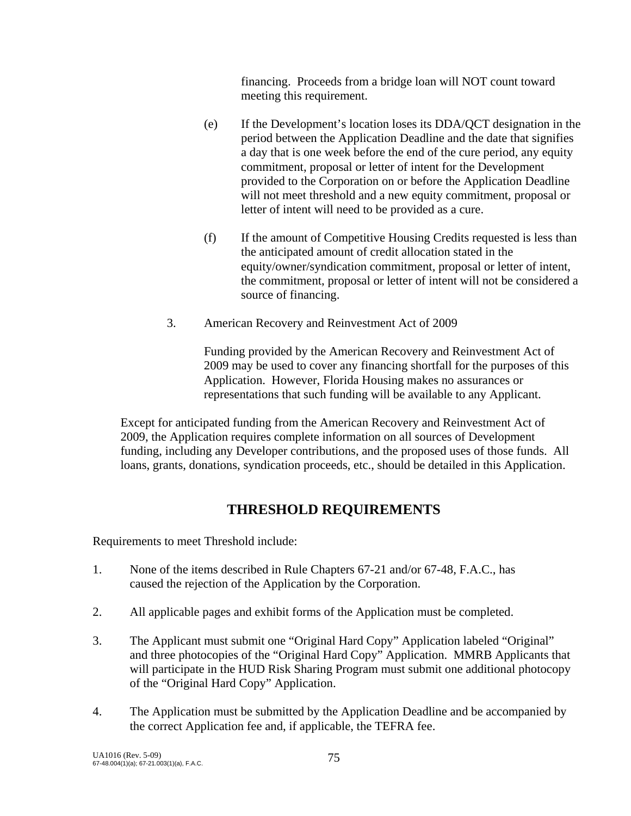financing. Proceeds from a bridge loan will NOT count toward meeting this requirement.

- (e) If the Development's location loses its DDA/QCT designation in the period between the Application Deadline and the date that signifies a day that is one week before the end of the cure period, any equity commitment, proposal or letter of intent for the Development provided to the Corporation on or before the Application Deadline will not meet threshold and a new equity commitment, proposal or letter of intent will need to be provided as a cure.
- (f) If the amount of Competitive Housing Credits requested is less than the anticipated amount of credit allocation stated in the equity/owner/syndication commitment, proposal or letter of intent, the commitment, proposal or letter of intent will not be considered a source of financing.
- 3. American Recovery and Reinvestment Act of 2009

 Funding provided by the American Recovery and Reinvestment Act of 2009 may be used to cover any financing shortfall for the purposes of this Application. However, Florida Housing makes no assurances or representations that such funding will be available to any Applicant.

 Except for anticipated funding from the American Recovery and Reinvestment Act of 2009, the Application requires complete information on all sources of Development funding, including any Developer contributions, and the proposed uses of those funds. All loans, grants, donations, syndication proceeds, etc., should be detailed in this Application.

# **THRESHOLD REQUIREMENTS**

Requirements to meet Threshold include:

- 1. None of the items described in Rule Chapters 67-21 and/or 67-48, F.A.C., has caused the rejection of the Application by the Corporation.
- 2. All applicable pages and exhibit forms of the Application must be completed.
- 3. The Applicant must submit one "Original Hard Copy" Application labeled "Original" and three photocopies of the "Original Hard Copy" Application. MMRB Applicants that will participate in the HUD Risk Sharing Program must submit one additional photocopy of the "Original Hard Copy" Application.
- 4. The Application must be submitted by the Application Deadline and be accompanied by the correct Application fee and, if applicable, the TEFRA fee.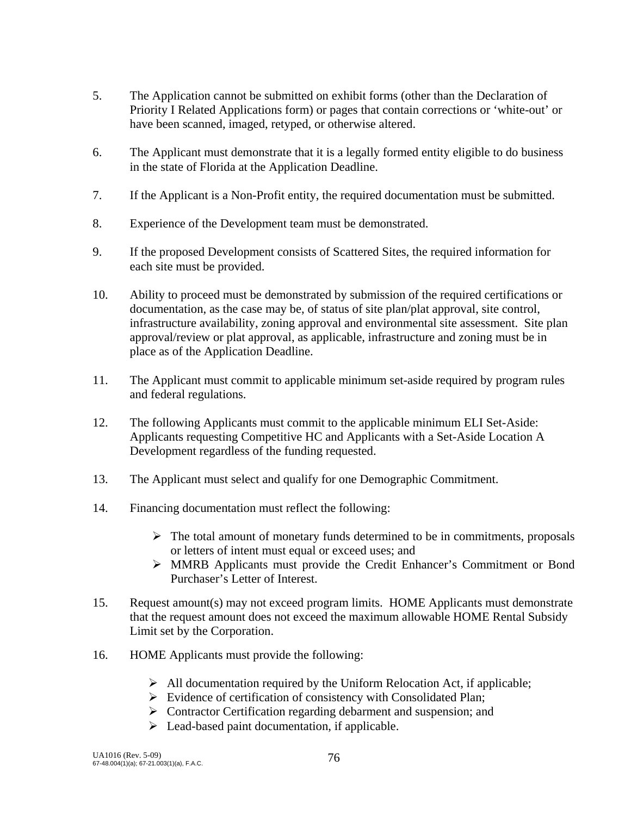- 5. The Application cannot be submitted on exhibit forms (other than the Declaration of Priority I Related Applications form) or pages that contain corrections or 'white-out' or have been scanned, imaged, retyped, or otherwise altered.
- 6. The Applicant must demonstrate that it is a legally formed entity eligible to do business in the state of Florida at the Application Deadline.
- 7. If the Applicant is a Non-Profit entity, the required documentation must be submitted.
- 8. Experience of the Development team must be demonstrated.
- 9. If the proposed Development consists of Scattered Sites, the required information for each site must be provided.
- 10. Ability to proceed must be demonstrated by submission of the required certifications or documentation, as the case may be, of status of site plan/plat approval, site control, infrastructure availability, zoning approval and environmental site assessment. Site plan approval/review or plat approval, as applicable, infrastructure and zoning must be in place as of the Application Deadline.
- 11. The Applicant must commit to applicable minimum set-aside required by program rules and federal regulations.
- 12. The following Applicants must commit to the applicable minimum ELI Set-Aside: Applicants requesting Competitive HC and Applicants with a Set-Aside Location A Development regardless of the funding requested.
- 13. The Applicant must select and qualify for one Demographic Commitment.
- 14. Financing documentation must reflect the following:
	- $\triangleright$  The total amount of monetary funds determined to be in commitments, proposals or letters of intent must equal or exceed uses; and
	- ¾ MMRB Applicants must provide the Credit Enhancer's Commitment or Bond Purchaser's Letter of Interest.
- 15. Request amount(s) may not exceed program limits. HOME Applicants must demonstrate that the request amount does not exceed the maximum allowable HOME Rental Subsidy Limit set by the Corporation.
- 16. HOME Applicants must provide the following:
	- $\triangleright$  All documentation required by the Uniform Relocation Act, if applicable;
	- $\triangleright$  Evidence of certification of consistency with Consolidated Plan;
	- $\triangleright$  Contractor Certification regarding debarment and suspension; and
	- $\triangleright$  Lead-based paint documentation, if applicable.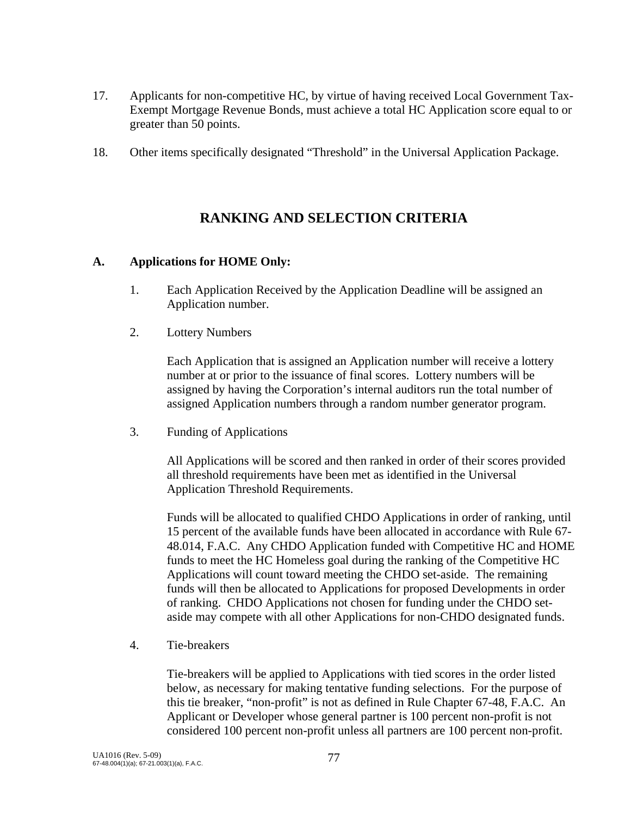- 17. Applicants for non-competitive HC, by virtue of having received Local Government Tax-Exempt Mortgage Revenue Bonds, must achieve a total HC Application score equal to or greater than 50 points.
- 18. Other items specifically designated "Threshold" in the Universal Application Package.

## **RANKING AND SELECTION CRITERIA**

#### **A. Applications for HOME Only:**

- 1. Each Application Received by the Application Deadline will be assigned an Application number.
- 2. Lottery Numbers

Each Application that is assigned an Application number will receive a lottery number at or prior to the issuance of final scores. Lottery numbers will be assigned by having the Corporation's internal auditors run the total number of assigned Application numbers through a random number generator program.

3. Funding of Applications

 All Applications will be scored and then ranked in order of their scores provided all threshold requirements have been met as identified in the Universal Application Threshold Requirements.

 Funds will be allocated to qualified CHDO Applications in order of ranking, until 15 percent of the available funds have been allocated in accordance with Rule 67- 48.014, F.A.C. Any CHDO Application funded with Competitive HC and HOME funds to meet the HC Homeless goal during the ranking of the Competitive HC Applications will count toward meeting the CHDO set-aside. The remaining funds will then be allocated to Applications for proposed Developments in order of ranking. CHDO Applications not chosen for funding under the CHDO setaside may compete with all other Applications for non-CHDO designated funds.

4. Tie-breakers

Tie-breakers will be applied to Applications with tied scores in the order listed below, as necessary for making tentative funding selections. For the purpose of this tie breaker, "non-profit" is not as defined in Rule Chapter 67-48, F.A.C. An Applicant or Developer whose general partner is 100 percent non-profit is not considered 100 percent non-profit unless all partners are 100 percent non-profit.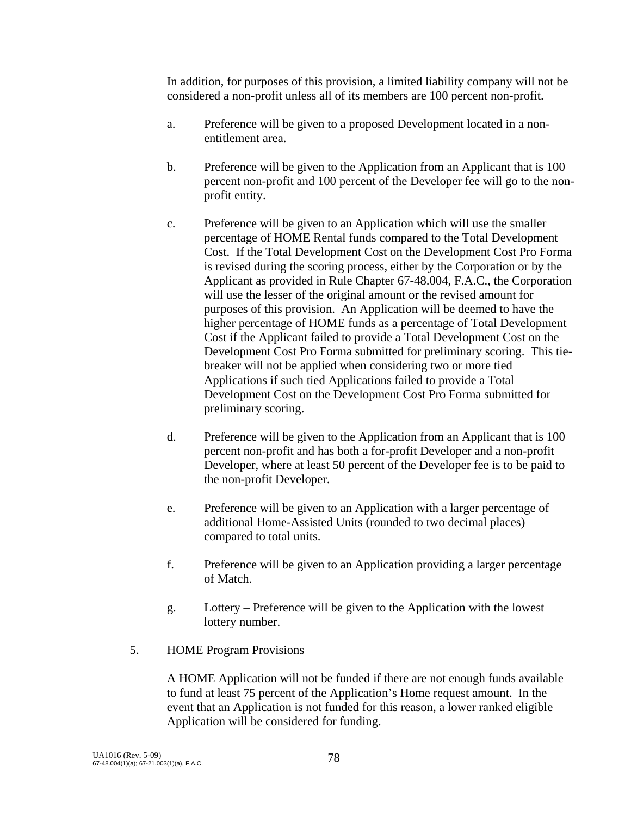In addition, for purposes of this provision, a limited liability company will not be considered a non-profit unless all of its members are 100 percent non-profit.

- a. Preference will be given to a proposed Development located in a nonentitlement area.
- b. Preference will be given to the Application from an Applicant that is 100 percent non-profit and 100 percent of the Developer fee will go to the nonprofit entity.
- c. Preference will be given to an Application which will use the smaller percentage of HOME Rental funds compared to the Total Development Cost. If the Total Development Cost on the Development Cost Pro Forma is revised during the scoring process, either by the Corporation or by the Applicant as provided in Rule Chapter 67-48.004, F.A.C., the Corporation will use the lesser of the original amount or the revised amount for purposes of this provision. An Application will be deemed to have the higher percentage of HOME funds as a percentage of Total Development Cost if the Applicant failed to provide a Total Development Cost on the Development Cost Pro Forma submitted for preliminary scoring. This tiebreaker will not be applied when considering two or more tied Applications if such tied Applications failed to provide a Total Development Cost on the Development Cost Pro Forma submitted for preliminary scoring.
- d. Preference will be given to the Application from an Applicant that is 100 percent non-profit and has both a for-profit Developer and a non-profit Developer, where at least 50 percent of the Developer fee is to be paid to the non-profit Developer.
- e. Preference will be given to an Application with a larger percentage of additional Home-Assisted Units (rounded to two decimal places) compared to total units.
- f. Preference will be given to an Application providing a larger percentage of Match.
- g. Lottery Preference will be given to the Application with the lowest lottery number.
- 5. HOME Program Provisions

 A HOME Application will not be funded if there are not enough funds available to fund at least 75 percent of the Application's Home request amount. In the event that an Application is not funded for this reason, a lower ranked eligible Application will be considered for funding.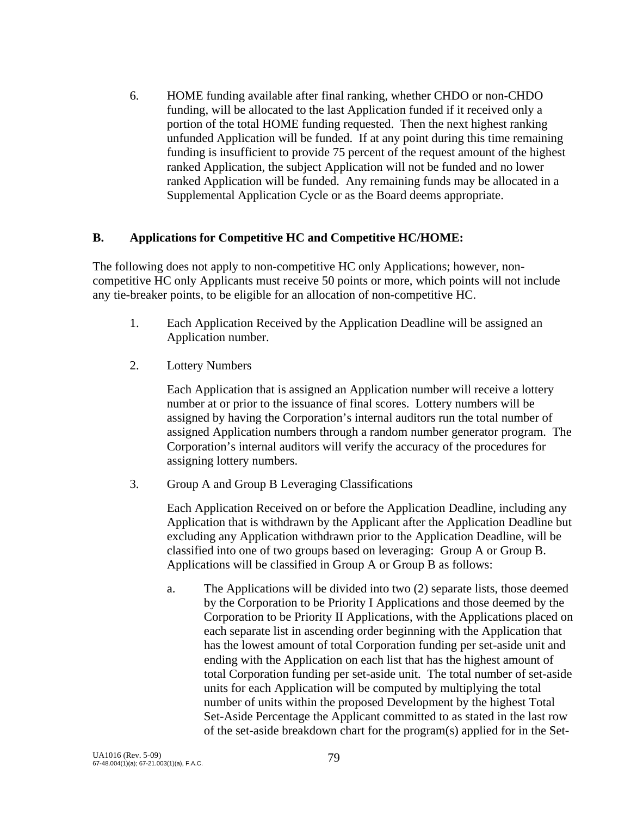6. HOME funding available after final ranking, whether CHDO or non-CHDO funding, will be allocated to the last Application funded if it received only a portion of the total HOME funding requested. Then the next highest ranking unfunded Application will be funded. If at any point during this time remaining funding is insufficient to provide 75 percent of the request amount of the highest ranked Application, the subject Application will not be funded and no lower ranked Application will be funded. Any remaining funds may be allocated in a Supplemental Application Cycle or as the Board deems appropriate.

#### **B. Applications for Competitive HC and Competitive HC/HOME:**

The following does not apply to non-competitive HC only Applications; however, noncompetitive HC only Applicants must receive 50 points or more, which points will not include any tie-breaker points, to be eligible for an allocation of non-competitive HC.

- 1. Each Application Received by the Application Deadline will be assigned an Application number.
- 2. Lottery Numbers

Each Application that is assigned an Application number will receive a lottery number at or prior to the issuance of final scores. Lottery numbers will be assigned by having the Corporation's internal auditors run the total number of assigned Application numbers through a random number generator program. The Corporation's internal auditors will verify the accuracy of the procedures for assigning lottery numbers.

3. Group A and Group B Leveraging Classifications

Each Application Received on or before the Application Deadline, including any Application that is withdrawn by the Applicant after the Application Deadline but excluding any Application withdrawn prior to the Application Deadline, will be classified into one of two groups based on leveraging: Group A or Group B. Applications will be classified in Group A or Group B as follows:

a. The Applications will be divided into two (2) separate lists, those deemed by the Corporation to be Priority I Applications and those deemed by the Corporation to be Priority II Applications, with the Applications placed on each separate list in ascending order beginning with the Application that has the lowest amount of total Corporation funding per set-aside unit and ending with the Application on each list that has the highest amount of total Corporation funding per set-aside unit. The total number of set-aside units for each Application will be computed by multiplying the total number of units within the proposed Development by the highest Total Set-Aside Percentage the Applicant committed to as stated in the last row of the set-aside breakdown chart for the program(s) applied for in the Set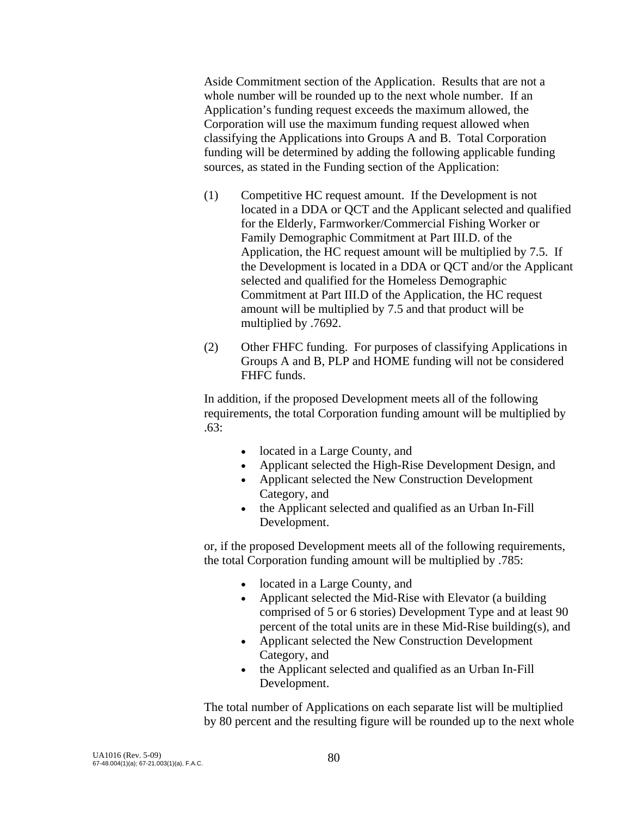Aside Commitment section of the Application. Results that are not a whole number will be rounded up to the next whole number. If an Application's funding request exceeds the maximum allowed, the Corporation will use the maximum funding request allowed when classifying the Applications into Groups A and B. Total Corporation funding will be determined by adding the following applicable funding sources, as stated in the Funding section of the Application:

- (1) Competitive HC request amount. If the Development is not located in a DDA or QCT and the Applicant selected and qualified for the Elderly, Farmworker/Commercial Fishing Worker or Family Demographic Commitment at Part III.D. of the Application, the HC request amount will be multiplied by 7.5. If the Development is located in a DDA or QCT and/or the Applicant selected and qualified for the Homeless Demographic Commitment at Part III.D of the Application, the HC request amount will be multiplied by 7.5 and that product will be multiplied by .7692.
- (2) Other FHFC funding. For purposes of classifying Applications in Groups A and B, PLP and HOME funding will not be considered FHFC funds.

In addition, if the proposed Development meets all of the following requirements, the total Corporation funding amount will be multiplied by  $63:$ 

- located in a Large County, and
- Applicant selected the High-Rise Development Design, and
- Applicant selected the New Construction Development Category, and
- the Applicant selected and qualified as an Urban In-Fill Development.

or, if the proposed Development meets all of the following requirements, the total Corporation funding amount will be multiplied by .785:

- located in a Large County, and
- Applicant selected the Mid-Rise with Elevator (a building comprised of 5 or 6 stories) Development Type and at least 90 percent of the total units are in these Mid-Rise building(s), and
- Applicant selected the New Construction Development Category, and
- the Applicant selected and qualified as an Urban In-Fill Development.

 The total number of Applications on each separate list will be multiplied by 80 percent and the resulting figure will be rounded up to the next whole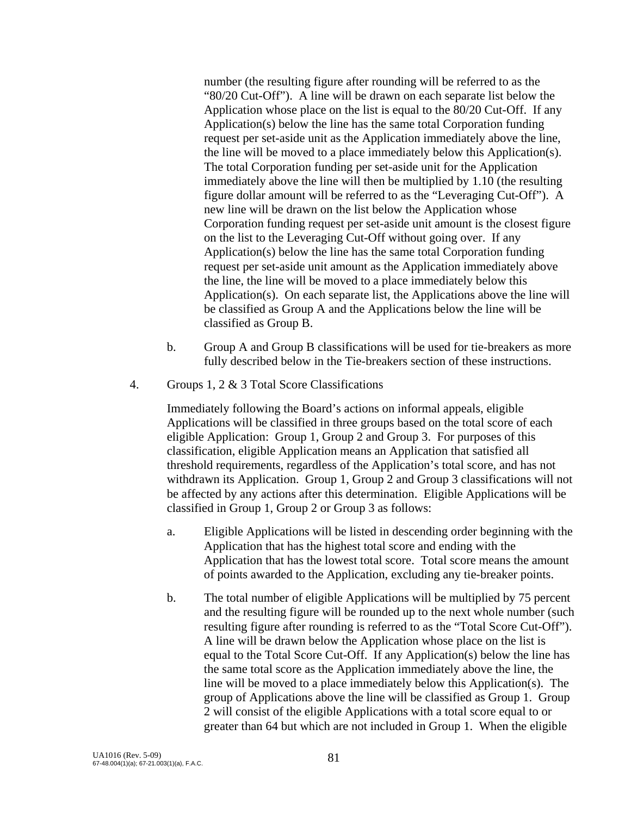number (the resulting figure after rounding will be referred to as the "80/20 Cut-Off"). A line will be drawn on each separate list below the Application whose place on the list is equal to the 80/20 Cut-Off. If any Application(s) below the line has the same total Corporation funding request per set-aside unit as the Application immediately above the line, the line will be moved to a place immediately below this Application(s). The total Corporation funding per set-aside unit for the Application immediately above the line will then be multiplied by 1.10 (the resulting figure dollar amount will be referred to as the "Leveraging Cut-Off"). A new line will be drawn on the list below the Application whose Corporation funding request per set-aside unit amount is the closest figure on the list to the Leveraging Cut-Off without going over. If any Application(s) below the line has the same total Corporation funding request per set-aside unit amount as the Application immediately above the line, the line will be moved to a place immediately below this Application(s). On each separate list, the Applications above the line will be classified as Group A and the Applications below the line will be classified as Group B.

- b. Group A and Group B classifications will be used for tie-breakers as more fully described below in the Tie-breakers section of these instructions.
- 4. Groups 1, 2 & 3 Total Score Classifications

Immediately following the Board's actions on informal appeals, eligible Applications will be classified in three groups based on the total score of each eligible Application: Group 1, Group 2 and Group 3. For purposes of this classification, eligible Application means an Application that satisfied all threshold requirements, regardless of the Application's total score, and has not withdrawn its Application. Group 1, Group 2 and Group 3 classifications will not be affected by any actions after this determination. Eligible Applications will be classified in Group 1, Group 2 or Group 3 as follows:

- a. Eligible Applications will be listed in descending order beginning with the Application that has the highest total score and ending with the Application that has the lowest total score. Total score means the amount of points awarded to the Application, excluding any tie-breaker points.
- b. The total number of eligible Applications will be multiplied by 75 percent and the resulting figure will be rounded up to the next whole number (such resulting figure after rounding is referred to as the "Total Score Cut-Off"). A line will be drawn below the Application whose place on the list is equal to the Total Score Cut-Off. If any Application(s) below the line has the same total score as the Application immediately above the line, the line will be moved to a place immediately below this Application(s). The group of Applications above the line will be classified as Group 1. Group 2 will consist of the eligible Applications with a total score equal to or greater than 64 but which are not included in Group 1. When the eligible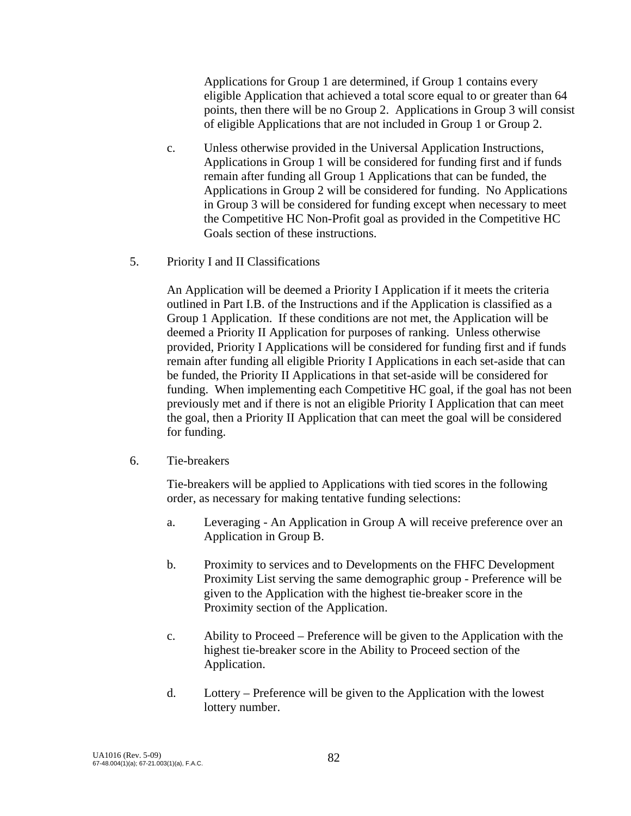Applications for Group 1 are determined, if Group 1 contains every eligible Application that achieved a total score equal to or greater than 64 points, then there will be no Group 2. Applications in Group 3 will consist of eligible Applications that are not included in Group 1 or Group 2.

- c. Unless otherwise provided in the Universal Application Instructions, Applications in Group 1 will be considered for funding first and if funds remain after funding all Group 1 Applications that can be funded, the Applications in Group 2 will be considered for funding. No Applications in Group 3 will be considered for funding except when necessary to meet the Competitive HC Non-Profit goal as provided in the Competitive HC Goals section of these instructions.
- 5. Priority I and II Classifications

An Application will be deemed a Priority I Application if it meets the criteria outlined in Part I.B. of the Instructions and if the Application is classified as a Group 1 Application. If these conditions are not met, the Application will be deemed a Priority II Application for purposes of ranking. Unless otherwise provided, Priority I Applications will be considered for funding first and if funds remain after funding all eligible Priority I Applications in each set-aside that can be funded, the Priority II Applications in that set-aside will be considered for funding. When implementing each Competitive HC goal, if the goal has not been previously met and if there is not an eligible Priority I Application that can meet the goal, then a Priority II Application that can meet the goal will be considered for funding.

6. Tie-breakers

Tie-breakers will be applied to Applications with tied scores in the following order, as necessary for making tentative funding selections:

- a. Leveraging An Application in Group A will receive preference over an Application in Group B.
- b. Proximity to services and to Developments on the FHFC Development Proximity List serving the same demographic group - Preference will be given to the Application with the highest tie-breaker score in the Proximity section of the Application.
- c. Ability to Proceed Preference will be given to the Application with the highest tie-breaker score in the Ability to Proceed section of the Application.
- d. Lottery Preference will be given to the Application with the lowest lottery number.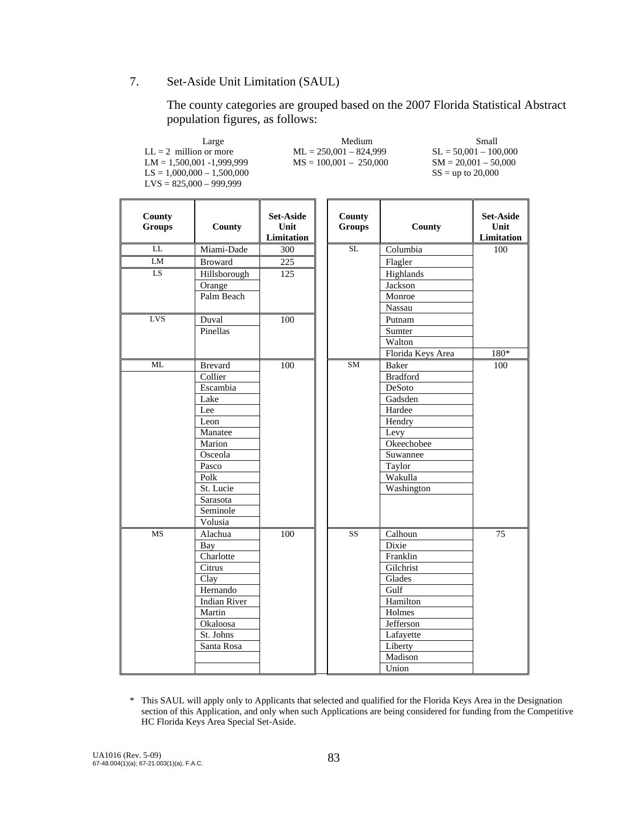#### 7. Set-Aside Unit Limitation (SAUL)

 The county categories are grouped based on the 2007 Florida Statistical Abstract population figures, as follows:

| Large                        | Medium                   | Small                   |
|------------------------------|--------------------------|-------------------------|
| $LL = 2$ million or more     | $ML = 250,001 - 824,999$ | $SL = 50.001 - 100.000$ |
| $LM = 1.500.001 - 1.999.999$ | $MS = 100,001 - 250,000$ | $SM = 20.001 - 50.000$  |
| $LS = 1,000,000 - 1,500,000$ |                          | $SS =$ up to 20,000     |
| $LVS = 825,000 - 999,999$    |                          |                         |
|                              |                          |                         |

| County<br><b>Groups</b> | County              | <b>Set-Aside</b><br>Unit<br>Limitation | County<br><b>Groups</b> | County            | <b>Set-Aside</b><br>Unit<br>Limitation |
|-------------------------|---------------------|----------------------------------------|-------------------------|-------------------|----------------------------------------|
| LL                      | Miami-Dade          | 300                                    | SL                      | Columbia          | 100                                    |
| ${\rm LM}$              | <b>Broward</b>      | 225                                    |                         | Flagler           |                                        |
| LS                      | Hillsborough        | 125                                    |                         | Highlands         |                                        |
|                         | Orange              |                                        |                         | Jackson           |                                        |
|                         | Palm Beach          |                                        |                         | Monroe            |                                        |
|                         |                     |                                        |                         | Nassau            |                                        |
| LVS                     | Duval               | 100                                    |                         | Putnam            |                                        |
|                         | Pinellas            |                                        |                         | Sumter            |                                        |
|                         |                     |                                        |                         | Walton            |                                        |
|                         |                     |                                        |                         | Florida Keys Area | $180*$                                 |
| ML                      | <b>Brevard</b>      | $\overline{100}$                       | SM                      | <b>Baker</b>      | 100                                    |
|                         | Collier             |                                        |                         | <b>Bradford</b>   |                                        |
|                         | Escambia            |                                        |                         | DeSoto            |                                        |
|                         | Lake                |                                        |                         | Gadsden           |                                        |
|                         | Lee                 |                                        |                         | Hardee            |                                        |
|                         | Leon                |                                        |                         | Hendry            |                                        |
|                         | Manatee             |                                        |                         | Levy              |                                        |
|                         | Marion              |                                        |                         | Okeechobee        |                                        |
|                         | Osceola             |                                        |                         | Suwannee          |                                        |
|                         | Pasco               |                                        |                         | Taylor            |                                        |
|                         | Polk                |                                        |                         | Wakulla           |                                        |
|                         | St. Lucie           |                                        |                         | Washington        |                                        |
|                         | Sarasota            |                                        |                         |                   |                                        |
|                         | Seminole            |                                        |                         |                   |                                        |
|                         | Volusia             |                                        |                         |                   |                                        |
| <b>MS</b>               | Alachua             | $\overline{100}$                       | $\overline{\text{SS}}$  | Calhoun           | $\overline{75}$                        |
|                         | Bay                 |                                        |                         | Dixie             |                                        |
|                         | Charlotte           |                                        |                         | Franklin          |                                        |
|                         | Citrus              |                                        |                         | Gilchrist         |                                        |
|                         | Clay                |                                        |                         | Glades            |                                        |
|                         | Hernando            |                                        |                         | Gulf              |                                        |
|                         | <b>Indian River</b> |                                        |                         | Hamilton          |                                        |
|                         | Martin              |                                        |                         | Holmes            |                                        |
|                         | Okaloosa            |                                        |                         | Jefferson         |                                        |
|                         | St. Johns           |                                        |                         | Lafayette         |                                        |
|                         | Santa Rosa          |                                        |                         | Liberty           |                                        |
|                         |                     |                                        |                         | Madison           |                                        |
|                         |                     |                                        |                         | Union             |                                        |

\* This SAUL will apply only to Applicants that selected and qualified for the Florida Keys Area in the Designation section of this Application, and only when such Applications are being considered for funding from the Competitive HC Florida Keys Area Special Set-Aside.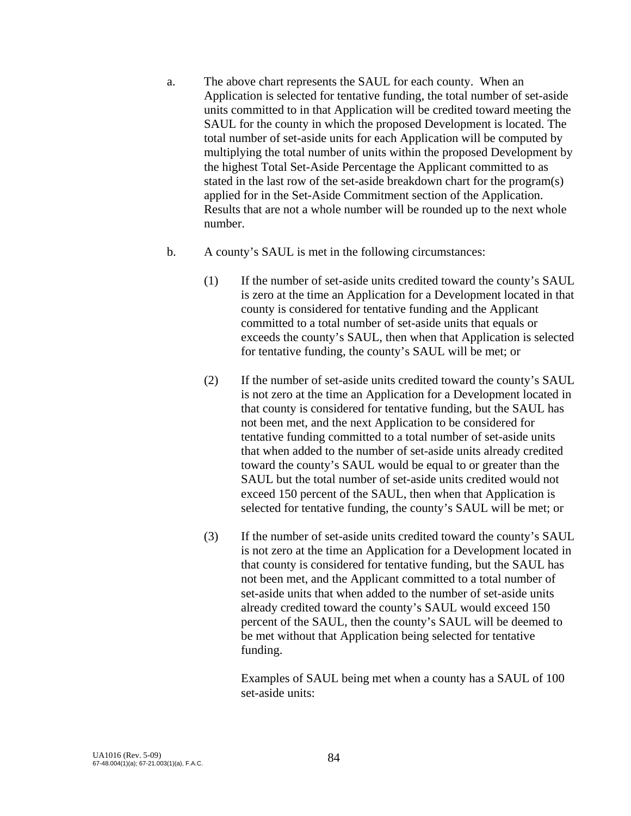- a. The above chart represents the SAUL for each county. When an Application is selected for tentative funding, the total number of set-aside units committed to in that Application will be credited toward meeting the SAUL for the county in which the proposed Development is located. The total number of set-aside units for each Application will be computed by multiplying the total number of units within the proposed Development by the highest Total Set-Aside Percentage the Applicant committed to as stated in the last row of the set-aside breakdown chart for the program(s) applied for in the Set-Aside Commitment section of the Application. Results that are not a whole number will be rounded up to the next whole number.
- b. A county's SAUL is met in the following circumstances:
	- (1) If the number of set-aside units credited toward the county's SAUL is zero at the time an Application for a Development located in that county is considered for tentative funding and the Applicant committed to a total number of set-aside units that equals or exceeds the county's SAUL, then when that Application is selected for tentative funding, the county's SAUL will be met; or
	- (2) If the number of set-aside units credited toward the county's SAUL is not zero at the time an Application for a Development located in that county is considered for tentative funding, but the SAUL has not been met, and the next Application to be considered for tentative funding committed to a total number of set-aside units that when added to the number of set-aside units already credited toward the county's SAUL would be equal to or greater than the SAUL but the total number of set-aside units credited would not exceed 150 percent of the SAUL, then when that Application is selected for tentative funding, the county's SAUL will be met; or
	- (3) If the number of set-aside units credited toward the county's SAUL is not zero at the time an Application for a Development located in that county is considered for tentative funding, but the SAUL has not been met, and the Applicant committed to a total number of set-aside units that when added to the number of set-aside units already credited toward the county's SAUL would exceed 150 percent of the SAUL, then the county's SAUL will be deemed to be met without that Application being selected for tentative funding.

 Examples of SAUL being met when a county has a SAUL of 100 set-aside units: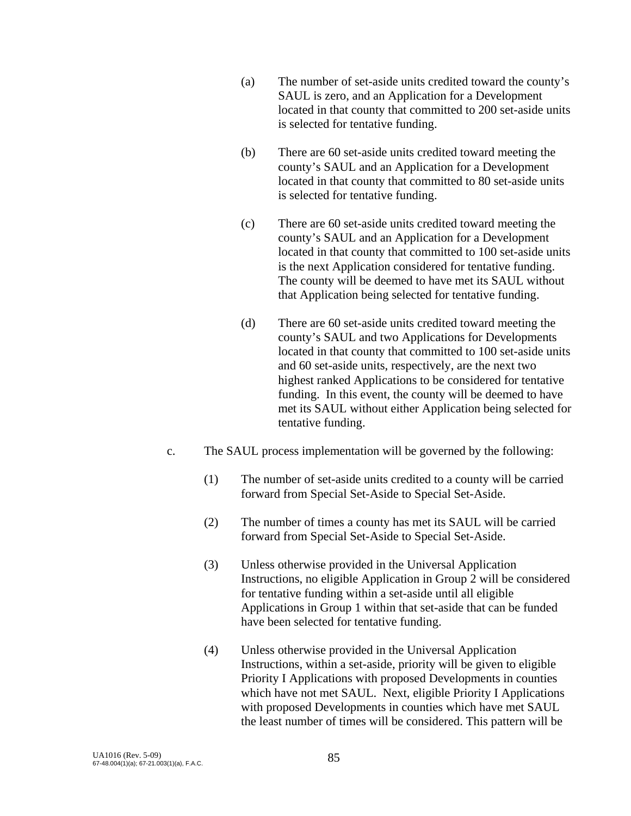- (a) The number of set-aside units credited toward the county's SAUL is zero, and an Application for a Development located in that county that committed to 200 set-aside units is selected for tentative funding.
- (b) There are 60 set-aside units credited toward meeting the county's SAUL and an Application for a Development located in that county that committed to 80 set-aside units is selected for tentative funding.
- (c) There are 60 set-aside units credited toward meeting the county's SAUL and an Application for a Development located in that county that committed to 100 set-aside units is the next Application considered for tentative funding. The county will be deemed to have met its SAUL without that Application being selected for tentative funding.
- (d) There are 60 set-aside units credited toward meeting the county's SAUL and two Applications for Developments located in that county that committed to 100 set-aside units and 60 set-aside units, respectively, are the next two highest ranked Applications to be considered for tentative funding. In this event, the county will be deemed to have met its SAUL without either Application being selected for tentative funding.
- c. The SAUL process implementation will be governed by the following:
	- (1) The number of set-aside units credited to a county will be carried forward from Special Set-Aside to Special Set-Aside.
	- (2) The number of times a county has met its SAUL will be carried forward from Special Set-Aside to Special Set-Aside.
	- (3) Unless otherwise provided in the Universal Application Instructions, no eligible Application in Group 2 will be considered for tentative funding within a set-aside until all eligible Applications in Group 1 within that set-aside that can be funded have been selected for tentative funding.
	- (4) Unless otherwise provided in the Universal Application Instructions, within a set-aside, priority will be given to eligible Priority I Applications with proposed Developments in counties which have not met SAUL. Next, eligible Priority I Applications with proposed Developments in counties which have met SAUL the least number of times will be considered. This pattern will be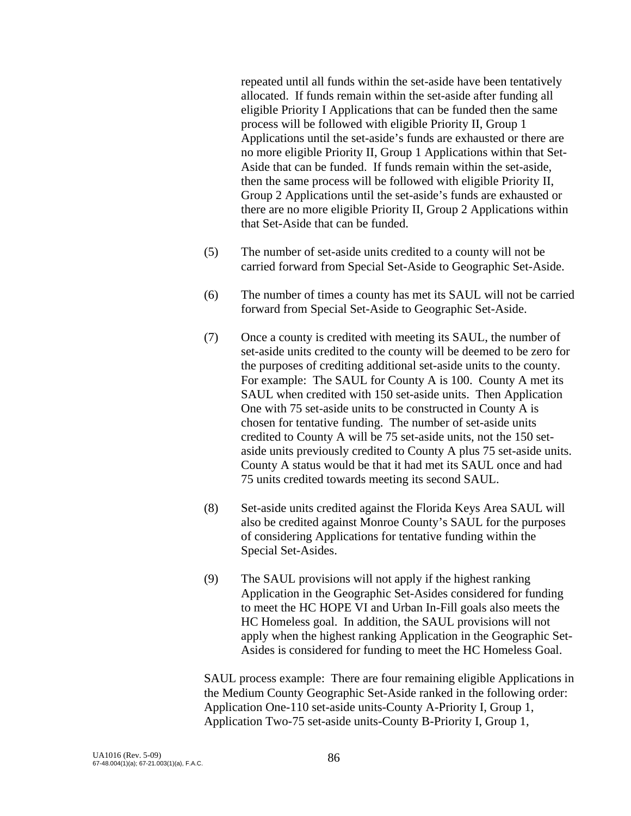repeated until all funds within the set-aside have been tentatively allocated. If funds remain within the set-aside after funding all eligible Priority I Applications that can be funded then the same process will be followed with eligible Priority II, Group 1 Applications until the set-aside's funds are exhausted or there are no more eligible Priority II, Group 1 Applications within that Set-Aside that can be funded. If funds remain within the set-aside, then the same process will be followed with eligible Priority II, Group 2 Applications until the set-aside's funds are exhausted or there are no more eligible Priority II, Group 2 Applications within that Set-Aside that can be funded.

- (5) The number of set-aside units credited to a county will not be carried forward from Special Set-Aside to Geographic Set-Aside.
- (6) The number of times a county has met its SAUL will not be carried forward from Special Set-Aside to Geographic Set-Aside.
- (7) Once a county is credited with meeting its SAUL, the number of set-aside units credited to the county will be deemed to be zero for the purposes of crediting additional set-aside units to the county. For example: The SAUL for County A is 100. County A met its SAUL when credited with 150 set-aside units. Then Application One with 75 set-aside units to be constructed in County A is chosen for tentative funding. The number of set-aside units credited to County A will be 75 set-aside units, not the 150 setaside units previously credited to County A plus 75 set-aside units. County A status would be that it had met its SAUL once and had 75 units credited towards meeting its second SAUL.
- (8) Set-aside units credited against the Florida Keys Area SAUL will also be credited against Monroe County's SAUL for the purposes of considering Applications for tentative funding within the Special Set-Asides.
- (9) The SAUL provisions will not apply if the highest ranking Application in the Geographic Set-Asides considered for funding to meet the HC HOPE VI and Urban In-Fill goals also meets the HC Homeless goal. In addition, the SAUL provisions will not apply when the highest ranking Application in the Geographic Set-Asides is considered for funding to meet the HC Homeless Goal.

SAUL process example: There are four remaining eligible Applications in the Medium County Geographic Set-Aside ranked in the following order: Application One-110 set-aside units-County A-Priority I, Group 1, Application Two-75 set-aside units-County B-Priority I, Group 1,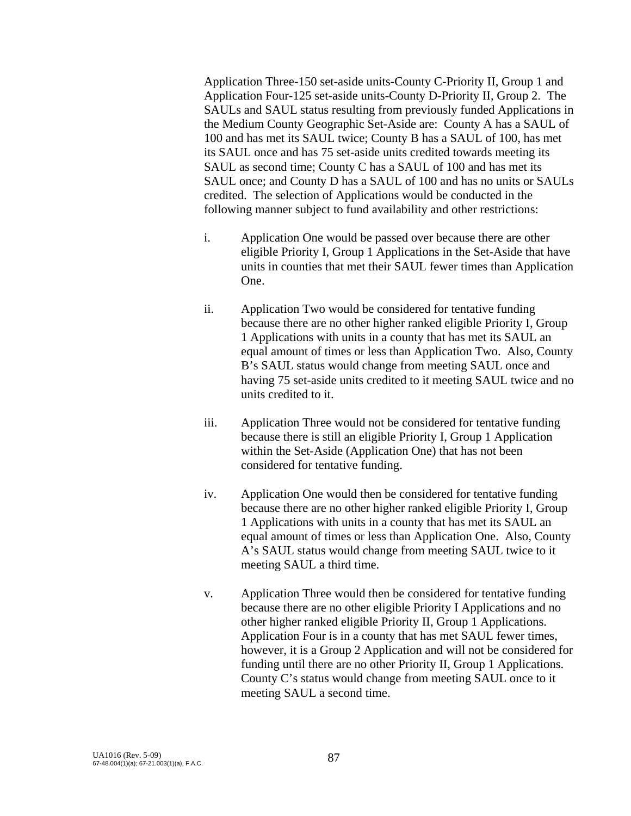Application Three-150 set-aside units-County C-Priority II, Group 1 and Application Four-125 set-aside units-County D-Priority II, Group 2. The SAULs and SAUL status resulting from previously funded Applications in the Medium County Geographic Set-Aside are: County A has a SAUL of 100 and has met its SAUL twice; County B has a SAUL of 100, has met its SAUL once and has 75 set-aside units credited towards meeting its SAUL as second time; County C has a SAUL of 100 and has met its SAUL once; and County D has a SAUL of 100 and has no units or SAULs credited. The selection of Applications would be conducted in the following manner subject to fund availability and other restrictions:

- i. Application One would be passed over because there are other eligible Priority I, Group 1 Applications in the Set-Aside that have units in counties that met their SAUL fewer times than Application One.
- ii. Application Two would be considered for tentative funding because there are no other higher ranked eligible Priority I, Group 1 Applications with units in a county that has met its SAUL an equal amount of times or less than Application Two. Also, County B's SAUL status would change from meeting SAUL once and having 75 set-aside units credited to it meeting SAUL twice and no units credited to it.
- iii. Application Three would not be considered for tentative funding because there is still an eligible Priority I, Group 1 Application within the Set-Aside (Application One) that has not been considered for tentative funding.
- iv. Application One would then be considered for tentative funding because there are no other higher ranked eligible Priority I, Group 1 Applications with units in a county that has met its SAUL an equal amount of times or less than Application One. Also, County A's SAUL status would change from meeting SAUL twice to it meeting SAUL a third time.
- v. Application Three would then be considered for tentative funding because there are no other eligible Priority I Applications and no other higher ranked eligible Priority II, Group 1 Applications. Application Four is in a county that has met SAUL fewer times, however, it is a Group 2 Application and will not be considered for funding until there are no other Priority II, Group 1 Applications. County C's status would change from meeting SAUL once to it meeting SAUL a second time.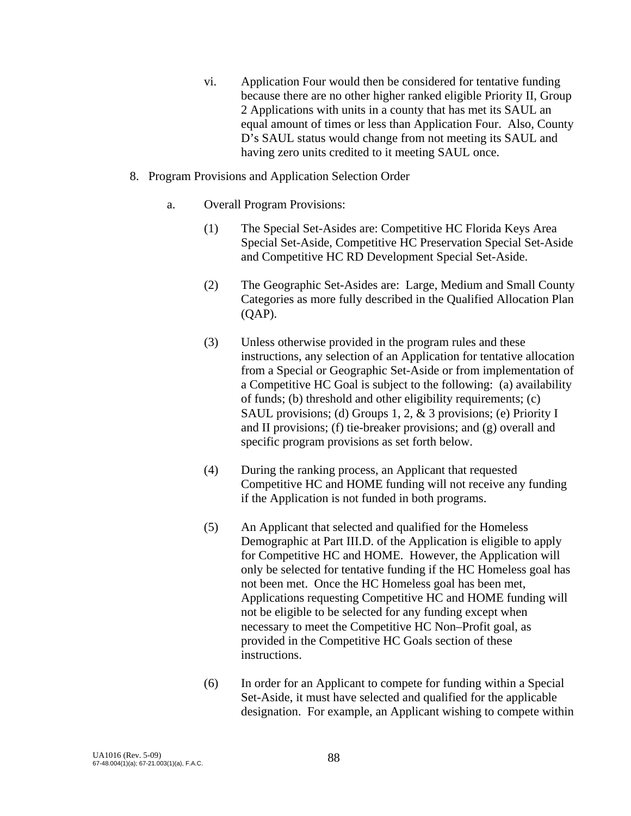- vi. Application Four would then be considered for tentative funding because there are no other higher ranked eligible Priority II, Group 2 Applications with units in a county that has met its SAUL an equal amount of times or less than Application Four. Also, County D's SAUL status would change from not meeting its SAUL and having zero units credited to it meeting SAUL once.
- 8. Program Provisions and Application Selection Order
	- a. Overall Program Provisions:
		- (1) The Special Set-Asides are: Competitive HC Florida Keys Area Special Set-Aside, Competitive HC Preservation Special Set-Aside and Competitive HC RD Development Special Set-Aside.
		- (2) The Geographic Set-Asides are: Large, Medium and Small County Categories as more fully described in the Qualified Allocation Plan (QAP).
		- (3) Unless otherwise provided in the program rules and these instructions, any selection of an Application for tentative allocation from a Special or Geographic Set-Aside or from implementation of a Competitive HC Goal is subject to the following: (a) availability of funds; (b) threshold and other eligibility requirements; (c) SAUL provisions; (d) Groups 1, 2, & 3 provisions; (e) Priority I and II provisions; (f) tie-breaker provisions; and (g) overall and specific program provisions as set forth below.
		- (4) During the ranking process, an Applicant that requested Competitive HC and HOME funding will not receive any funding if the Application is not funded in both programs.
		- (5) An Applicant that selected and qualified for the Homeless Demographic at Part III.D. of the Application is eligible to apply for Competitive HC and HOME. However, the Application will only be selected for tentative funding if the HC Homeless goal has not been met. Once the HC Homeless goal has been met, Applications requesting Competitive HC and HOME funding will not be eligible to be selected for any funding except when necessary to meet the Competitive HC Non–Profit goal, as provided in the Competitive HC Goals section of these instructions.
		- (6) In order for an Applicant to compete for funding within a Special Set-Aside, it must have selected and qualified for the applicable designation. For example, an Applicant wishing to compete within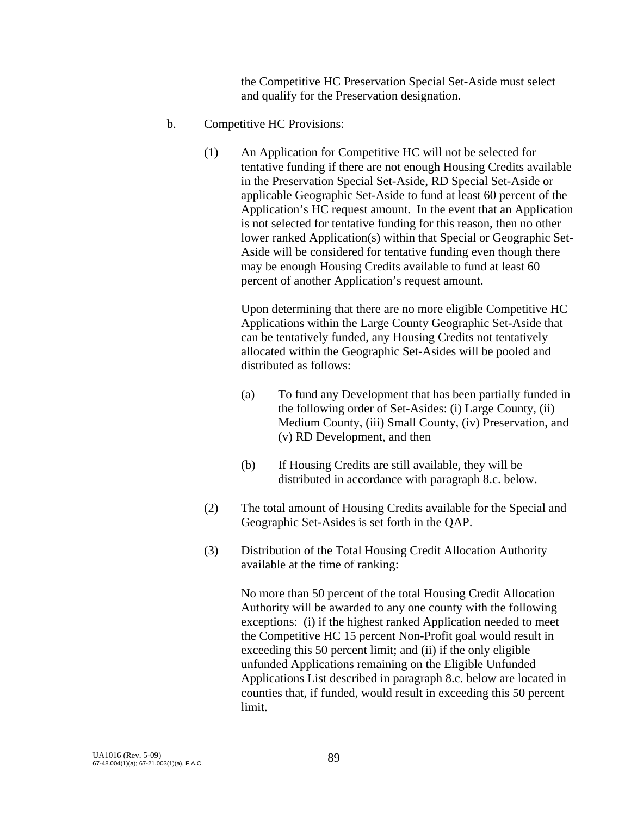the Competitive HC Preservation Special Set-Aside must select and qualify for the Preservation designation.

- b. Competitive HC Provisions:
	- (1) An Application for Competitive HC will not be selected for tentative funding if there are not enough Housing Credits available in the Preservation Special Set-Aside, RD Special Set-Aside or applicable Geographic Set-Aside to fund at least 60 percent of the Application's HC request amount. In the event that an Application is not selected for tentative funding for this reason, then no other lower ranked Application(s) within that Special or Geographic Set-Aside will be considered for tentative funding even though there may be enough Housing Credits available to fund at least 60 percent of another Application's request amount.

Upon determining that there are no more eligible Competitive HC Applications within the Large County Geographic Set-Aside that can be tentatively funded, any Housing Credits not tentatively allocated within the Geographic Set-Asides will be pooled and distributed as follows:

- (a) To fund any Development that has been partially funded in the following order of Set-Asides: (i) Large County, (ii) Medium County, (iii) Small County, (iv) Preservation, and (v) RD Development, and then
- (b) If Housing Credits are still available, they will be distributed in accordance with paragraph 8.c. below.
- (2) The total amount of Housing Credits available for the Special and Geographic Set-Asides is set forth in the QAP.
- (3) Distribution of the Total Housing Credit Allocation Authority available at the time of ranking:

No more than 50 percent of the total Housing Credit Allocation Authority will be awarded to any one county with the following exceptions: (i) if the highest ranked Application needed to meet the Competitive HC 15 percent Non-Profit goal would result in exceeding this 50 percent limit; and (ii) if the only eligible unfunded Applications remaining on the Eligible Unfunded Applications List described in paragraph 8.c. below are located in counties that, if funded, would result in exceeding this 50 percent limit.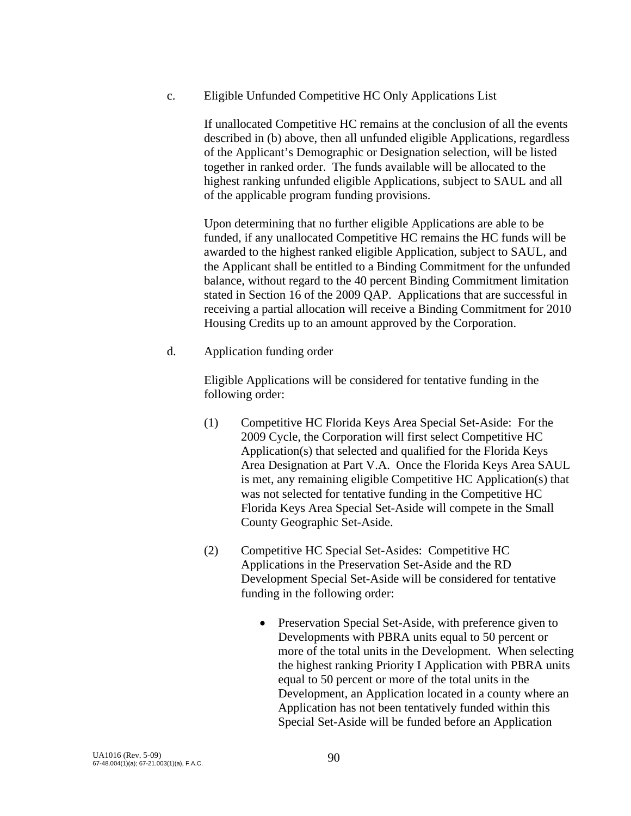c. Eligible Unfunded Competitive HC Only Applications List

 If unallocated Competitive HC remains at the conclusion of all the events described in (b) above, then all unfunded eligible Applications, regardless of the Applicant's Demographic or Designation selection, will be listed together in ranked order. The funds available will be allocated to the highest ranking unfunded eligible Applications, subject to SAUL and all of the applicable program funding provisions.

 Upon determining that no further eligible Applications are able to be funded, if any unallocated Competitive HC remains the HC funds will be awarded to the highest ranked eligible Application, subject to SAUL, and the Applicant shall be entitled to a Binding Commitment for the unfunded balance, without regard to the 40 percent Binding Commitment limitation stated in Section 16 of the 2009 QAP. Applications that are successful in receiving a partial allocation will receive a Binding Commitment for 2010 Housing Credits up to an amount approved by the Corporation.

d. Application funding order

 Eligible Applications will be considered for tentative funding in the following order:

- (1) Competitive HC Florida Keys Area Special Set-Aside: For the 2009 Cycle, the Corporation will first select Competitive HC Application(s) that selected and qualified for the Florida Keys Area Designation at Part V.A. Once the Florida Keys Area SAUL is met, any remaining eligible Competitive HC Application(s) that was not selected for tentative funding in the Competitive HC Florida Keys Area Special Set-Aside will compete in the Small County Geographic Set-Aside.
- (2) Competitive HC Special Set-Asides: Competitive HC Applications in the Preservation Set-Aside and the RD Development Special Set-Aside will be considered for tentative funding in the following order:
	- Preservation Special Set-Aside, with preference given to Developments with PBRA units equal to 50 percent or more of the total units in the Development. When selecting the highest ranking Priority I Application with PBRA units equal to 50 percent or more of the total units in the Development, an Application located in a county where an Application has not been tentatively funded within this Special Set-Aside will be funded before an Application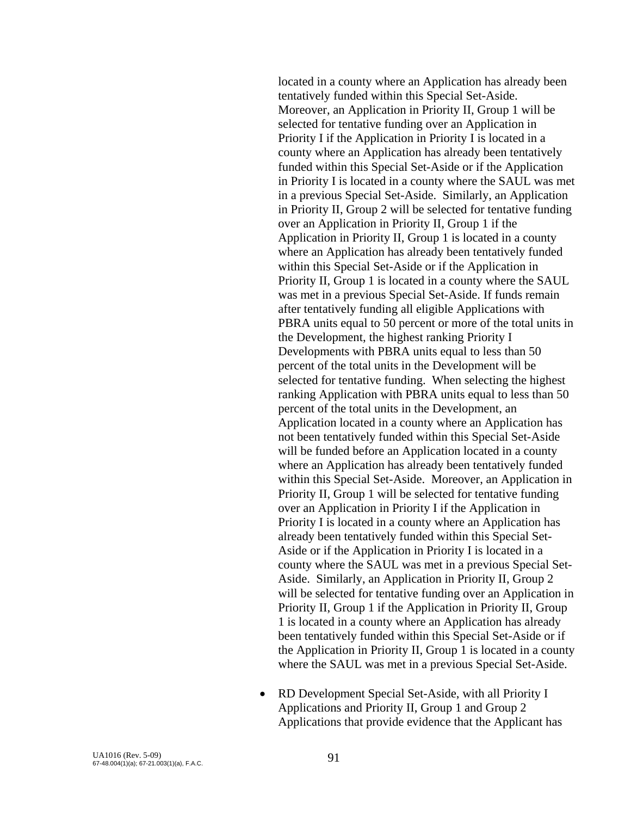located in a county where an Application has already been tentatively funded within this Special Set-Aside. Moreover, an Application in Priority II, Group 1 will be selected for tentative funding over an Application in Priority I if the Application in Priority I is located in a county where an Application has already been tentatively funded within this Special Set-Aside or if the Application in Priority I is located in a county where the SAUL was met in a previous Special Set-Aside. Similarly, an Application in Priority II, Group 2 will be selected for tentative funding over an Application in Priority II, Group 1 if the Application in Priority II, Group 1 is located in a county where an Application has already been tentatively funded within this Special Set-Aside or if the Application in Priority II, Group 1 is located in a county where the SAUL was met in a previous Special Set-Aside. If funds remain after tentatively funding all eligible Applications with PBRA units equal to 50 percent or more of the total units in the Development, the highest ranking Priority I Developments with PBRA units equal to less than 50 percent of the total units in the Development will be selected for tentative funding. When selecting the highest ranking Application with PBRA units equal to less than 50 percent of the total units in the Development, an Application located in a county where an Application has not been tentatively funded within this Special Set-Aside will be funded before an Application located in a county where an Application has already been tentatively funded within this Special Set-Aside. Moreover, an Application in Priority II, Group 1 will be selected for tentative funding over an Application in Priority I if the Application in Priority I is located in a county where an Application has already been tentatively funded within this Special Set-Aside or if the Application in Priority I is located in a county where the SAUL was met in a previous Special Set-Aside. Similarly, an Application in Priority II, Group 2 will be selected for tentative funding over an Application in Priority II, Group 1 if the Application in Priority II, Group 1 is located in a county where an Application has already been tentatively funded within this Special Set-Aside or if the Application in Priority II, Group 1 is located in a county where the SAUL was met in a previous Special Set-Aside.

• RD Development Special Set-Aside, with all Priority I Applications and Priority II, Group 1 and Group 2 Applications that provide evidence that the Applicant has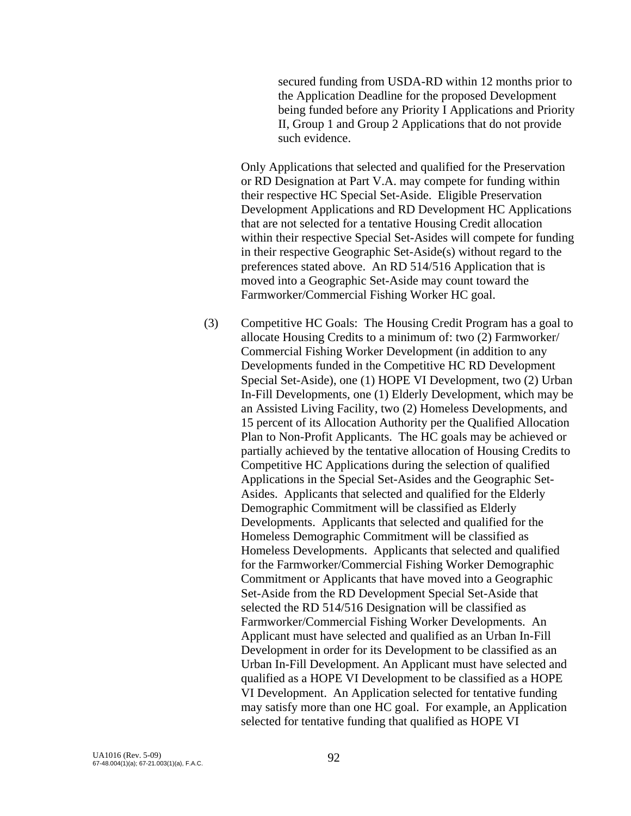secured funding from USDA-RD within 12 months prior to the Application Deadline for the proposed Development being funded before any Priority I Applications and Priority II, Group 1 and Group 2 Applications that do not provide such evidence.

Only Applications that selected and qualified for the Preservation or RD Designation at Part V.A. may compete for funding within their respective HC Special Set-Aside. Eligible Preservation Development Applications and RD Development HC Applications that are not selected for a tentative Housing Credit allocation within their respective Special Set-Asides will compete for funding in their respective Geographic Set-Aside(s) without regard to the preferences stated above. An RD 514/516 Application that is moved into a Geographic Set-Aside may count toward the Farmworker/Commercial Fishing Worker HC goal.

(3) Competitive HC Goals: The Housing Credit Program has a goal to allocate Housing Credits to a minimum of: two (2) Farmworker/ Commercial Fishing Worker Development (in addition to any Developments funded in the Competitive HC RD Development Special Set-Aside), one (1) HOPE VI Development, two (2) Urban In-Fill Developments, one (1) Elderly Development, which may be an Assisted Living Facility, two (2) Homeless Developments, and 15 percent of its Allocation Authority per the Qualified Allocation Plan to Non-Profit Applicants. The HC goals may be achieved or partially achieved by the tentative allocation of Housing Credits to Competitive HC Applications during the selection of qualified Applications in the Special Set-Asides and the Geographic Set-Asides. Applicants that selected and qualified for the Elderly Demographic Commitment will be classified as Elderly Developments. Applicants that selected and qualified for the Homeless Demographic Commitment will be classified as Homeless Developments. Applicants that selected and qualified for the Farmworker/Commercial Fishing Worker Demographic Commitment or Applicants that have moved into a Geographic Set-Aside from the RD Development Special Set-Aside that selected the RD 514/516 Designation will be classified as Farmworker/Commercial Fishing Worker Developments. An Applicant must have selected and qualified as an Urban In-Fill Development in order for its Development to be classified as an Urban In-Fill Development. An Applicant must have selected and qualified as a HOPE VI Development to be classified as a HOPE VI Development. An Application selected for tentative funding may satisfy more than one HC goal. For example, an Application selected for tentative funding that qualified as HOPE VI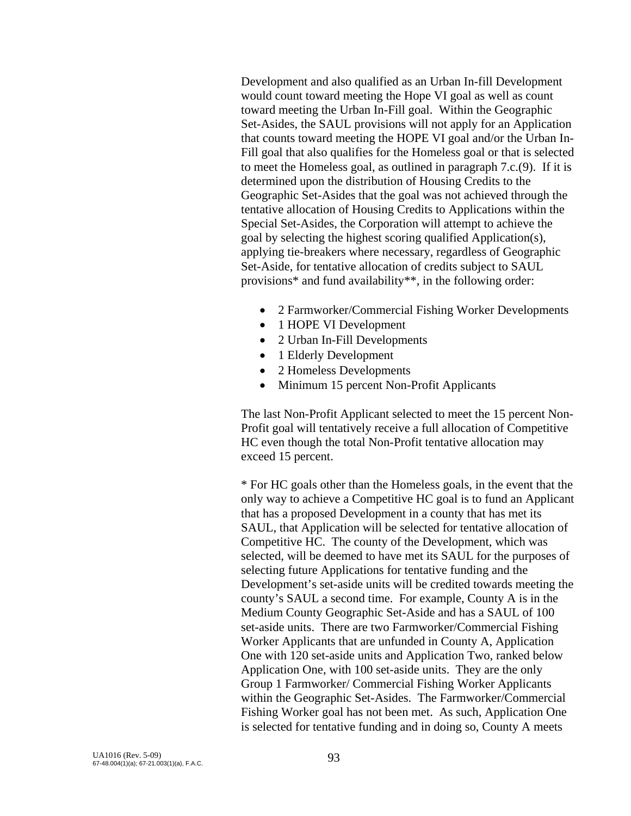Development and also qualified as an Urban In-fill Development would count toward meeting the Hope VI goal as well as count toward meeting the Urban In-Fill goal. Within the Geographic Set-Asides, the SAUL provisions will not apply for an Application that counts toward meeting the HOPE VI goal and/or the Urban In-Fill goal that also qualifies for the Homeless goal or that is selected to meet the Homeless goal, as outlined in paragraph 7.c.(9). If it is determined upon the distribution of Housing Credits to the Geographic Set-Asides that the goal was not achieved through the tentative allocation of Housing Credits to Applications within the Special Set-Asides, the Corporation will attempt to achieve the goal by selecting the highest scoring qualified Application(s), applying tie-breakers where necessary, regardless of Geographic Set-Aside, for tentative allocation of credits subject to SAUL provisions\* and fund availability\*\*, in the following order:

- 2 Farmworker/Commercial Fishing Worker Developments
- 1 HOPE VI Development
- 2 Urban In-Fill Developments
- 1 Elderly Development
- 2 Homeless Developments
- Minimum 15 percent Non-Profit Applicants

The last Non-Profit Applicant selected to meet the 15 percent Non-Profit goal will tentatively receive a full allocation of Competitive HC even though the total Non-Profit tentative allocation may exceed 15 percent.

\* For HC goals other than the Homeless goals, in the event that the only way to achieve a Competitive HC goal is to fund an Applicant that has a proposed Development in a county that has met its SAUL, that Application will be selected for tentative allocation of Competitive HC. The county of the Development, which was selected, will be deemed to have met its SAUL for the purposes of selecting future Applications for tentative funding and the Development's set-aside units will be credited towards meeting the county's SAUL a second time. For example, County A is in the Medium County Geographic Set-Aside and has a SAUL of 100 set-aside units. There are two Farmworker/Commercial Fishing Worker Applicants that are unfunded in County A, Application One with 120 set-aside units and Application Two, ranked below Application One, with 100 set-aside units. They are the only Group 1 Farmworker/ Commercial Fishing Worker Applicants within the Geographic Set-Asides. The Farmworker/Commercial Fishing Worker goal has not been met. As such, Application One is selected for tentative funding and in doing so, County A meets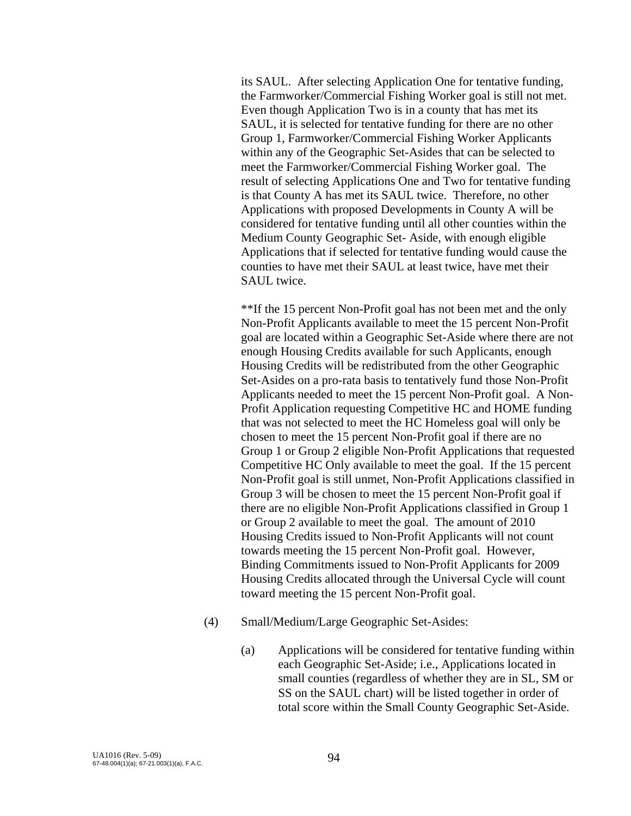its SAUL. After selecting Application One for tentative funding, the Farmworker/Commercial Fishing Worker goal is still not met. Even though Application Two is in a county that has met its SAUL, it is selected for tentative funding for there are no other Group 1, Farmworker/Commercial Fishing Worker Applicants within any of the Geographic Set-Asides that can be selected to meet the Farmworker/Commercial Fishing Worker goal. The result of selecting Applications One and Two for tentative funding is that County A has met its SAUL twice. Therefore, no other Applications with proposed Developments in County A will be considered for tentative funding until all other counties within the Medium County Geographic Set- Aside, with enough eligible Applications that if selected for tentative funding would cause the counties to have met their SAUL at least twice, have met their SAUL twice.

\*\*If the 15 percent Non-Profit goal has not been met and the only Non-Profit Applicants available to meet the 15 percent Non-Profit goal are located within a Geographic Set-Aside where there are not enough Housing Credits available for such Applicants, enough Housing Credits will be redistributed from the other Geographic Set-Asides on a pro-rata basis to tentatively fund those Non-Profit Applicants needed to meet the 15 percent Non-Profit goal. A Non-Profit Application requesting Competitive HC and HOME funding that was not selected to meet the HC Homeless goal will only be chosen to meet the 15 percent Non-Profit goal if there are no Group 1 or Group 2 eligible Non-Profit Applications that requested Competitive HC Only available to meet the goal. If the 15 percent Non-Profit goal is still unmet, Non-Profit Applications classified in Group 3 will be chosen to meet the 15 percent Non-Profit goal if there are no eligible Non-Profit Applications classified in Group 1 or Group 2 available to meet the goal. The amount of 2010 Housing Credits issued to Non-Profit Applicants will not count towards meeting the 15 percent Non-Profit goal. However, Binding Commitments issued to Non-Profit Applicants for 2009 Housing Credits allocated through the Universal Cycle will count toward meeting the 15 percent Non-Profit goal.

- (4) Small/Medium/Large Geographic Set-Asides:
	- (a) Applications will be considered for tentative funding within each Geographic Set-Aside; i.e., Applications located in small counties (regardless of whether they are in SL, SM or SS on the SAUL chart) will be listed together in order of total score within the Small County Geographic Set-Aside.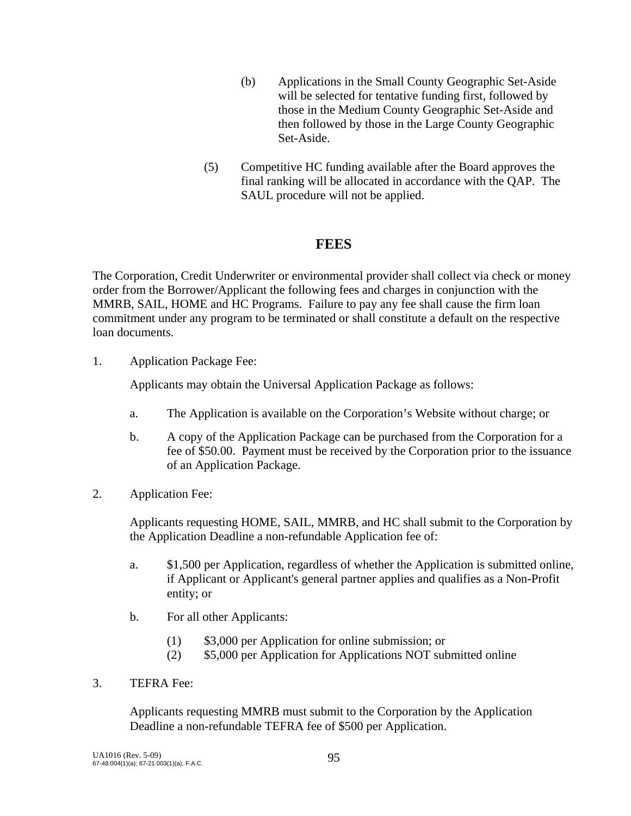- (b) Applications in the Small County Geographic Set-Aside will be selected for tentative funding first, followed by those in the Medium County Geographic Set-Aside and then followed by those in the Large County Geographic Set-Aside.
- (5) Competitive HC funding available after the Board approves the final ranking will be allocated in accordance with the QAP. The SAUL procedure will not be applied.

### **FEES**

The Corporation, Credit Underwriter or environmental provider shall collect via check or money order from the Borrower/Applicant the following fees and charges in conjunction with the MMRB, SAIL, HOME and HC Programs. Failure to pay any fee shall cause the firm loan commitment under any program to be terminated or shall constitute a default on the respective loan documents.

1. Application Package Fee:

Applicants may obtain the Universal Application Package as follows:

- a. The Application is available on the Corporation's Website without charge; or
- b. A copy of the Application Package can be purchased from the Corporation for a fee of \$50.00. Payment must be received by the Corporation prior to the issuance of an Application Package.
- 2. Application Fee:

 Applicants requesting HOME, SAIL, MMRB, and HC shall submit to the Corporation by the Application Deadline a non-refundable Application fee of:

- a. \$1,500 per Application, regardless of whether the Application is submitted online, if Applicant or Applicant's general partner applies and qualifies as a Non-Profit entity; or
- b. For all other Applicants:
	- (1) \$3,000 per Application for online submission; or
	- (2) \$5,000 per Application for Applications NOT submitted online
- 3. TEFRA Fee:

 Applicants requesting MMRB must submit to the Corporation by the Application Deadline a non-refundable TEFRA fee of \$500 per Application.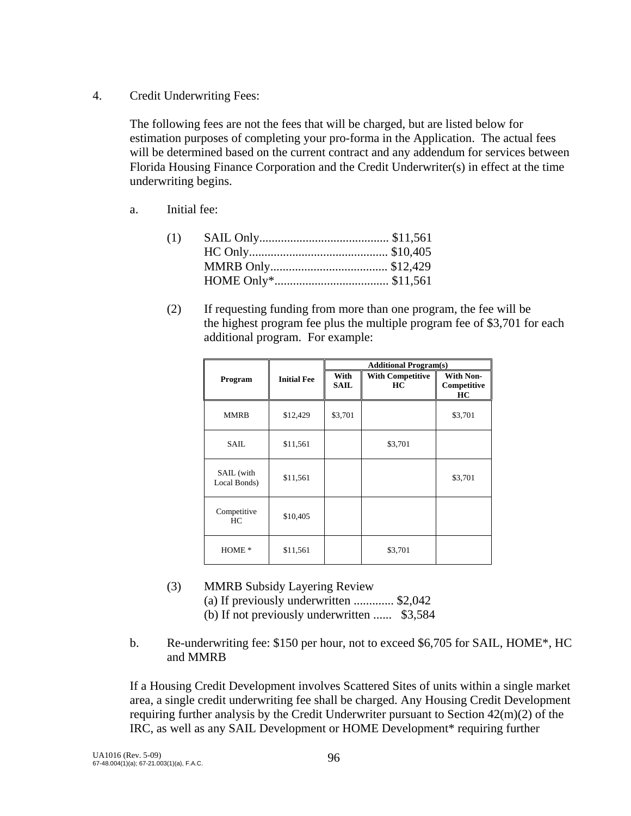4. Credit Underwriting Fees:

 The following fees are not the fees that will be charged, but are listed below for estimation purposes of completing your pro-forma in the Application. The actual fees will be determined based on the current contract and any addendum for services between Florida Housing Finance Corporation and the Credit Underwriter(s) in effect at the time underwriting begins.

a. Initial fee:

 (2) If requesting funding from more than one program, the fee will be the highest program fee plus the multiple program fee of \$3,701 for each additional program. For example:

|                            |                    | <b>Additional Program(s)</b> |                               |                                       |  |
|----------------------------|--------------------|------------------------------|-------------------------------|---------------------------------------|--|
| Program                    | <b>Initial Fee</b> | With<br><b>SAIL</b>          | <b>With Competitive</b><br>HС | <b>With Non-</b><br>Competitive<br>HC |  |
| MMRB                       | \$12,429           | \$3,701                      |                               | \$3,701                               |  |
| SAIL.                      | \$11,561           |                              | \$3,701                       |                                       |  |
| SAIL (with<br>Local Bonds) | \$11,561           |                              |                               | \$3,701                               |  |
| Competitive<br>HC.         | \$10,405           |                              |                               |                                       |  |
| HOME <sup>*</sup>          | \$11,561           |                              | \$3,701                       |                                       |  |

- (3) MMRB Subsidy Layering Review (a) If previously underwritten ............. \$2,042 (b) If not previously underwritten ...... \$3,584
- b. Re-underwriting fee: \$150 per hour, not to exceed \$6,705 for SAIL, HOME\*, HC and MMRB

If a Housing Credit Development involves Scattered Sites of units within a single market area, a single credit underwriting fee shall be charged. Any Housing Credit Development requiring further analysis by the Credit Underwriter pursuant to Section 42(m)(2) of the IRC, as well as any SAIL Development or HOME Development\* requiring further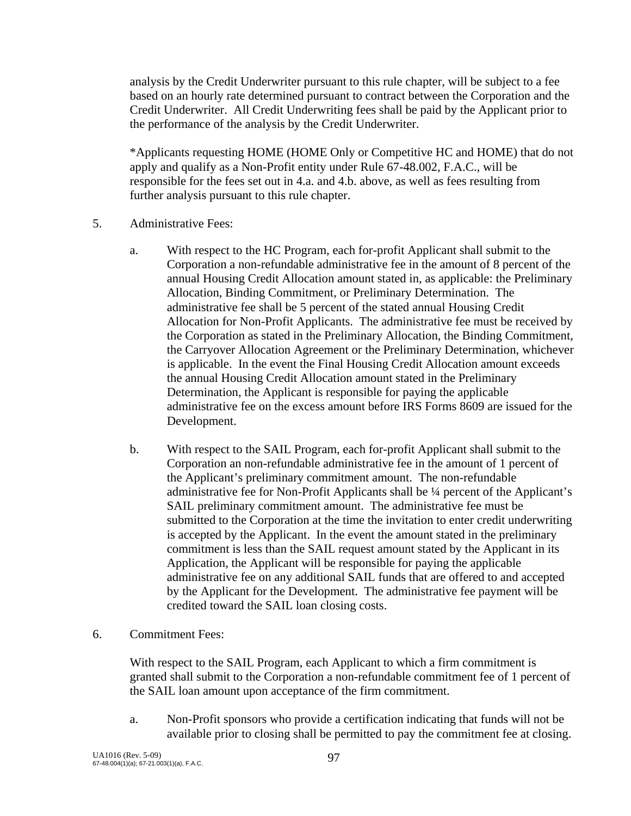analysis by the Credit Underwriter pursuant to this rule chapter, will be subject to a fee based on an hourly rate determined pursuant to contract between the Corporation and the Credit Underwriter. All Credit Underwriting fees shall be paid by the Applicant prior to the performance of the analysis by the Credit Underwriter.

\*Applicants requesting HOME (HOME Only or Competitive HC and HOME) that do not apply and qualify as a Non-Profit entity under Rule 67-48.002, F.A.C., will be responsible for the fees set out in 4.a. and 4.b. above, as well as fees resulting from further analysis pursuant to this rule chapter.

- 5. Administrative Fees:
	- a. With respect to the HC Program, each for-profit Applicant shall submit to the Corporation a non-refundable administrative fee in the amount of 8 percent of the annual Housing Credit Allocation amount stated in, as applicable: the Preliminary Allocation, Binding Commitment, or Preliminary Determination. The administrative fee shall be 5 percent of the stated annual Housing Credit Allocation for Non-Profit Applicants. The administrative fee must be received by the Corporation as stated in the Preliminary Allocation, the Binding Commitment, the Carryover Allocation Agreement or the Preliminary Determination, whichever is applicable. In the event the Final Housing Credit Allocation amount exceeds the annual Housing Credit Allocation amount stated in the Preliminary Determination, the Applicant is responsible for paying the applicable administrative fee on the excess amount before IRS Forms 8609 are issued for the Development.
	- b. With respect to the SAIL Program, each for-profit Applicant shall submit to the Corporation an non-refundable administrative fee in the amount of 1 percent of the Applicant's preliminary commitment amount. The non-refundable administrative fee for Non-Profit Applicants shall be ¼ percent of the Applicant's SAIL preliminary commitment amount. The administrative fee must be submitted to the Corporation at the time the invitation to enter credit underwriting is accepted by the Applicant. In the event the amount stated in the preliminary commitment is less than the SAIL request amount stated by the Applicant in its Application, the Applicant will be responsible for paying the applicable administrative fee on any additional SAIL funds that are offered to and accepted by the Applicant for the Development. The administrative fee payment will be credited toward the SAIL loan closing costs.
- 6. Commitment Fees:

With respect to the SAIL Program, each Applicant to which a firm commitment is granted shall submit to the Corporation a non-refundable commitment fee of 1 percent of the SAIL loan amount upon acceptance of the firm commitment.

 a. Non-Profit sponsors who provide a certification indicating that funds will not be available prior to closing shall be permitted to pay the commitment fee at closing.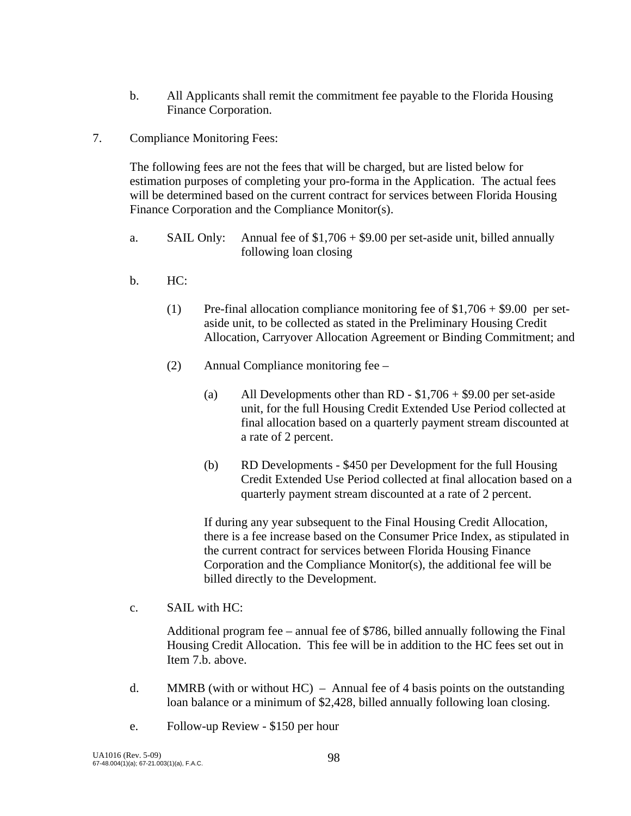- b. All Applicants shall remit the commitment fee payable to the Florida Housing Finance Corporation.
- 7. Compliance Monitoring Fees:

 The following fees are not the fees that will be charged, but are listed below for estimation purposes of completing your pro-forma in the Application. The actual fees will be determined based on the current contract for services between Florida Housing Finance Corporation and the Compliance Monitor(s).

- a. SAIL Only: Annual fee of \$1,706 + \$9.00 per set-aside unit, billed annually following loan closing
- b. HC:
	- (1) Pre-final allocation compliance monitoring fee of  $$1,706 + $9.00$  per setaside unit, to be collected as stated in the Preliminary Housing Credit Allocation, Carryover Allocation Agreement or Binding Commitment; and
	- (2) Annual Compliance monitoring fee
		- (a) All Developments other than RD  $$1,706 + $9.00$  per set-aside unit, for the full Housing Credit Extended Use Period collected at final allocation based on a quarterly payment stream discounted at a rate of 2 percent.
		- (b) RD Developments \$450 per Development for the full Housing Credit Extended Use Period collected at final allocation based on a quarterly payment stream discounted at a rate of 2 percent.

 If during any year subsequent to the Final Housing Credit Allocation, there is a fee increase based on the Consumer Price Index, as stipulated in the current contract for services between Florida Housing Finance Corporation and the Compliance Monitor(s), the additional fee will be billed directly to the Development.

c. SAIL with HC:

 Additional program fee – annual fee of \$786, billed annually following the Final Housing Credit Allocation. This fee will be in addition to the HC fees set out in Item 7.b. above.

- d. MMRB (with or without  $HC$ ) Annual fee of 4 basis points on the outstanding loan balance or a minimum of \$2,428, billed annually following loan closing.
- e. Follow-up Review \$150 per hour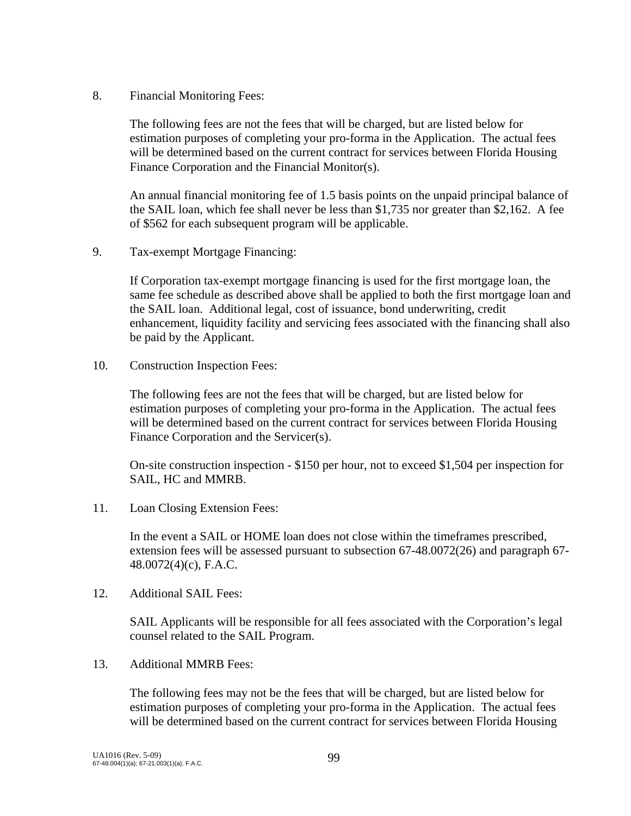8. Financial Monitoring Fees:

The following fees are not the fees that will be charged, but are listed below for estimation purposes of completing your pro-forma in the Application. The actual fees will be determined based on the current contract for services between Florida Housing Finance Corporation and the Financial Monitor(s).

An annual financial monitoring fee of 1.5 basis points on the unpaid principal balance of the SAIL loan, which fee shall never be less than \$1,735 nor greater than \$2,162. A fee of \$562 for each subsequent program will be applicable.

9. Tax-exempt Mortgage Financing:

If Corporation tax-exempt mortgage financing is used for the first mortgage loan, the same fee schedule as described above shall be applied to both the first mortgage loan and the SAIL loan. Additional legal, cost of issuance, bond underwriting, credit enhancement, liquidity facility and servicing fees associated with the financing shall also be paid by the Applicant.

10. Construction Inspection Fees:

The following fees are not the fees that will be charged, but are listed below for estimation purposes of completing your pro-forma in the Application. The actual fees will be determined based on the current contract for services between Florida Housing Finance Corporation and the Servicer(s).

On-site construction inspection - \$150 per hour, not to exceed \$1,504 per inspection for SAIL, HC and MMRB.

11. Loan Closing Extension Fees:

 In the event a SAIL or HOME loan does not close within the timeframes prescribed, extension fees will be assessed pursuant to subsection 67-48.0072(26) and paragraph 67- 48.0072(4)(c), F.A.C.

12. Additional SAIL Fees:

 SAIL Applicants will be responsible for all fees associated with the Corporation's legal counsel related to the SAIL Program.

13. Additional MMRB Fees:

The following fees may not be the fees that will be charged, but are listed below for estimation purposes of completing your pro-forma in the Application. The actual fees will be determined based on the current contract for services between Florida Housing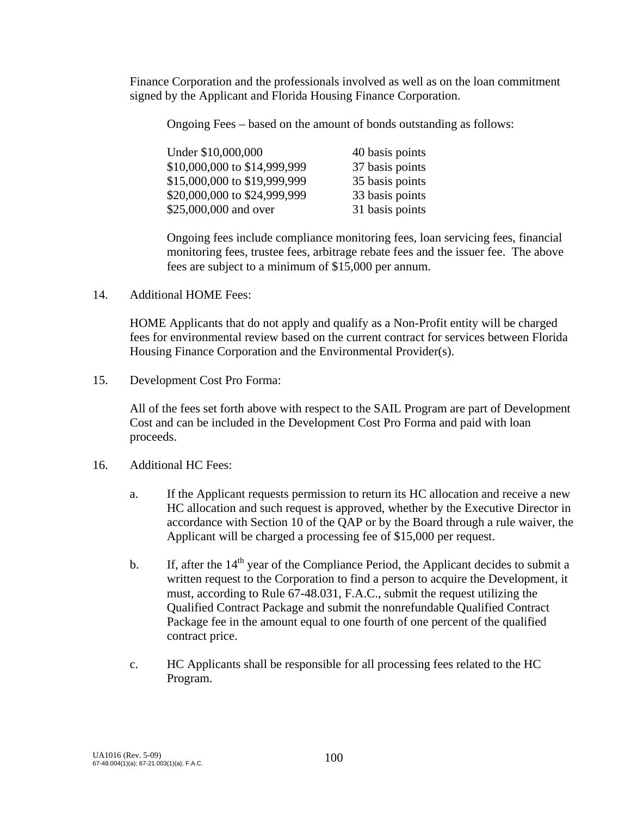Finance Corporation and the professionals involved as well as on the loan commitment signed by the Applicant and Florida Housing Finance Corporation.

Ongoing Fees – based on the amount of bonds outstanding as follows:

| Under \$10,000,000           | 40 basis points |
|------------------------------|-----------------|
| \$10,000,000 to \$14,999,999 | 37 basis points |
| \$15,000,000 to \$19,999,999 | 35 basis points |
| \$20,000,000 to \$24,999,999 | 33 basis points |
| \$25,000,000 and over        | 31 basis points |

 Ongoing fees include compliance monitoring fees, loan servicing fees, financial monitoring fees, trustee fees, arbitrage rebate fees and the issuer fee. The above fees are subject to a minimum of \$15,000 per annum.

14. Additional HOME Fees:

 HOME Applicants that do not apply and qualify as a Non-Profit entity will be charged fees for environmental review based on the current contract for services between Florida Housing Finance Corporation and the Environmental Provider(s).

15. Development Cost Pro Forma:

 All of the fees set forth above with respect to the SAIL Program are part of Development Cost and can be included in the Development Cost Pro Forma and paid with loan proceeds.

- 16. Additional HC Fees:
	- a. If the Applicant requests permission to return its HC allocation and receive a new HC allocation and such request is approved, whether by the Executive Director in accordance with Section 10 of the QAP or by the Board through a rule waiver, the Applicant will be charged a processing fee of \$15,000 per request.
	- b. If, after the  $14<sup>th</sup>$  year of the Compliance Period, the Applicant decides to submit a written request to the Corporation to find a person to acquire the Development, it must, according to Rule 67-48.031, F.A.C., submit the request utilizing the Qualified Contract Package and submit the nonrefundable Qualified Contract Package fee in the amount equal to one fourth of one percent of the qualified contract price.
	- c. HC Applicants shall be responsible for all processing fees related to the HC Program.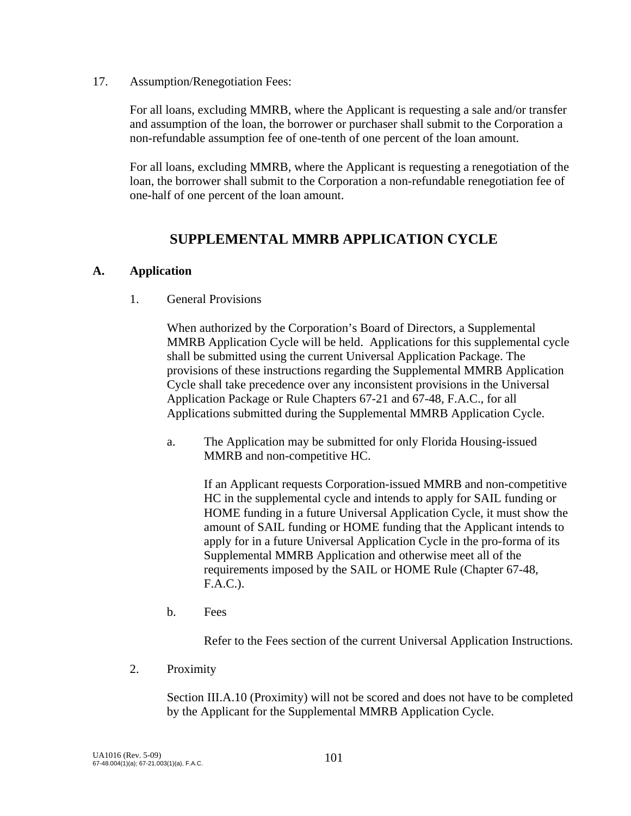17. Assumption/Renegotiation Fees:

 For all loans, excluding MMRB, where the Applicant is requesting a sale and/or transfer and assumption of the loan, the borrower or purchaser shall submit to the Corporation a non-refundable assumption fee of one-tenth of one percent of the loan amount.

 For all loans, excluding MMRB, where the Applicant is requesting a renegotiation of the loan, the borrower shall submit to the Corporation a non-refundable renegotiation fee of one-half of one percent of the loan amount.

## **SUPPLEMENTAL MMRB APPLICATION CYCLE**

#### **A. Application**

1. General Provisions

When authorized by the Corporation's Board of Directors, a Supplemental MMRB Application Cycle will be held. Applications for this supplemental cycle shall be submitted using the current Universal Application Package. The provisions of these instructions regarding the Supplemental MMRB Application Cycle shall take precedence over any inconsistent provisions in the Universal Application Package or Rule Chapters 67-21 and 67-48, F.A.C., for all Applications submitted during the Supplemental MMRB Application Cycle.

 a. The Application may be submitted for only Florida Housing-issued MMRB and non-competitive HC.

If an Applicant requests Corporation-issued MMRB and non-competitive HC in the supplemental cycle and intends to apply for SAIL funding or HOME funding in a future Universal Application Cycle, it must show the amount of SAIL funding or HOME funding that the Applicant intends to apply for in a future Universal Application Cycle in the pro-forma of its Supplemental MMRB Application and otherwise meet all of the requirements imposed by the SAIL or HOME Rule (Chapter 67-48, F.A.C.).

b. Fees

Refer to the Fees section of the current Universal Application Instructions.

2. Proximity

Section III.A.10 (Proximity) will not be scored and does not have to be completed by the Applicant for the Supplemental MMRB Application Cycle.